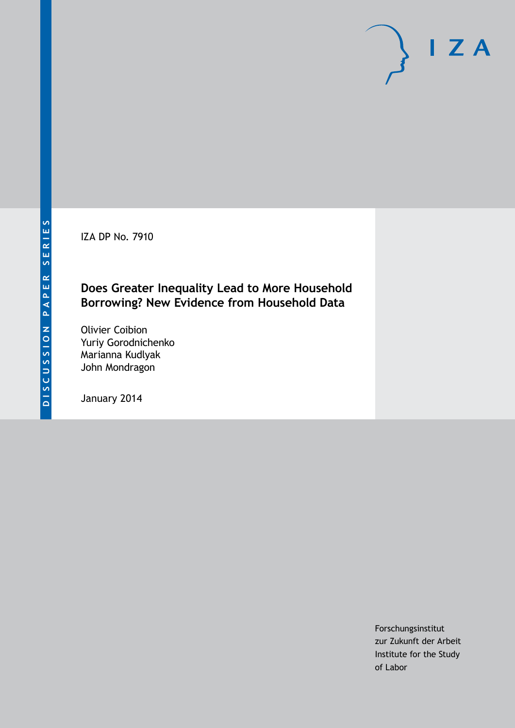IZA DP No. 7910

# **Does Greater Inequality Lead to More Household Borrowing? New Evidence from Household Data**

Olivier Coibion Yuriy Gorodnichenko Marianna Kudlyak John Mondragon

January 2014

Forschungsinstitut zur Zukunft der Arbeit Institute for the Study of Labor

 $I Z A$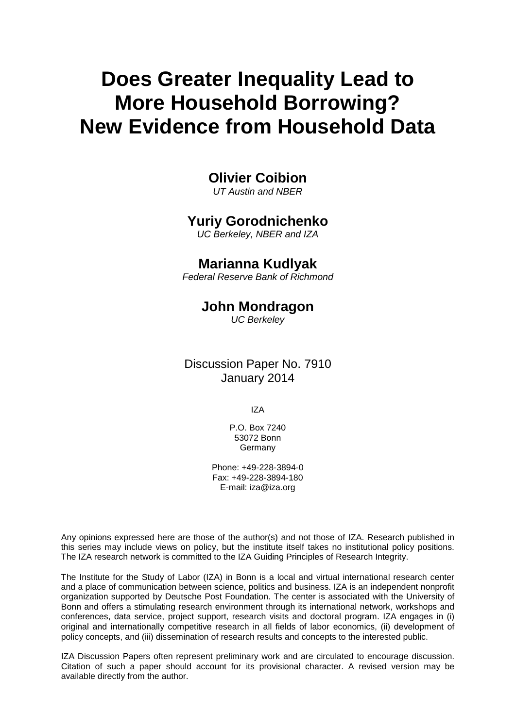# **Does Greater Inequality Lead to More Household Borrowing? New Evidence from Household Data**

# **Olivier Coibion**

*UT Austin and NBER*

# **Yuriy Gorodnichenko**

*UC Berkeley, NBER and IZA*

# **Marianna Kudlyak**

*Federal Reserve Bank of Richmond*

# **John Mondragon**

*UC Berkeley*

Discussion Paper No. 7910 January 2014

IZA

P.O. Box 7240 53072 Bonn **Germany** 

Phone: +49-228-3894-0 Fax: +49-228-3894-180 E-mail: [iza@iza.org](mailto:iza@iza.org)

Any opinions expressed here are those of the author(s) and not those of IZA. Research published in this series may include views on policy, but the institute itself takes no institutional policy positions. The IZA research network is committed to the IZA Guiding Principles of Research Integrity.

The Institute for the Study of Labor (IZA) in Bonn is a local and virtual international research center and a place of communication between science, politics and business. IZA is an independent nonprofit organization supported by Deutsche Post Foundation. The center is associated with the University of Bonn and offers a stimulating research environment through its international network, workshops and conferences, data service, project support, research visits and doctoral program. IZA engages in (i) original and internationally competitive research in all fields of labor economics, (ii) development of policy concepts, and (iii) dissemination of research results and concepts to the interested public.

<span id="page-1-0"></span>IZA Discussion Papers often represent preliminary work and are circulated to encourage discussion. Citation of such a paper should account for its provisional character. A revised version may be available directly from the author.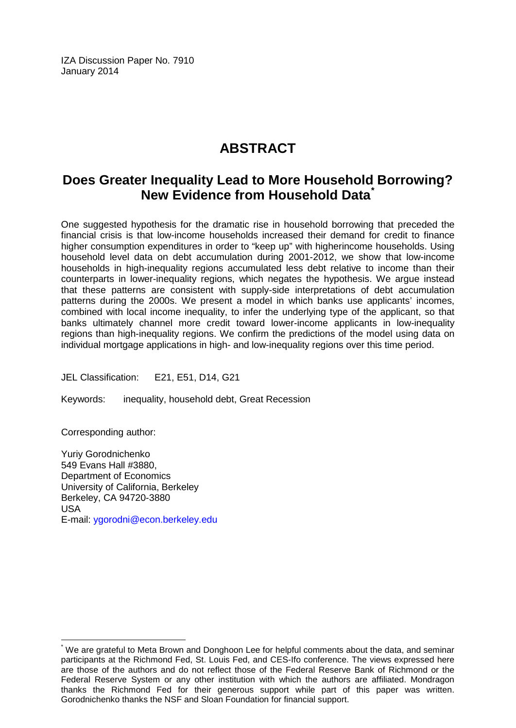IZA Discussion Paper No. 7910 January 2014

# **ABSTRACT**

# **Does Greater Inequality Lead to More Household Borrowing? New Evidence from Household Data[\\*](#page-1-0)**

One suggested hypothesis for the dramatic rise in household borrowing that preceded the financial crisis is that low-income households increased their demand for credit to finance higher consumption expenditures in order to "keep up" with higherincome households. Using household level data on debt accumulation during 2001-2012, we show that low-income households in high-inequality regions accumulated less debt relative to income than their counterparts in lower-inequality regions, which negates the hypothesis. We argue instead that these patterns are consistent with supply-side interpretations of debt accumulation patterns during the 2000s. We present a model in which banks use applicants' incomes, combined with local income inequality, to infer the underlying type of the applicant, so that banks ultimately channel more credit toward lower-income applicants in low-inequality regions than high-inequality regions. We confirm the predictions of the model using data on individual mortgage applications in high- and low-inequality regions over this time period.

JEL Classification: E21, E51, D14, G21

Keywords: inequality, household debt, Great Recession

Corresponding author:

Yuriy Gorodnichenko 549 Evans Hall #3880, Department of Economics University of California, Berkeley Berkeley, CA 94720-3880 USA E-mail: [ygorodni@econ.berkeley.edu](mailto:ygorodni@econ.berkeley.edu)

\* We are grateful to Meta Brown and Donghoon Lee for helpful comments about the data, and seminar participants at the Richmond Fed, St. Louis Fed, and CES-Ifo conference. The views expressed here are those of the authors and do not reflect those of the Federal Reserve Bank of Richmond or the Federal Reserve System or any other institution with which the authors are affiliated. Mondragon thanks the Richmond Fed for their generous support while part of this paper was written. Gorodnichenko thanks the NSF and Sloan Foundation for financial support.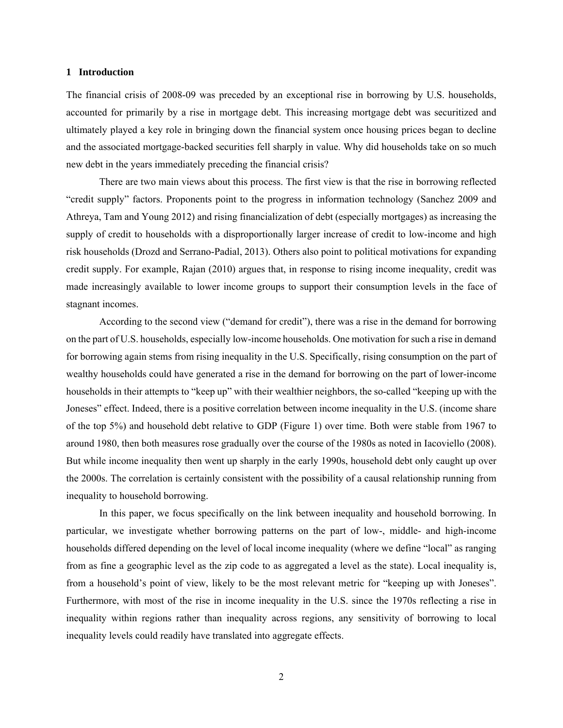#### **1 Introduction**

The financial crisis of 2008-09 was preceded by an exceptional rise in borrowing by U.S. households, accounted for primarily by a rise in mortgage debt. This increasing mortgage debt was securitized and ultimately played a key role in bringing down the financial system once housing prices began to decline and the associated mortgage-backed securities fell sharply in value. Why did households take on so much new debt in the years immediately preceding the financial crisis?

There are two main views about this process. The first view is that the rise in borrowing reflected "credit supply" factors. Proponents point to the progress in information technology (Sanchez 2009 and Athreya, Tam and Young 2012) and rising financialization of debt (especially mortgages) as increasing the supply of credit to households with a disproportionally larger increase of credit to low-income and high risk households (Drozd and Serrano-Padial, 2013). Others also point to political motivations for expanding credit supply. For example, Rajan (2010) argues that, in response to rising income inequality, credit was made increasingly available to lower income groups to support their consumption levels in the face of stagnant incomes.

According to the second view ("demand for credit"), there was a rise in the demand for borrowing on the part of U.S. households, especially low-income households. One motivation for such a rise in demand for borrowing again stems from rising inequality in the U.S. Specifically, rising consumption on the part of wealthy households could have generated a rise in the demand for borrowing on the part of lower-income households in their attempts to "keep up" with their wealthier neighbors, the so-called "keeping up with the Joneses" effect. Indeed, there is a positive correlation between income inequality in the U.S. (income share of the top 5%) and household debt relative to GDP (Figure 1) over time. Both were stable from 1967 to around 1980, then both measures rose gradually over the course of the 1980s as noted in Iacoviello (2008). But while income inequality then went up sharply in the early 1990s, household debt only caught up over the 2000s. The correlation is certainly consistent with the possibility of a causal relationship running from inequality to household borrowing.

In this paper, we focus specifically on the link between inequality and household borrowing. In particular, we investigate whether borrowing patterns on the part of low-, middle- and high-income households differed depending on the level of local income inequality (where we define "local" as ranging from as fine a geographic level as the zip code to as aggregated a level as the state). Local inequality is, from a household's point of view, likely to be the most relevant metric for "keeping up with Joneses". Furthermore, with most of the rise in income inequality in the U.S. since the 1970s reflecting a rise in inequality within regions rather than inequality across regions, any sensitivity of borrowing to local inequality levels could readily have translated into aggregate effects.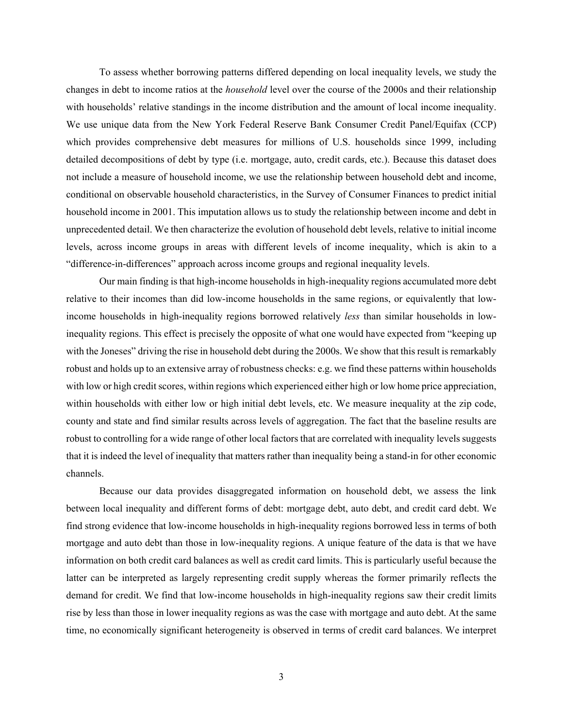To assess whether borrowing patterns differed depending on local inequality levels, we study the changes in debt to income ratios at the *household* level over the course of the 2000s and their relationship with households' relative standings in the income distribution and the amount of local income inequality. We use unique data from the New York Federal Reserve Bank Consumer Credit Panel/Equifax (CCP) which provides comprehensive debt measures for millions of U.S. households since 1999, including detailed decompositions of debt by type (i.e. mortgage, auto, credit cards, etc.). Because this dataset does not include a measure of household income, we use the relationship between household debt and income, conditional on observable household characteristics, in the Survey of Consumer Finances to predict initial household income in 2001. This imputation allows us to study the relationship between income and debt in unprecedented detail. We then characterize the evolution of household debt levels, relative to initial income levels, across income groups in areas with different levels of income inequality, which is akin to a "difference-in-differences" approach across income groups and regional inequality levels.

Our main finding is that high-income households in high-inequality regions accumulated more debt relative to their incomes than did low-income households in the same regions, or equivalently that lowincome households in high-inequality regions borrowed relatively *less* than similar households in lowinequality regions. This effect is precisely the opposite of what one would have expected from "keeping up with the Joneses" driving the rise in household debt during the 2000s. We show that this result is remarkably robust and holds up to an extensive array of robustness checks: e.g. we find these patterns within households with low or high credit scores, within regions which experienced either high or low home price appreciation, within households with either low or high initial debt levels, etc. We measure inequality at the zip code, county and state and find similar results across levels of aggregation. The fact that the baseline results are robust to controlling for a wide range of other local factors that are correlated with inequality levels suggests that it is indeed the level of inequality that matters rather than inequality being a stand-in for other economic channels.

Because our data provides disaggregated information on household debt, we assess the link between local inequality and different forms of debt: mortgage debt, auto debt, and credit card debt. We find strong evidence that low-income households in high-inequality regions borrowed less in terms of both mortgage and auto debt than those in low-inequality regions. A unique feature of the data is that we have information on both credit card balances as well as credit card limits. This is particularly useful because the latter can be interpreted as largely representing credit supply whereas the former primarily reflects the demand for credit. We find that low-income households in high-inequality regions saw their credit limits rise by less than those in lower inequality regions as was the case with mortgage and auto debt. At the same time, no economically significant heterogeneity is observed in terms of credit card balances. We interpret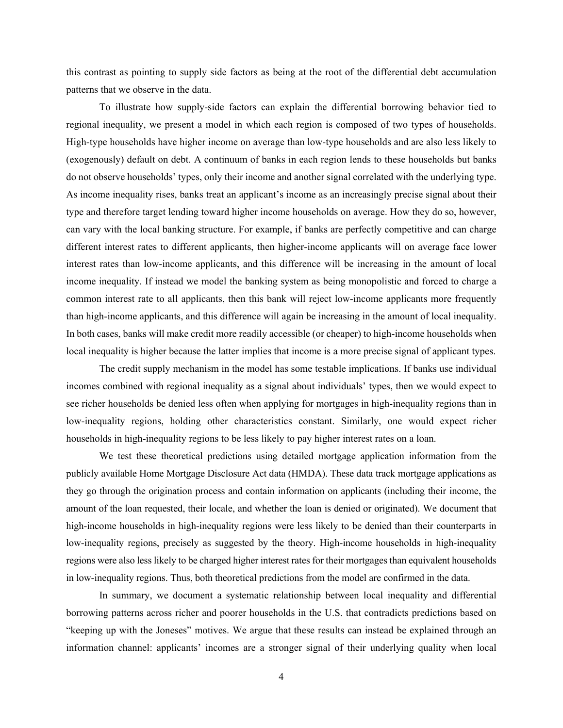this contrast as pointing to supply side factors as being at the root of the differential debt accumulation patterns that we observe in the data.

To illustrate how supply-side factors can explain the differential borrowing behavior tied to regional inequality, we present a model in which each region is composed of two types of households. High-type households have higher income on average than low-type households and are also less likely to (exogenously) default on debt. A continuum of banks in each region lends to these households but banks do not observe households' types, only their income and another signal correlated with the underlying type. As income inequality rises, banks treat an applicant's income as an increasingly precise signal about their type and therefore target lending toward higher income households on average. How they do so, however, can vary with the local banking structure. For example, if banks are perfectly competitive and can charge different interest rates to different applicants, then higher-income applicants will on average face lower interest rates than low-income applicants, and this difference will be increasing in the amount of local income inequality. If instead we model the banking system as being monopolistic and forced to charge a common interest rate to all applicants, then this bank will reject low-income applicants more frequently than high-income applicants, and this difference will again be increasing in the amount of local inequality. In both cases, banks will make credit more readily accessible (or cheaper) to high-income households when local inequality is higher because the latter implies that income is a more precise signal of applicant types.

The credit supply mechanism in the model has some testable implications. If banks use individual incomes combined with regional inequality as a signal about individuals' types, then we would expect to see richer households be denied less often when applying for mortgages in high-inequality regions than in low-inequality regions, holding other characteristics constant. Similarly, one would expect richer households in high-inequality regions to be less likely to pay higher interest rates on a loan.

We test these theoretical predictions using detailed mortgage application information from the publicly available Home Mortgage Disclosure Act data (HMDA). These data track mortgage applications as they go through the origination process and contain information on applicants (including their income, the amount of the loan requested, their locale, and whether the loan is denied or originated). We document that high-income households in high-inequality regions were less likely to be denied than their counterparts in low-inequality regions, precisely as suggested by the theory. High-income households in high-inequality regions were also less likely to be charged higher interest rates for their mortgages than equivalent households in low-inequality regions. Thus, both theoretical predictions from the model are confirmed in the data.

In summary, we document a systematic relationship between local inequality and differential borrowing patterns across richer and poorer households in the U.S. that contradicts predictions based on "keeping up with the Joneses" motives. We argue that these results can instead be explained through an information channel: applicants' incomes are a stronger signal of their underlying quality when local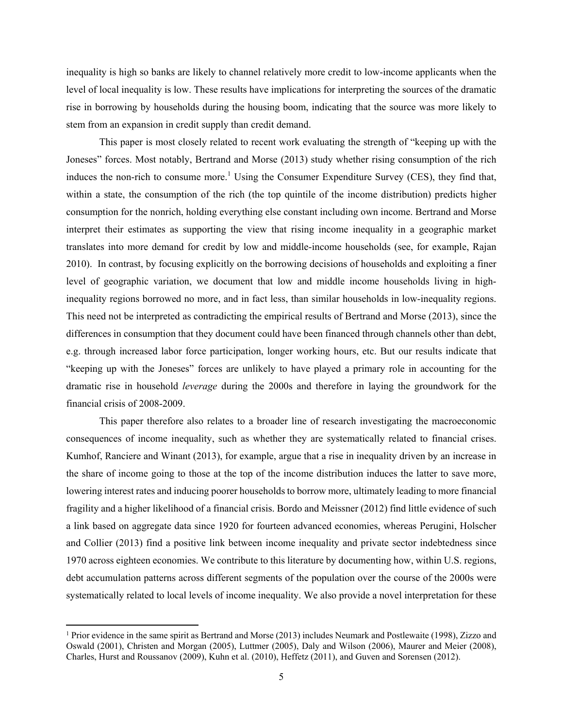inequality is high so banks are likely to channel relatively more credit to low-income applicants when the level of local inequality is low. These results have implications for interpreting the sources of the dramatic rise in borrowing by households during the housing boom, indicating that the source was more likely to stem from an expansion in credit supply than credit demand.

This paper is most closely related to recent work evaluating the strength of "keeping up with the Joneses" forces. Most notably, Bertrand and Morse (2013) study whether rising consumption of the rich induces the non-rich to consume more.<sup>1</sup> Using the Consumer Expenditure Survey (CES), they find that, within a state, the consumption of the rich (the top quintile of the income distribution) predicts higher consumption for the nonrich, holding everything else constant including own income. Bertrand and Morse interpret their estimates as supporting the view that rising income inequality in a geographic market translates into more demand for credit by low and middle-income households (see, for example, Rajan 2010). In contrast, by focusing explicitly on the borrowing decisions of households and exploiting a finer level of geographic variation, we document that low and middle income households living in highinequality regions borrowed no more, and in fact less, than similar households in low-inequality regions. This need not be interpreted as contradicting the empirical results of Bertrand and Morse (2013), since the differences in consumption that they document could have been financed through channels other than debt, e.g. through increased labor force participation, longer working hours, etc. But our results indicate that "keeping up with the Joneses" forces are unlikely to have played a primary role in accounting for the dramatic rise in household *leverage* during the 2000s and therefore in laying the groundwork for the financial crisis of 2008-2009.

This paper therefore also relates to a broader line of research investigating the macroeconomic consequences of income inequality, such as whether they are systematically related to financial crises. Kumhof, Ranciere and Winant (2013), for example, argue that a rise in inequality driven by an increase in the share of income going to those at the top of the income distribution induces the latter to save more, lowering interest rates and inducing poorer households to borrow more, ultimately leading to more financial fragility and a higher likelihood of a financial crisis. Bordo and Meissner (2012) find little evidence of such a link based on aggregate data since 1920 for fourteen advanced economies, whereas Perugini, Holscher and Collier (2013) find a positive link between income inequality and private sector indebtedness since 1970 across eighteen economies. We contribute to this literature by documenting how, within U.S. regions, debt accumulation patterns across different segments of the population over the course of the 2000s were systematically related to local levels of income inequality. We also provide a novel interpretation for these

<sup>1</sup> Prior evidence in the same spirit as Bertrand and Morse (2013) includes Neumark and Postlewaite (1998), Zizzo and Oswald (2001), Christen and Morgan (2005), Luttmer (2005), Daly and Wilson (2006), Maurer and Meier (2008), Charles, Hurst and Roussanov (2009), Kuhn et al. (2010), Heffetz (2011), and Guven and Sorensen (2012).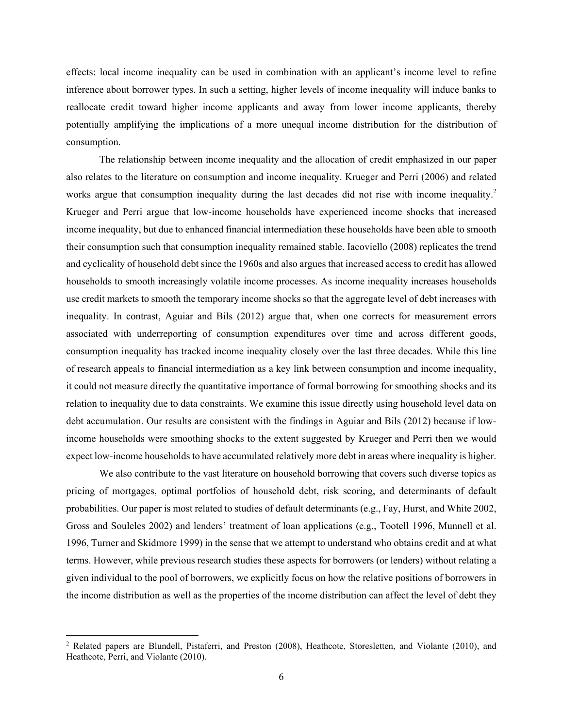effects: local income inequality can be used in combination with an applicant's income level to refine inference about borrower types. In such a setting, higher levels of income inequality will induce banks to reallocate credit toward higher income applicants and away from lower income applicants, thereby potentially amplifying the implications of a more unequal income distribution for the distribution of consumption.

The relationship between income inequality and the allocation of credit emphasized in our paper also relates to the literature on consumption and income inequality. Krueger and Perri (2006) and related works argue that consumption inequality during the last decades did not rise with income inequality.<sup>2</sup> Krueger and Perri argue that low-income households have experienced income shocks that increased income inequality, but due to enhanced financial intermediation these households have been able to smooth their consumption such that consumption inequality remained stable. Iacoviello (2008) replicates the trend and cyclicality of household debt since the 1960s and also argues that increased access to credit has allowed households to smooth increasingly volatile income processes. As income inequality increases households use credit markets to smooth the temporary income shocks so that the aggregate level of debt increases with inequality. In contrast, Aguiar and Bils (2012) argue that, when one corrects for measurement errors associated with underreporting of consumption expenditures over time and across different goods, consumption inequality has tracked income inequality closely over the last three decades. While this line of research appeals to financial intermediation as a key link between consumption and income inequality, it could not measure directly the quantitative importance of formal borrowing for smoothing shocks and its relation to inequality due to data constraints. We examine this issue directly using household level data on debt accumulation. Our results are consistent with the findings in Aguiar and Bils (2012) because if lowincome households were smoothing shocks to the extent suggested by Krueger and Perri then we would expect low-income households to have accumulated relatively more debt in areas where inequality is higher.

We also contribute to the vast literature on household borrowing that covers such diverse topics as pricing of mortgages, optimal portfolios of household debt, risk scoring, and determinants of default probabilities. Our paper is most related to studies of default determinants (e.g., Fay, Hurst, and White 2002, Gross and Souleles 2002) and lenders' treatment of loan applications (e.g., Tootell 1996, Munnell et al. 1996, Turner and Skidmore 1999) in the sense that we attempt to understand who obtains credit and at what terms. However, while previous research studies these aspects for borrowers (or lenders) without relating a given individual to the pool of borrowers, we explicitly focus on how the relative positions of borrowers in the income distribution as well as the properties of the income distribution can affect the level of debt they

<sup>&</sup>lt;sup>2</sup> Related papers are Blundell, Pistaferri, and Preston (2008), Heathcote, Storesletten, and Violante (2010), and Heathcote, Perri, and Violante (2010).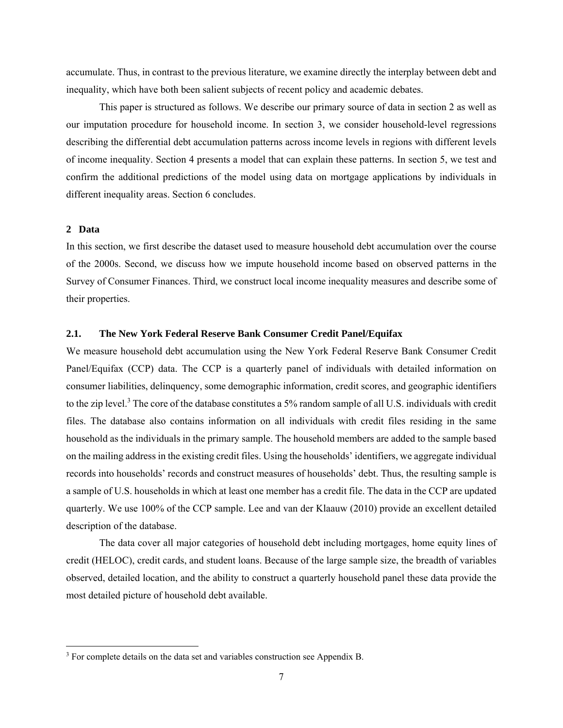accumulate. Thus, in contrast to the previous literature, we examine directly the interplay between debt and inequality, which have both been salient subjects of recent policy and academic debates.

This paper is structured as follows. We describe our primary source of data in section 2 as well as our imputation procedure for household income. In section 3, we consider household-level regressions describing the differential debt accumulation patterns across income levels in regions with different levels of income inequality. Section 4 presents a model that can explain these patterns. In section 5, we test and confirm the additional predictions of the model using data on mortgage applications by individuals in different inequality areas. Section 6 concludes.

### **2 Data**

In this section, we first describe the dataset used to measure household debt accumulation over the course of the 2000s. Second, we discuss how we impute household income based on observed patterns in the Survey of Consumer Finances. Third, we construct local income inequality measures and describe some of their properties.

### **2.1. The New York Federal Reserve Bank Consumer Credit Panel/Equifax**

We measure household debt accumulation using the New York Federal Reserve Bank Consumer Credit Panel/Equifax (CCP) data. The CCP is a quarterly panel of individuals with detailed information on consumer liabilities, delinquency, some demographic information, credit scores, and geographic identifiers to the zip level.<sup>3</sup> The core of the database constitutes a 5% random sample of all U.S. individuals with credit files. The database also contains information on all individuals with credit files residing in the same household as the individuals in the primary sample. The household members are added to the sample based on the mailing address in the existing credit files. Using the households' identifiers, we aggregate individual records into households' records and construct measures of households' debt. Thus, the resulting sample is a sample of U.S. households in which at least one member has a credit file. The data in the CCP are updated quarterly. We use 100% of the CCP sample. Lee and van der Klaauw (2010) provide an excellent detailed description of the database.

The data cover all major categories of household debt including mortgages, home equity lines of credit (HELOC), credit cards, and student loans. Because of the large sample size, the breadth of variables observed, detailed location, and the ability to construct a quarterly household panel these data provide the most detailed picture of household debt available.

 $3$  For complete details on the data set and variables construction see Appendix B.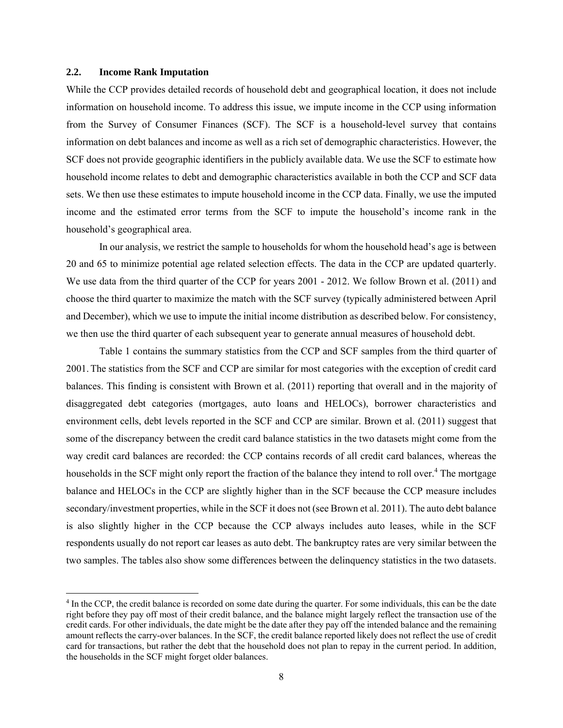#### **2.2. Income Rank Imputation**

While the CCP provides detailed records of household debt and geographical location, it does not include information on household income. To address this issue, we impute income in the CCP using information from the Survey of Consumer Finances (SCF). The SCF is a household-level survey that contains information on debt balances and income as well as a rich set of demographic characteristics. However, the SCF does not provide geographic identifiers in the publicly available data. We use the SCF to estimate how household income relates to debt and demographic characteristics available in both the CCP and SCF data sets. We then use these estimates to impute household income in the CCP data. Finally, we use the imputed income and the estimated error terms from the SCF to impute the household's income rank in the household's geographical area.

In our analysis, we restrict the sample to households for whom the household head's age is between 20 and 65 to minimize potential age related selection effects. The data in the CCP are updated quarterly. We use data from the third quarter of the CCP for years 2001 - 2012. We follow Brown et al. (2011) and choose the third quarter to maximize the match with the SCF survey (typically administered between April and December), which we use to impute the initial income distribution as described below. For consistency, we then use the third quarter of each subsequent year to generate annual measures of household debt.

Table 1 contains the summary statistics from the CCP and SCF samples from the third quarter of 2001.The statistics from the SCF and CCP are similar for most categories with the exception of credit card balances. This finding is consistent with Brown et al. (2011) reporting that overall and in the majority of disaggregated debt categories (mortgages, auto loans and HELOCs), borrower characteristics and environment cells, debt levels reported in the SCF and CCP are similar. Brown et al. (2011) suggest that some of the discrepancy between the credit card balance statistics in the two datasets might come from the way credit card balances are recorded: the CCP contains records of all credit card balances, whereas the households in the SCF might only report the fraction of the balance they intend to roll over.<sup>4</sup> The mortgage balance and HELOCs in the CCP are slightly higher than in the SCF because the CCP measure includes secondary/investment properties, while in the SCF it does not (see Brown et al. 2011). The auto debt balance is also slightly higher in the CCP because the CCP always includes auto leases, while in the SCF respondents usually do not report car leases as auto debt. The bankruptcy rates are very similar between the two samples. The tables also show some differences between the delinquency statistics in the two datasets.

<sup>&</sup>lt;sup>4</sup> In the CCP, the credit balance is recorded on some date during the quarter. For some individuals, this can be the date right before they pay off most of their credit balance, and the balance might largely reflect the transaction use of the credit cards. For other individuals, the date might be the date after they pay off the intended balance and the remaining amount reflects the carry-over balances. In the SCF, the credit balance reported likely does not reflect the use of credit card for transactions, but rather the debt that the household does not plan to repay in the current period. In addition, the households in the SCF might forget older balances.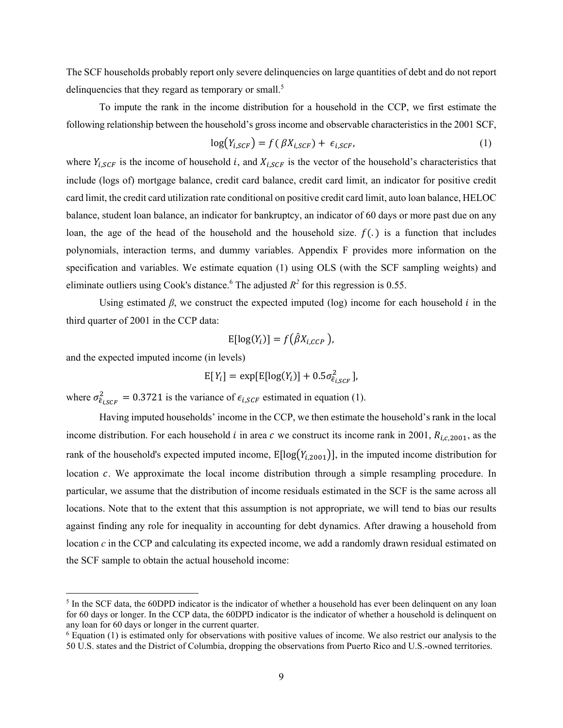The SCF households probably report only severe delinquencies on large quantities of debt and do not report delinquencies that they regard as temporary or small.<sup>5</sup>

To impute the rank in the income distribution for a household in the CCP, we first estimate the following relationship between the household's gross income and observable characteristics in the 2001 SCF,

$$
\log(Y_{i,SCF}) = f(\beta X_{i,SCF}) + \epsilon_{i,SCF},\tag{1}
$$

where  $Y_{i,SCF}$  is the income of household i, and  $X_{i,SCF}$  is the vector of the household's characteristics that include (logs of) mortgage balance, credit card balance, credit card limit, an indicator for positive credit card limit, the credit card utilization rate conditional on positive credit card limit, auto loan balance, HELOC balance, student loan balance, an indicator for bankruptcy, an indicator of 60 days or more past due on any loan, the age of the head of the household and the household size.  $f(.)$  is a function that includes polynomials, interaction terms, and dummy variables. Appendix F provides more information on the specification and variables. We estimate equation (1) using OLS (with the SCF sampling weights) and eliminate outliers using Cook's distance.<sup>6</sup> The adjusted  $R^2$  for this regression is 0.55.

Using estimated  $\beta$ , we construct the expected imputed (log) income for each household  $i$  in the third quarter of 2001 in the CCP data:

$$
\mathrm{E}[\log(Y_i)] = f(\hat{\beta}X_{i,CCP}).
$$

and the expected imputed income (in levels)

$$
E[Y_i] = \exp[E[\log(Y_i)] + 0.5\sigma_{\hat{\epsilon}_{i,SCF}}^2],
$$

where  $\sigma_{\hat{\epsilon}_{i,SCF}}^2 = 0.3721$  is the variance of  $\epsilon_{i,SCF}$  estimated in equation (1).

Having imputed households' income in the CCP, we then estimate the household's rank in the local income distribution. For each household *i* in area *c* we construct its income rank in 2001,  $R_{i,c,2001}$ , as the rank of the household's expected imputed income,  $E[log(Y_{i,2001})]$ , in the imputed income distribution for location  $c$ . We approximate the local income distribution through a simple resampling procedure. In particular, we assume that the distribution of income residuals estimated in the SCF is the same across all locations. Note that to the extent that this assumption is not appropriate, we will tend to bias our results against finding any role for inequality in accounting for debt dynamics. After drawing a household from location *c* in the CCP and calculating its expected income, we add a randomly drawn residual estimated on the SCF sample to obtain the actual household income:

<sup>&</sup>lt;sup>5</sup> In the SCF data, the 60DPD indicator is the indicator of whether a household has ever been delinquent on any loan for 60 days or longer. In the CCP data, the 60DPD indicator is the indicator of whether a household is delinquent on any loan for 60 days or longer in the current quarter.

<sup>6</sup> Equation (1) is estimated only for observations with positive values of income. We also restrict our analysis to the 50 U.S. states and the District of Columbia, dropping the observations from Puerto Rico and U.S.-owned territories.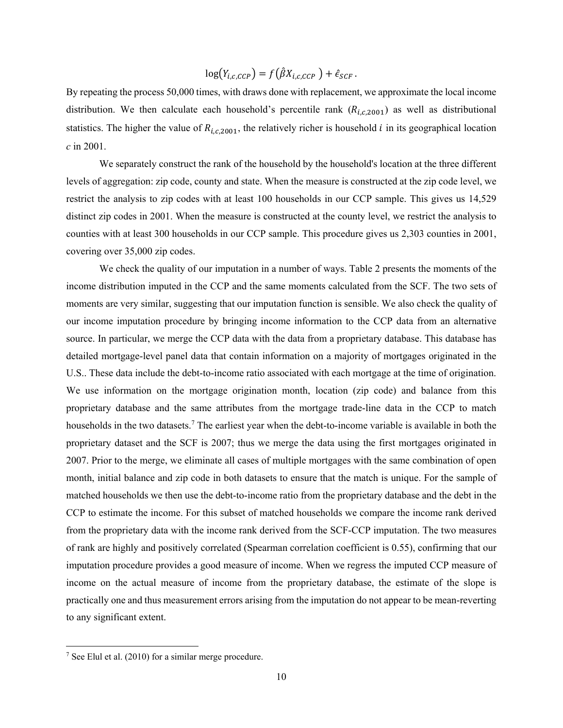$$
\log(Y_{i,c,CCP}) = f(\hat{\beta}X_{i,c,CCP}) + \hat{\epsilon}_{SCF}.
$$

By repeating the process 50,000 times, with draws done with replacement, we approximate the local income distribution. We then calculate each household's percentile rank  $(R_{i,c,2001})$  as well as distributional statistics. The higher the value of  $R_{i,c,2001}$ , the relatively richer is household *i* in its geographical location *c* in 2001.

We separately construct the rank of the household by the household's location at the three different levels of aggregation: zip code, county and state. When the measure is constructed at the zip code level, we restrict the analysis to zip codes with at least 100 households in our CCP sample. This gives us 14,529 distinct zip codes in 2001. When the measure is constructed at the county level, we restrict the analysis to counties with at least 300 households in our CCP sample. This procedure gives us 2,303 counties in 2001, covering over 35,000 zip codes.

We check the quality of our imputation in a number of ways. Table 2 presents the moments of the income distribution imputed in the CCP and the same moments calculated from the SCF. The two sets of moments are very similar, suggesting that our imputation function is sensible. We also check the quality of our income imputation procedure by bringing income information to the CCP data from an alternative source. In particular, we merge the CCP data with the data from a proprietary database. This database has detailed mortgage-level panel data that contain information on a majority of mortgages originated in the U.S.. These data include the debt-to-income ratio associated with each mortgage at the time of origination. We use information on the mortgage origination month, location (zip code) and balance from this proprietary database and the same attributes from the mortgage trade-line data in the CCP to match households in the two datasets.<sup>7</sup> The earliest year when the debt-to-income variable is available in both the proprietary dataset and the SCF is 2007; thus we merge the data using the first mortgages originated in 2007. Prior to the merge, we eliminate all cases of multiple mortgages with the same combination of open month, initial balance and zip code in both datasets to ensure that the match is unique. For the sample of matched households we then use the debt-to-income ratio from the proprietary database and the debt in the CCP to estimate the income. For this subset of matched households we compare the income rank derived from the proprietary data with the income rank derived from the SCF-CCP imputation. The two measures of rank are highly and positively correlated (Spearman correlation coefficient is 0.55), confirming that our imputation procedure provides a good measure of income. When we regress the imputed CCP measure of income on the actual measure of income from the proprietary database, the estimate of the slope is practically one and thus measurement errors arising from the imputation do not appear to be mean-reverting to any significant extent.

 $7$  See Elul et al. (2010) for a similar merge procedure.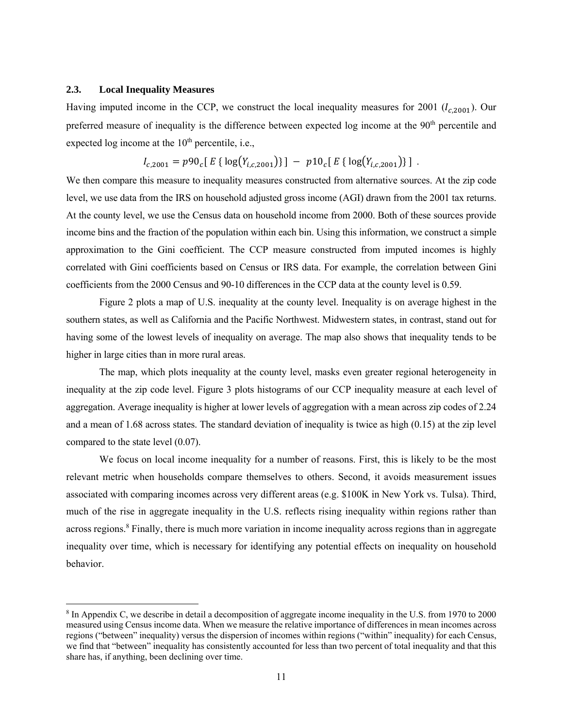#### **2.3. Local Inequality Measures**

Having imputed income in the CCP, we construct the local inequality measures for 2001 ( $l_{c,2001}$ ). Our preferred measure of inequality is the difference between expected log income at the 90<sup>th</sup> percentile and expected log income at the  $10<sup>th</sup>$  percentile, i.e.,

$$
I_{c,2001} = p90_c [E {\log(Y_{i,c,2001})}] - p10_c [E {\log(Y_{i,c,2001})}] .
$$

We then compare this measure to inequality measures constructed from alternative sources. At the zip code level, we use data from the IRS on household adjusted gross income (AGI) drawn from the 2001 tax returns. At the county level, we use the Census data on household income from 2000. Both of these sources provide income bins and the fraction of the population within each bin. Using this information, we construct a simple approximation to the Gini coefficient. The CCP measure constructed from imputed incomes is highly correlated with Gini coefficients based on Census or IRS data. For example, the correlation between Gini coefficients from the 2000 Census and 90-10 differences in the CCP data at the county level is 0.59.

Figure 2 plots a map of U.S. inequality at the county level. Inequality is on average highest in the southern states, as well as California and the Pacific Northwest. Midwestern states, in contrast, stand out for having some of the lowest levels of inequality on average. The map also shows that inequality tends to be higher in large cities than in more rural areas.

The map, which plots inequality at the county level, masks even greater regional heterogeneity in inequality at the zip code level. Figure 3 plots histograms of our CCP inequality measure at each level of aggregation. Average inequality is higher at lower levels of aggregation with a mean across zip codes of 2.24 and a mean of 1.68 across states. The standard deviation of inequality is twice as high (0.15) at the zip level compared to the state level (0.07).

We focus on local income inequality for a number of reasons. First, this is likely to be the most relevant metric when households compare themselves to others. Second, it avoids measurement issues associated with comparing incomes across very different areas (e.g. \$100K in New York vs. Tulsa). Third, much of the rise in aggregate inequality in the U.S. reflects rising inequality within regions rather than across regions.<sup>8</sup> Finally, there is much more variation in income inequality across regions than in aggregate inequality over time, which is necessary for identifying any potential effects on inequality on household behavior.

<sup>&</sup>lt;sup>8</sup> In Appendix C, we describe in detail a decomposition of aggregate income inequality in the U.S. from 1970 to 2000 measured using Census income data. When we measure the relative importance of differences in mean incomes across regions ("between" inequality) versus the dispersion of incomes within regions ("within" inequality) for each Census, we find that "between" inequality has consistently accounted for less than two percent of total inequality and that this share has, if anything, been declining over time.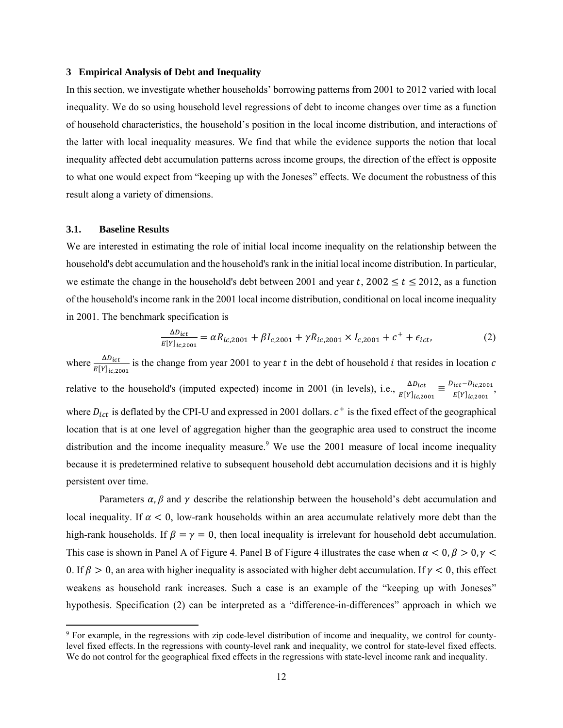#### **3 Empirical Analysis of Debt and Inequality**

In this section, we investigate whether households' borrowing patterns from 2001 to 2012 varied with local inequality. We do so using household level regressions of debt to income changes over time as a function of household characteristics, the household's position in the local income distribution, and interactions of the latter with local inequality measures. We find that while the evidence supports the notion that local inequality affected debt accumulation patterns across income groups, the direction of the effect is opposite to what one would expect from "keeping up with the Joneses" effects. We document the robustness of this result along a variety of dimensions.

### **3.1. Baseline Results**

We are interested in estimating the role of initial local income inequality on the relationship between the household's debt accumulation and the household's rank in the initial local income distribution. In particular, we estimate the change in the household's debt between 2001 and year  $t$ , 2002  $\le t \le 2012$ , as a function of the household's income rank in the 2001 local income distribution, conditional on local income inequality in 2001. The benchmark specification is

$$
\frac{\Delta D_{ict}}{E[Y]_{ic,2001}} = \alpha R_{ic,2001} + \beta I_{c,2001} + \gamma R_{ic,2001} \times I_{c,2001} + c^+ + \epsilon_{ict},
$$
\n(2)

where  $\frac{\Delta D_{ict}}{E[Y]_{ic,2001}}$  is the change from year 2001 to year t in the debt of household i that resides in location c relative to the household's (imputed expected) income in 2001 (in levels), i.e.,  $\frac{\Delta D_{ict}}{E[Y]_{ic,2001}} \equiv \frac{D_{ict} - D_{ic,2001}}{E[Y]_{ic,2001}}$  $\frac{ict - D_{lc,2001}}{E[Y]_{ic,2001}},$ where  $D_{ict}$  is deflated by the CPI-U and expressed in 2001 dollars.  $c^{+}$  is the fixed effect of the geographical location that is at one level of aggregation higher than the geographic area used to construct the income distribution and the income inequality measure.<sup>9</sup> We use the 2001 measure of local income inequality because it is predetermined relative to subsequent household debt accumulation decisions and it is highly persistent over time.

Parameters  $\alpha$ ,  $\beta$  and  $\gamma$  describe the relationship between the household's debt accumulation and local inequality. If  $\alpha < 0$ , low-rank households within an area accumulate relatively more debt than the high-rank households. If  $\beta = \gamma = 0$ , then local inequality is irrelevant for household debt accumulation. This case is shown in Panel A of Figure 4. Panel B of Figure 4 illustrates the case when  $\alpha < 0, \beta > 0, \gamma <$ 0. If  $\beta > 0$ , an area with higher inequality is associated with higher debt accumulation. If  $\gamma < 0$ , this effect weakens as household rank increases. Such a case is an example of the "keeping up with Joneses" hypothesis. Specification (2) can be interpreted as a "difference-in-differences" approach in which we

<sup>9</sup> For example, in the regressions with zip code-level distribution of income and inequality, we control for countylevel fixed effects. In the regressions with county-level rank and inequality, we control for state-level fixed effects. We do not control for the geographical fixed effects in the regressions with state-level income rank and inequality.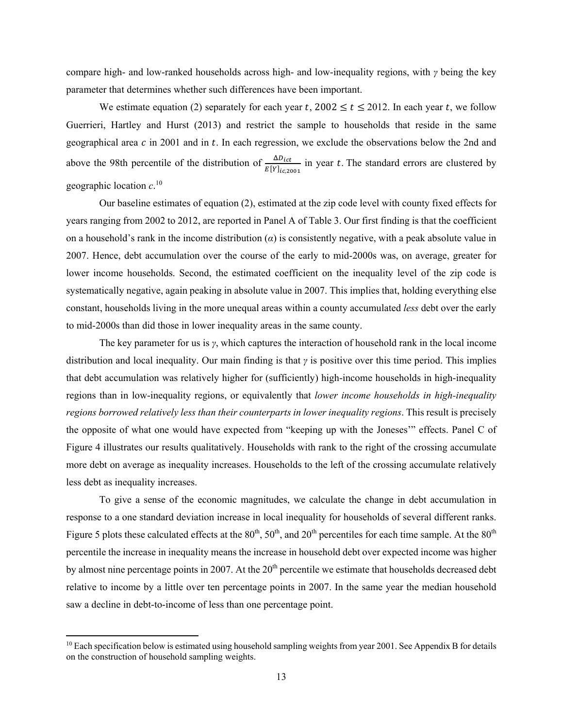compare high- and low-ranked households across high- and low-inequality regions, with *γ* being the key parameter that determines whether such differences have been important.

We estimate equation (2) separately for each year t, 2002  $\le t \le 2012$ . In each year t, we follow Guerrieri, Hartley and Hurst (2013) and restrict the sample to households that reside in the same geographical area  $c$  in 2001 and in  $t$ . In each regression, we exclude the observations below the 2nd and above the 98th percentile of the distribution of  $\frac{\Delta D_{ict}}{E[Y]_{ic,2001}}$  in year t. The standard errors are clustered by geographic location *c*. 10

Our baseline estimates of equation (2), estimated at the zip code level with county fixed effects for years ranging from 2002 to 2012, are reported in Panel A of Table 3. Our first finding is that the coefficient on a household's rank in the income distribution  $\alpha$ ) is consistently negative, with a peak absolute value in 2007. Hence, debt accumulation over the course of the early to mid-2000s was, on average, greater for lower income households. Second, the estimated coefficient on the inequality level of the zip code is systematically negative, again peaking in absolute value in 2007. This implies that, holding everything else constant, households living in the more unequal areas within a county accumulated *less* debt over the early to mid-2000s than did those in lower inequality areas in the same county.

The key parameter for us is *γ*, which captures the interaction of household rank in the local income distribution and local inequality. Our main finding is that *γ* is positive over this time period. This implies that debt accumulation was relatively higher for (sufficiently) high-income households in high-inequality regions than in low-inequality regions, or equivalently that *lower income households in high-inequality regions borrowed relatively less than their counterparts in lower inequality regions*. This result is precisely the opposite of what one would have expected from "keeping up with the Joneses'" effects. Panel C of Figure 4 illustrates our results qualitatively. Households with rank to the right of the crossing accumulate more debt on average as inequality increases. Households to the left of the crossing accumulate relatively less debt as inequality increases.

To give a sense of the economic magnitudes, we calculate the change in debt accumulation in response to a one standard deviation increase in local inequality for households of several different ranks. Figure 5 plots these calculated effects at the  $80<sup>th</sup>$ ,  $50<sup>th</sup>$ , and  $20<sup>th</sup>$  percentiles for each time sample. At the  $80<sup>th</sup>$ percentile the increase in inequality means the increase in household debt over expected income was higher by almost nine percentage points in 2007. At the  $20<sup>th</sup>$  percentile we estimate that households decreased debt relative to income by a little over ten percentage points in 2007. In the same year the median household saw a decline in debt-to-income of less than one percentage point.

<sup>&</sup>lt;sup>10</sup> Each specification below is estimated using household sampling weights from year 2001. See Appendix B for details on the construction of household sampling weights.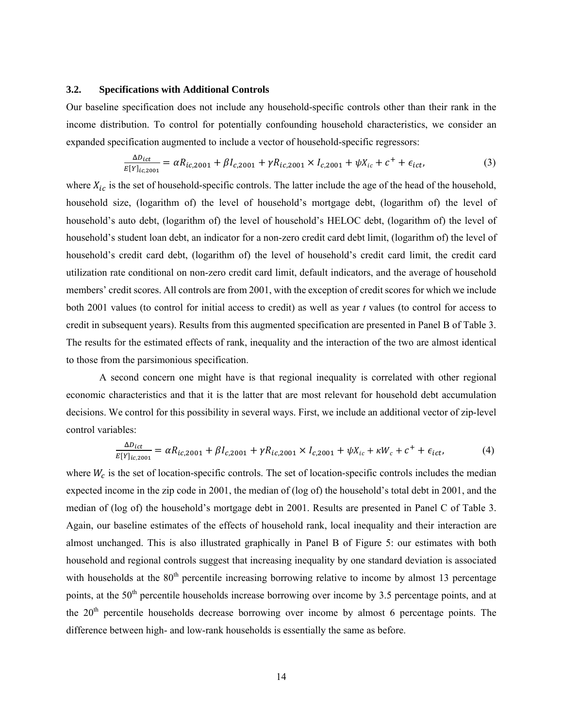#### **3.2. Specifications with Additional Controls**

Our baseline specification does not include any household-specific controls other than their rank in the income distribution. To control for potentially confounding household characteristics, we consider an expanded specification augmented to include a vector of household-specific regressors:

$$
\frac{\Delta D_{ict}}{E[Y]_{ic,2001}} = \alpha R_{ic,2001} + \beta I_{c,2001} + \gamma R_{ic,2001} \times I_{c,2001} + \psi X_{ic} + c^{+} + \epsilon_{ict},
$$
\n(3)

where  $X_{ic}$  is the set of household-specific controls. The latter include the age of the head of the household, household size, (logarithm of) the level of household's mortgage debt, (logarithm of) the level of household's auto debt, (logarithm of) the level of household's HELOC debt, (logarithm of) the level of household's student loan debt, an indicator for a non-zero credit card debt limit, (logarithm of) the level of household's credit card debt, (logarithm of) the level of household's credit card limit, the credit card utilization rate conditional on non-zero credit card limit, default indicators, and the average of household members' credit scores. All controls are from 2001, with the exception of credit scores for which we include both 2001 values (to control for initial access to credit) as well as year *t* values (to control for access to credit in subsequent years). Results from this augmented specification are presented in Panel B of Table 3. The results for the estimated effects of rank, inequality and the interaction of the two are almost identical to those from the parsimonious specification.

 A second concern one might have is that regional inequality is correlated with other regional economic characteristics and that it is the latter that are most relevant for household debt accumulation decisions. We control for this possibility in several ways. First, we include an additional vector of zip-level control variables:

$$
\frac{\Delta D_{ict}}{E[Y]_{ic,2001}} = \alpha R_{ic,2001} + \beta I_{c,2001} + \gamma R_{ic,2001} \times I_{c,2001} + \psi X_{ic} + \kappa W_c + c^+ + \epsilon_{ict},\tag{4}
$$

where  $W_c$  is the set of location-specific controls. The set of location-specific controls includes the median expected income in the zip code in 2001, the median of (log of) the household's total debt in 2001, and the median of (log of) the household's mortgage debt in 2001. Results are presented in Panel C of Table 3. Again, our baseline estimates of the effects of household rank, local inequality and their interaction are almost unchanged. This is also illustrated graphically in Panel B of Figure 5: our estimates with both household and regional controls suggest that increasing inequality by one standard deviation is associated with households at the  $80<sup>th</sup>$  percentile increasing borrowing relative to income by almost 13 percentage points, at the 50<sup>th</sup> percentile households increase borrowing over income by 3.5 percentage points, and at the 20<sup>th</sup> percentile households decrease borrowing over income by almost 6 percentage points. The difference between high- and low-rank households is essentially the same as before.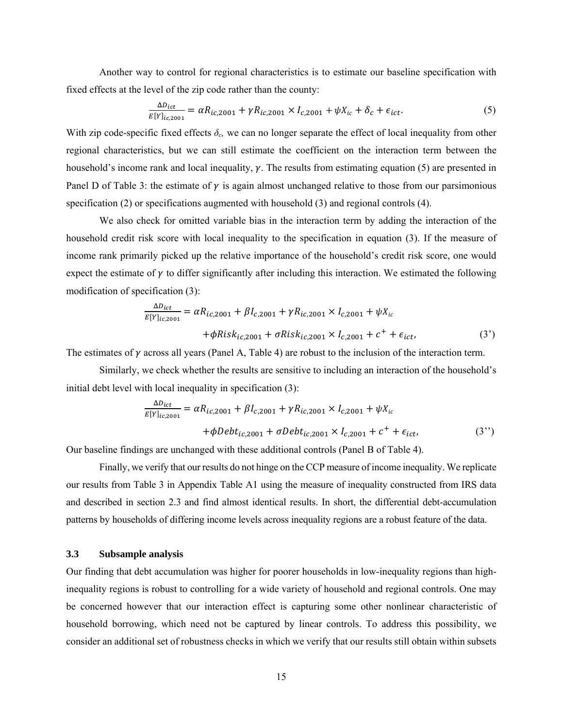Another way to control for regional characteristics is to estimate our baseline specification with fixed effects at the level of the zip code rather than the county:

$$
\frac{\Delta D_{ict}}{E[Y]_{ic,2001}} = \alpha R_{ic,2001} + \gamma R_{ic,2001} \times I_{c,2001} + \psi X_{ic} + \delta_c + \epsilon_{ict}.
$$
\n(5)

With zip code-specific fixed effects  $\delta_c$ , we can no longer separate the effect of local inequality from other regional characteristics, but we can still estimate the coefficient on the interaction term between the household's income rank and local inequality,  $\gamma$ . The results from estimating equation (5) are presented in Panel D of Table 3: the estimate of  $\gamma$  is again almost unchanged relative to those from our parsimonious specification (2) or specifications augmented with household (3) and regional controls (4).

We also check for omitted variable bias in the interaction term by adding the interaction of the household credit risk score with local inequality to the specification in equation (3). If the measure of income rank primarily picked up the relative importance of the household's credit risk score, one would expect the estimate of  $\gamma$  to differ significantly after including this interaction. We estimated the following modification of specification (3):

$$
\frac{\Delta D_{ict}}{E[Y]_{ic,2001}} = \alpha R_{ic,2001} + \beta I_{c,2001} + \gamma R_{ic,2001} \times I_{c,2001} + \psi X_{ic}
$$
  
 
$$
+ \phi R i s k_{ic,2001} + \sigma R i s k_{ic,2001} \times I_{c,2001} + c^+ + \epsilon_{ict},
$$
 (3')

The estimates of  $\gamma$  across all years (Panel A, Table 4) are robust to the inclusion of the interaction term.

Similarly, we check whether the results are sensitive to including an interaction of the household's initial debt level with local inequality in specification (3):

$$
\frac{\Delta D_{ict}}{E[Y]_{ic,2001}} = \alpha R_{ic,2001} + \beta I_{c,2001} + \gamma R_{ic,2001} \times I_{c,2001} + \psi X_{ic}
$$
  
 
$$
+ \phi D e b t_{ic,2001} + \sigma D e b t_{ic,2001} \times I_{c,2001} + c^{+} + \epsilon_{ict},
$$
 (3'')

Our baseline findings are unchanged with these additional controls (Panel B of Table 4).

Finally, we verify that our results do not hinge on the CCP measure of income inequality. We replicate our results from Table 3 in Appendix Table A1 using the measure of inequality constructed from IRS data and described in section 2.3 and find almost identical results. In short, the differential debt-accumulation patterns by households of differing income levels across inequality regions are a robust feature of the data.

#### **3.3 Subsample analysis**

Our finding that debt accumulation was higher for poorer households in low-inequality regions than highinequality regions is robust to controlling for a wide variety of household and regional controls. One may be concerned however that our interaction effect is capturing some other nonlinear characteristic of household borrowing, which need not be captured by linear controls. To address this possibility, we consider an additional set of robustness checks in which we verify that our results still obtain within subsets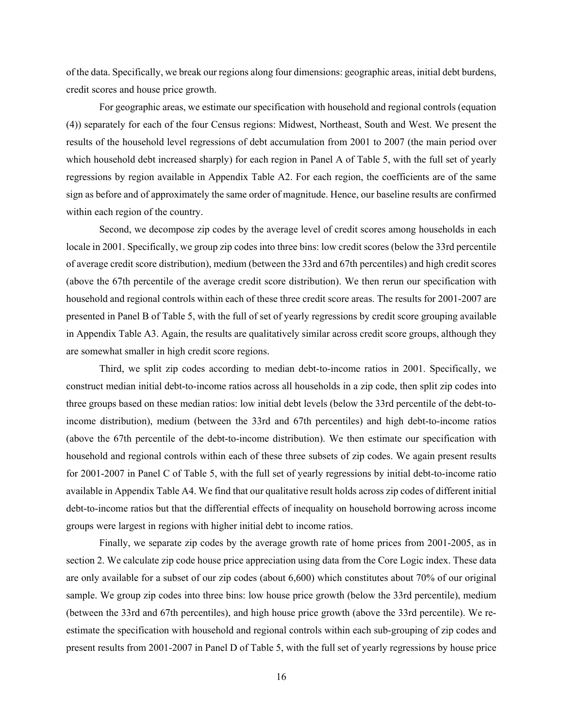of the data. Specifically, we break our regions along four dimensions: geographic areas, initial debt burdens, credit scores and house price growth.

 For geographic areas, we estimate our specification with household and regional controls (equation (4)) separately for each of the four Census regions: Midwest, Northeast, South and West. We present the results of the household level regressions of debt accumulation from 2001 to 2007 (the main period over which household debt increased sharply) for each region in Panel A of Table 5, with the full set of yearly regressions by region available in Appendix Table A2. For each region, the coefficients are of the same sign as before and of approximately the same order of magnitude. Hence, our baseline results are confirmed within each region of the country.

 Second, we decompose zip codes by the average level of credit scores among households in each locale in 2001. Specifically, we group zip codes into three bins: low credit scores (below the 33rd percentile of average credit score distribution), medium (between the 33rd and 67th percentiles) and high credit scores (above the 67th percentile of the average credit score distribution). We then rerun our specification with household and regional controls within each of these three credit score areas. The results for 2001-2007 are presented in Panel B of Table 5, with the full of set of yearly regressions by credit score grouping available in Appendix Table A3. Again, the results are qualitatively similar across credit score groups, although they are somewhat smaller in high credit score regions.

 Third, we split zip codes according to median debt-to-income ratios in 2001. Specifically, we construct median initial debt-to-income ratios across all households in a zip code, then split zip codes into three groups based on these median ratios: low initial debt levels (below the 33rd percentile of the debt-toincome distribution), medium (between the 33rd and 67th percentiles) and high debt-to-income ratios (above the 67th percentile of the debt-to-income distribution). We then estimate our specification with household and regional controls within each of these three subsets of zip codes. We again present results for 2001-2007 in Panel C of Table 5, with the full set of yearly regressions by initial debt-to-income ratio available in Appendix Table A4. We find that our qualitative result holds across zip codes of different initial debt-to-income ratios but that the differential effects of inequality on household borrowing across income groups were largest in regions with higher initial debt to income ratios.

 Finally, we separate zip codes by the average growth rate of home prices from 2001-2005, as in section 2. We calculate zip code house price appreciation using data from the Core Logic index. These data are only available for a subset of our zip codes (about 6,600) which constitutes about 70% of our original sample. We group zip codes into three bins: low house price growth (below the 33rd percentile), medium (between the 33rd and 67th percentiles), and high house price growth (above the 33rd percentile). We reestimate the specification with household and regional controls within each sub-grouping of zip codes and present results from 2001-2007 in Panel D of Table 5, with the full set of yearly regressions by house price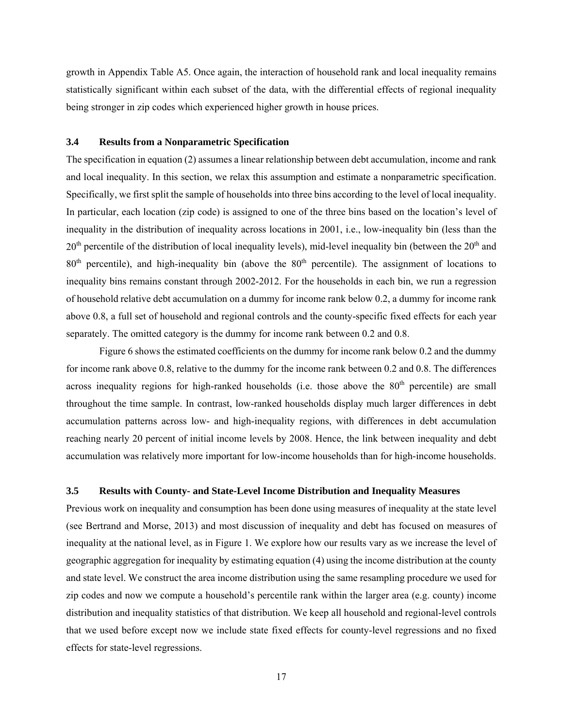growth in Appendix Table A5. Once again, the interaction of household rank and local inequality remains statistically significant within each subset of the data, with the differential effects of regional inequality being stronger in zip codes which experienced higher growth in house prices.

### **3.4 Results from a Nonparametric Specification**

The specification in equation (2) assumes a linear relationship between debt accumulation, income and rank and local inequality. In this section, we relax this assumption and estimate a nonparametric specification. Specifically, we first split the sample of households into three bins according to the level of local inequality. In particular, each location (zip code) is assigned to one of the three bins based on the location's level of inequality in the distribution of inequality across locations in 2001, i.e., low-inequality bin (less than the  $20<sup>th</sup>$  percentile of the distribution of local inequality levels), mid-level inequality bin (between the  $20<sup>th</sup>$  and  $80<sup>th</sup>$  percentile), and high-inequality bin (above the  $80<sup>th</sup>$  percentile). The assignment of locations to inequality bins remains constant through 2002-2012. For the households in each bin, we run a regression of household relative debt accumulation on a dummy for income rank below 0.2, a dummy for income rank above 0.8, a full set of household and regional controls and the county-specific fixed effects for each year separately. The omitted category is the dummy for income rank between 0.2 and 0.8.

Figure 6 shows the estimated coefficients on the dummy for income rank below 0.2 and the dummy for income rank above 0.8, relative to the dummy for the income rank between 0.2 and 0.8. The differences across inequality regions for high-ranked households (i.e. those above the  $80<sup>th</sup>$  percentile) are small throughout the time sample. In contrast, low-ranked households display much larger differences in debt accumulation patterns across low- and high-inequality regions, with differences in debt accumulation reaching nearly 20 percent of initial income levels by 2008. Hence, the link between inequality and debt accumulation was relatively more important for low-income households than for high-income households.

### **3.5 Results with County- and State-Level Income Distribution and Inequality Measures**

Previous work on inequality and consumption has been done using measures of inequality at the state level (see Bertrand and Morse, 2013) and most discussion of inequality and debt has focused on measures of inequality at the national level, as in Figure 1. We explore how our results vary as we increase the level of geographic aggregation for inequality by estimating equation (4) using the income distribution at the county and state level. We construct the area income distribution using the same resampling procedure we used for zip codes and now we compute a household's percentile rank within the larger area (e.g. county) income distribution and inequality statistics of that distribution. We keep all household and regional-level controls that we used before except now we include state fixed effects for county-level regressions and no fixed effects for state-level regressions.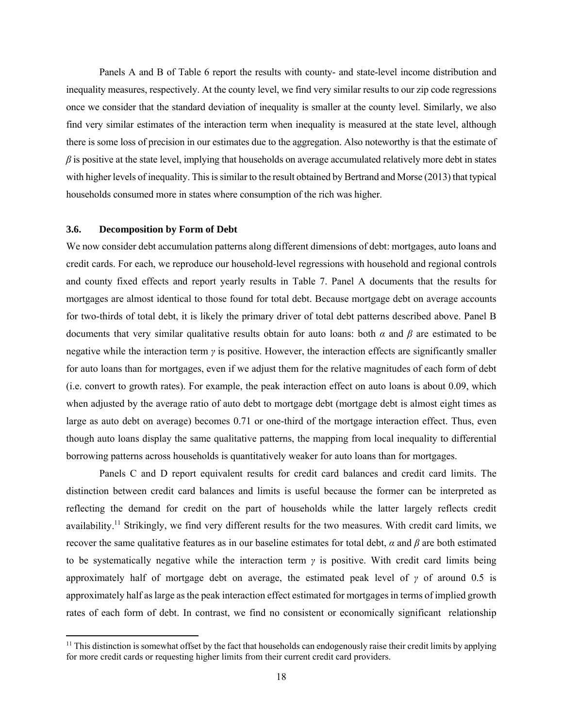Panels A and B of Table 6 report the results with county- and state-level income distribution and inequality measures, respectively. At the county level, we find very similar results to our zip code regressions once we consider that the standard deviation of inequality is smaller at the county level. Similarly, we also find very similar estimates of the interaction term when inequality is measured at the state level, although there is some loss of precision in our estimates due to the aggregation. Also noteworthy is that the estimate of  $\beta$  is positive at the state level, implying that households on average accumulated relatively more debt in states with higher levels of inequality. This is similar to the result obtained by Bertrand and Morse (2013) that typical households consumed more in states where consumption of the rich was higher.

### **3.6. Decomposition by Form of Debt**

We now consider debt accumulation patterns along different dimensions of debt: mortgages, auto loans and credit cards. For each, we reproduce our household-level regressions with household and regional controls and county fixed effects and report yearly results in Table 7. Panel A documents that the results for mortgages are almost identical to those found for total debt. Because mortgage debt on average accounts for two-thirds of total debt, it is likely the primary driver of total debt patterns described above. Panel B documents that very similar qualitative results obtain for auto loans: both *α* and *β* are estimated to be negative while the interaction term  $\gamma$  is positive. However, the interaction effects are significantly smaller for auto loans than for mortgages, even if we adjust them for the relative magnitudes of each form of debt (i.e. convert to growth rates). For example, the peak interaction effect on auto loans is about 0.09, which when adjusted by the average ratio of auto debt to mortgage debt (mortgage debt is almost eight times as large as auto debt on average) becomes 0.71 or one-third of the mortgage interaction effect. Thus, even though auto loans display the same qualitative patterns, the mapping from local inequality to differential borrowing patterns across households is quantitatively weaker for auto loans than for mortgages.

 Panels C and D report equivalent results for credit card balances and credit card limits. The distinction between credit card balances and limits is useful because the former can be interpreted as reflecting the demand for credit on the part of households while the latter largely reflects credit availability.<sup>11</sup> Strikingly, we find very different results for the two measures. With credit card limits, we recover the same qualitative features as in our baseline estimates for total debt, *α* and *β* are both estimated to be systematically negative while the interaction term *γ* is positive. With credit card limits being approximately half of mortgage debt on average, the estimated peak level of  $\gamma$  of around 0.5 is approximately half as large as the peak interaction effect estimated for mortgages in terms of implied growth rates of each form of debt. In contrast, we find no consistent or economically significant relationship

<sup>&</sup>lt;sup>11</sup> This distinction is somewhat offset by the fact that households can endogenously raise their credit limits by applying for more credit cards or requesting higher limits from their current credit card providers.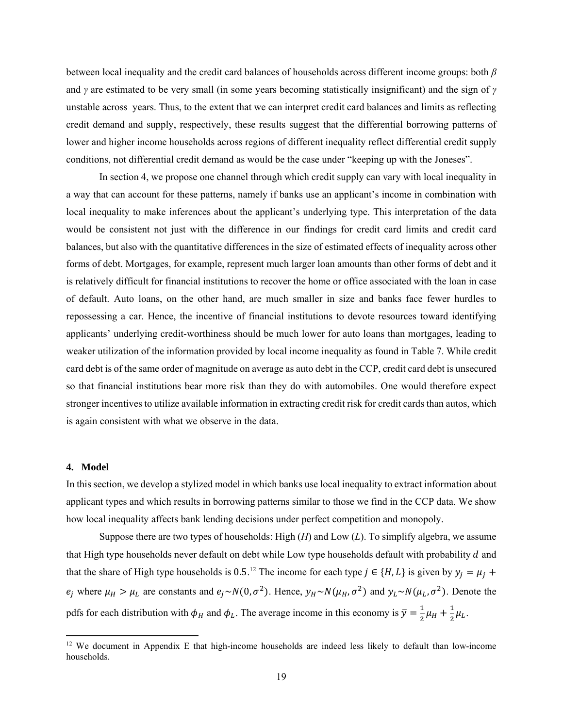between local inequality and the credit card balances of households across different income groups: both *β* and *γ* are estimated to be very small (in some years becoming statistically insignificant) and the sign of *γ* unstable across years. Thus, to the extent that we can interpret credit card balances and limits as reflecting credit demand and supply, respectively, these results suggest that the differential borrowing patterns of lower and higher income households across regions of different inequality reflect differential credit supply conditions, not differential credit demand as would be the case under "keeping up with the Joneses".

In section 4, we propose one channel through which credit supply can vary with local inequality in a way that can account for these patterns, namely if banks use an applicant's income in combination with local inequality to make inferences about the applicant's underlying type. This interpretation of the data would be consistent not just with the difference in our findings for credit card limits and credit card balances, but also with the quantitative differences in the size of estimated effects of inequality across other forms of debt. Mortgages, for example, represent much larger loan amounts than other forms of debt and it is relatively difficult for financial institutions to recover the home or office associated with the loan in case of default. Auto loans, on the other hand, are much smaller in size and banks face fewer hurdles to repossessing a car. Hence, the incentive of financial institutions to devote resources toward identifying applicants' underlying credit-worthiness should be much lower for auto loans than mortgages, leading to weaker utilization of the information provided by local income inequality as found in Table 7. While credit card debt is of the same order of magnitude on average as auto debt in the CCP, credit card debt is unsecured so that financial institutions bear more risk than they do with automobiles. One would therefore expect stronger incentives to utilize available information in extracting credit risk for credit cards than autos, which is again consistent with what we observe in the data.

### **4. Model**

In this section, we develop a stylized model in which banks use local inequality to extract information about applicant types and which results in borrowing patterns similar to those we find in the CCP data. We show how local inequality affects bank lending decisions under perfect competition and monopoly.

Suppose there are two types of households: High (*H*) and Low (*L*). To simplify algebra, we assume that High type households never default on debt while Low type households default with probability  $d$  and that the share of High type households is 0.5.<sup>12</sup> The income for each type  $j \in \{H, L\}$  is given by  $y_j = \mu_j +$  $e_i$  where  $\mu_H > \mu_L$  are constants and  $e_i \sim N(0, \sigma^2)$ . Hence,  $y_H \sim N(\mu_H, \sigma^2)$  and  $y_L \sim N(\mu_L, \sigma^2)$ . Denote the pdfs for each distribution with  $\phi_H$  and  $\phi_L$ . The average income in this economy is  $\bar{y} = \frac{1}{2}\mu_H + \frac{1}{2}\mu_L$ .

<sup>&</sup>lt;sup>12</sup> We document in Appendix E that high-income households are indeed less likely to default than low-income households.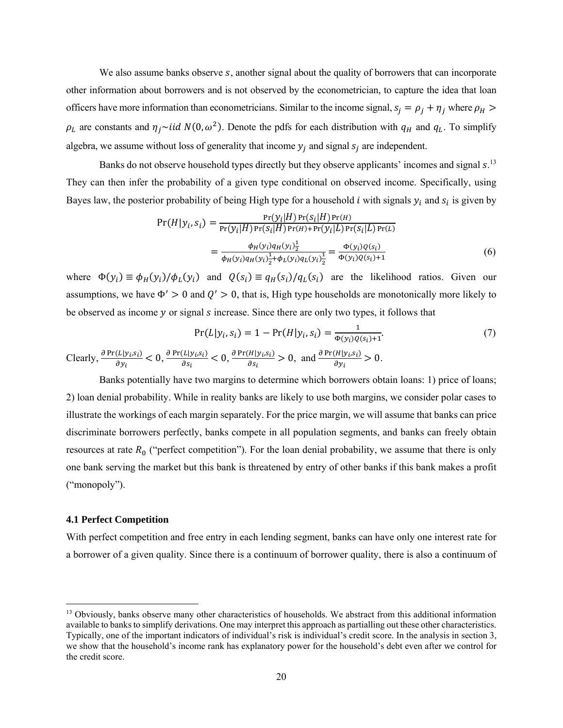We also assume banks observe  $s$ , another signal about the quality of borrowers that can incorporate other information about borrowers and is not observed by the econometrician, to capture the idea that loan officers have more information than econometricians. Similar to the income signal,  $s_j = \rho_j + \eta_j$  where  $\rho_H >$  $\rho_L$  are constants and  $\eta_i \sim$ iid  $N(0, \omega^2)$ . Denote the pdfs for each distribution with  $q_H$  and  $q_L$ . To simplify algebra, we assume without loss of generality that income  $y_i$  and signal  $s_i$  are independent.

Banks do not observe household types directly but they observe applicants' incomes and signal s.<sup>13</sup> They can then infer the probability of a given type conditional on observed income. Specifically, using Bayes law, the posterior probability of being High type for a household *i* with signals  $y_i$  and  $s_i$  is given by

$$
Pr(H|y_i, s_i) = \frac{Pr(y_i|H)Pr(s_i|H)Pr(t_i)}{Pr(y_i|H)Pr(s_i|H)Pr(H) + Pr(y_i|L)Pr(s_i|L)Pr(L)}
$$
  
= 
$$
\frac{\phi_H(y_i)q_H(y_i)\frac{1}{2}}{\phi_H(y_i)q_H(y_i)\frac{1}{2} + \phi_L(y_i)q_L(y_i)\frac{1}{2}} = \frac{\Phi(y_i)Q(s_i)}{\Phi(y_i)Q(s_i) + 1}
$$
(6)

where  $\Phi(y_i) \equiv \phi_H(y_i)/\phi_L(y_i)$  and  $Q(s_i) \equiv q_H(s_i)/q_L(s_i)$  are the likelihood ratios. Given our assumptions, we have  $\Phi' > 0$  and  $Q' > 0$ , that is, High type households are monotonically more likely to be observed as income y or signal s increase. Since there are only two types, it follows that

$$
\Pr(L|y_i, s_i) = 1 - \Pr(H|y_i, s_i) = \frac{1}{\Phi(y_i)Q(s_i) + 1}.\tag{7}
$$
  
Clearly,  $\frac{\partial \Pr(L|y_i, s_i)}{\partial y_i} < 0$ ,  $\frac{\partial \Pr(L|y_i, s_i)}{\partial s_i} < 0$ ,  $\frac{\partial \Pr(H|y_i, s_i)}{\partial s_i} > 0$ , and  $\frac{\partial \Pr(H|y_i, s_i)}{\partial y_i} > 0$ .

Banks potentially have two margins to determine which borrowers obtain loans: 1) price of loans; 2) loan denial probability. While in reality banks are likely to use both margins, we consider polar cases to illustrate the workings of each margin separately. For the price margin, we will assume that banks can price discriminate borrowers perfectly, banks compete in all population segments, and banks can freely obtain resources at rate  $R_0$  ("perfect competition"). For the loan denial probability, we assume that there is only one bank serving the market but this bank is threatened by entry of other banks if this bank makes a profit ("monopoly").

#### **4.1 Perfect Competition**

With perfect competition and free entry in each lending segment, banks can have only one interest rate for a borrower of a given quality. Since there is a continuum of borrower quality, there is also a continuum of

<sup>&</sup>lt;sup>13</sup> Obviously, banks observe many other characteristics of households. We abstract from this additional information available to banks to simplify derivations. One may interpret this approach as partialling out these other characteristics. Typically, one of the important indicators of individual's risk is individual's credit score. In the analysis in section 3, we show that the household's income rank has explanatory power for the household's debt even after we control for the credit score.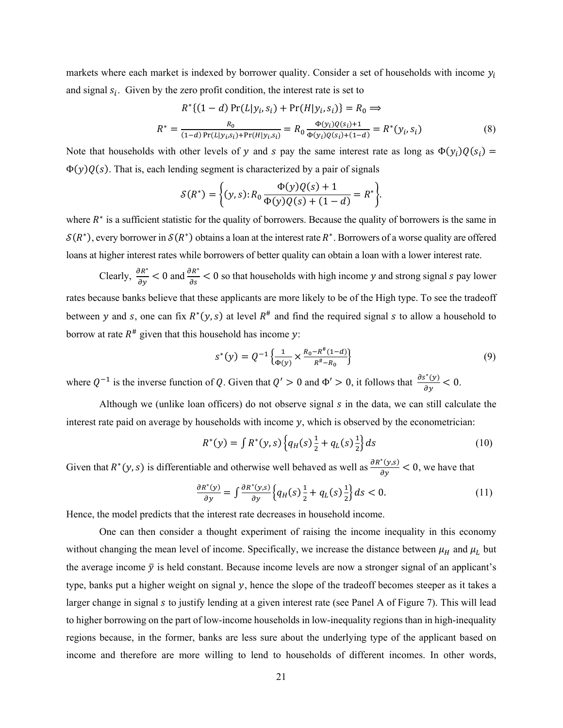markets where each market is indexed by borrower quality. Consider a set of households with income  $y_i$ and signal  $s_i$ . Given by the zero profit condition, the interest rate is set to

$$
R^* \{ (1-d) \Pr(L|y_i, s_i) + \Pr(H|y_i, s_i) \} = R_0 \implies
$$
  

$$
R^* = \frac{R_0}{(1-d) \Pr(L|y_i, s_i) + \Pr(H|y_i, s_i)} = R_0 \frac{\Phi(y_i) Q(s_i) + 1}{\Phi(y_i) Q(s_i) + (1-d)} = R^*(y_i, s_i)
$$
(8)

Note that households with other levels of y and s pay the same interest rate as long as  $\Phi(y_i)Q(s_i)$  =  $\Phi(y)Q(s)$ . That is, each lending segment is characterized by a pair of signals

$$
S(R^*) = \Big\{ (y,s) : R_0 \frac{\Phi(y)Q(s) + 1}{\Phi(y)Q(s) + (1 - d)} = R^* \Big\}.
$$

where  $R^*$  is a sufficient statistic for the quality of borrowers. Because the quality of borrowers is the same in  $\mathcal{S}(R^*),$  every borrower in  $\mathcal{S}(R^*)$  obtains a loan at the interest rate  $R^*$ . Borrowers of a worse quality are offered loans at higher interest rates while borrowers of better quality can obtain a loan with a lower interest rate.

Clearly,  $\frac{\partial R^*}{\partial y}$  < 0 and  $\frac{\partial R^*}{\partial s}$  < 0 so that households with high income y and strong signal s pay lower rates because banks believe that these applicants are more likely to be of the High type. To see the tradeoff between y and s, one can fix  $R^*(y, s)$  at level  $R^*$  and find the required signal s to allow a household to borrow at rate  $R^*$  given that this household has income y:

$$
s^*(y) = Q^{-1}\left\{\frac{1}{\Phi(y)} \times \frac{R_0 - R^\#(1-d)}{R^\# - R_0}\right\} \tag{9}
$$

where  $Q^{-1}$  is the inverse function of Q. Given that  $Q' > 0$  and  $\Phi' > 0$ , it follows that  $\frac{\partial s^*(y)}{\partial y} < 0$ .

Although we (unlike loan officers) do not observe signal s in the data, we can still calculate the interest rate paid on average by households with income  $y$ , which is observed by the econometrician:

$$
R^*(y) = \int R^*(y, s) \left\{ q_H(s) \frac{1}{2} + q_L(s) \frac{1}{2} \right\} ds \tag{10}
$$

Given that  $R^*(y, s)$  is differentiable and otherwise well behaved as well as  $\frac{\partial R^*(y, s)}{\partial y} < 0$ , we have that

$$
\frac{\partial R^*(y)}{\partial y} = \int \frac{\partial R^*(y,s)}{\partial y} \left\{ q_H(s) \frac{1}{2} + q_L(s) \frac{1}{2} \right\} ds < 0. \tag{11}
$$

Hence, the model predicts that the interest rate decreases in household income.

One can then consider a thought experiment of raising the income inequality in this economy without changing the mean level of income. Specifically, we increase the distance between  $\mu_H$  and  $\mu_L$  but the average income  $\bar{y}$  is held constant. Because income levels are now a stronger signal of an applicant's type, banks put a higher weight on signal  $y$ , hence the slope of the tradeoff becomes steeper as it takes a larger change in signal  $s$  to justify lending at a given interest rate (see Panel A of Figure 7). This will lead to higher borrowing on the part of low-income households in low-inequality regions than in high-inequality regions because, in the former, banks are less sure about the underlying type of the applicant based on income and therefore are more willing to lend to households of different incomes. In other words,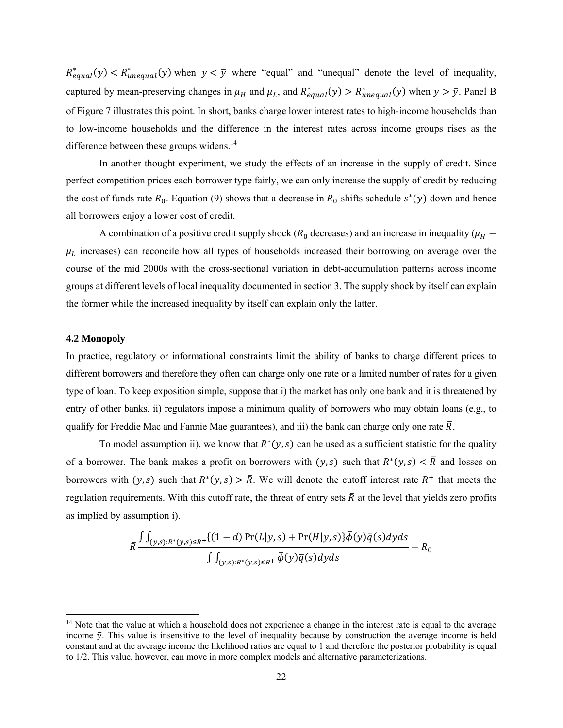$R_{equal}^*(y) < R_{unequal}^*(y)$  when  $y < \overline{y}$  where "equal" and "unequal" denote the level of inequality, captured by mean-preserving changes in  $\mu_H$  and  $\mu_L$ , and  $R_{equal}^*(y) > R_{unequal}^*(y)$  when  $y > \bar{y}$ . Panel B of Figure 7 illustrates this point. In short, banks charge lower interest rates to high-income households than to low-income households and the difference in the interest rates across income groups rises as the difference between these groups widens.<sup>14</sup>

 In another thought experiment, we study the effects of an increase in the supply of credit. Since perfect competition prices each borrower type fairly, we can only increase the supply of credit by reducing the cost of funds rate  $R_0$ . Equation (9) shows that a decrease in  $R_0$  shifts schedule  $s^*(y)$  down and hence all borrowers enjoy a lower cost of credit.

A combination of a positive credit supply shock ( $R_0$  decreases) and an increase in inequality ( $\mu_H$  –  $\mu_L$  increases) can reconcile how all types of households increased their borrowing on average over the course of the mid 2000s with the cross-sectional variation in debt-accumulation patterns across income groups at different levels of local inequality documented in section 3. The supply shock by itself can explain the former while the increased inequality by itself can explain only the latter.

### **4.2 Monopoly**

In practice, regulatory or informational constraints limit the ability of banks to charge different prices to different borrowers and therefore they often can charge only one rate or a limited number of rates for a given type of loan. To keep exposition simple, suppose that i) the market has only one bank and it is threatened by entry of other banks, ii) regulators impose a minimum quality of borrowers who may obtain loans (e.g., to qualify for Freddie Mac and Fannie Mae guarantees), and iii) the bank can charge only one rate  $\overline{R}$ .

To model assumption ii), we know that  $R<sup>*</sup>(y, s)$  can be used as a sufficient statistic for the quality of a borrower. The bank makes a profit on borrowers with  $(y, s)$  such that  $R<sup>*</sup>(y, s) < \overline{R}$  and losses on borrowers with  $(y, s)$  such that  $R<sup>*</sup>(y, s) > \overline{R}$ . We will denote the cutoff interest rate  $R<sup>+</sup>$  that meets the regulation requirements. With this cutoff rate, the threat of entry sets  $\bar{R}$  at the level that yields zero profits as implied by assumption i).

$$
\bar{R}\frac{\int \int_{(y,s):R^*(y,s)\leq R^+}\{(1-d)\Pr(L|y,s)+\Pr(H|y,s)\}\bar{\phi}(y)\bar{q}(s)dyds}{\int \int_{(y,s):R^*(y,s)\leq R^+}\bar{\phi}(y)\bar{q}(s)dyds} = R_0
$$

<sup>&</sup>lt;sup>14</sup> Note that the value at which a household does not experience a change in the interest rate is equal to the average income  $\bar{y}$ . This value is insensitive to the level of inequality because by construction the average income is held constant and at the average income the likelihood ratios are equal to 1 and therefore the posterior probability is equal to 1/2. This value, however, can move in more complex models and alternative parameterizations.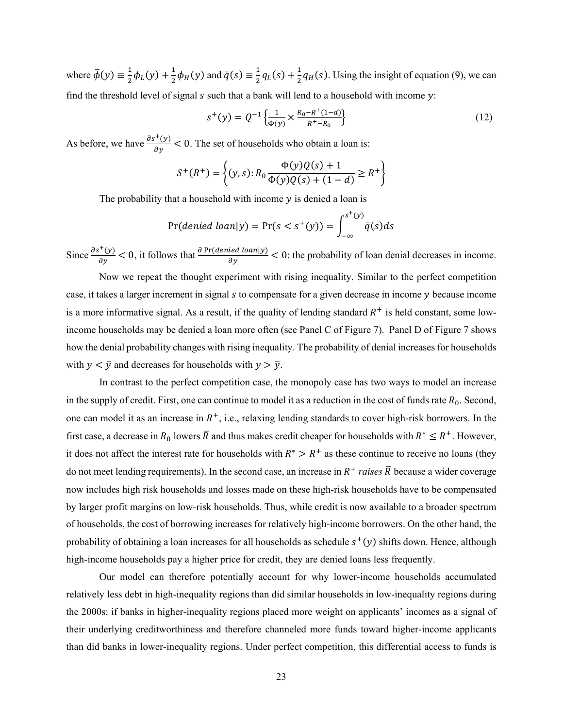where  $\bar{\phi}(y) \equiv \frac{1}{2} \phi_L(y) + \frac{1}{2} \phi_H(y)$  and  $\bar{q}(s) \equiv \frac{1}{2} q_L(s) + \frac{1}{2} q_H(s)$ . Using the insight of equation (9), we can find the threshold level of signal  $s$  such that a bank will lend to a household with income  $y$ :

$$
s^{+}(y) = Q^{-1}\left\{\frac{1}{\Phi(y)} \times \frac{R_0 - R^+(1-d)}{R^+ - R_0}\right\}
$$
 (12)

As before, we have  $\frac{\partial s^+(y)}{\partial y} < 0$ . The set of households who obtain a loan is:

$$
S^+(R^+) = \left\{ (y,s) : R_0 \frac{\Phi(y)Q(s) + 1}{\Phi(y)Q(s) + (1 - d)} \ge R^+ \right\}
$$

The probability that a household with income  $y$  is denied a loan is

$$
\Pr(\text{denied loan}|y) = \Pr(s < s^+(y)) = \int_{-\infty}^{s^+(y)} \overline{q}(s) \, ds
$$

Since  $\frac{\partial s^+(y)}{\partial y} < 0$ , it follows that  $\frac{\partial Pr(denied loan|y)}{\partial y} < 0$ : the probability of loan denial decreases in income.

Now we repeat the thought experiment with rising inequality. Similar to the perfect competition case, it takes a larger increment in signal s to compensate for a given decrease in income y because income is a more informative signal. As a result, if the quality of lending standard  $R^+$  is held constant, some lowincome households may be denied a loan more often (see Panel C of Figure 7). Panel D of Figure 7 shows how the denial probability changes with rising inequality. The probability of denial increases for households with  $y < \overline{y}$  and decreases for households with  $y > \overline{y}$ .

In contrast to the perfect competition case, the monopoly case has two ways to model an increase in the supply of credit. First, one can continue to model it as a reduction in the cost of funds rate  $R_0$ . Second, one can model it as an increase in  $R^+$ , i.e., relaxing lending standards to cover high-risk borrowers. In the first case, a decrease in  $R_0$  lowers  $\bar{R}$  and thus makes credit cheaper for households with  $R^* \leq R^+$ . However, it does not affect the interest rate for households with  $R^* > R^+$  as these continue to receive no loans (they do not meet lending requirements). In the second case, an increase in  $R^+$  *raises*  $\bar{R}$  because a wider coverage now includes high risk households and losses made on these high-risk households have to be compensated by larger profit margins on low-risk households. Thus, while credit is now available to a broader spectrum of households, the cost of borrowing increases for relatively high-income borrowers. On the other hand, the probability of obtaining a loan increases for all households as schedule  $s^+(y)$  shifts down. Hence, although high-income households pay a higher price for credit, they are denied loans less frequently.

 Our model can therefore potentially account for why lower-income households accumulated relatively less debt in high-inequality regions than did similar households in low-inequality regions during the 2000s: if banks in higher-inequality regions placed more weight on applicants' incomes as a signal of their underlying creditworthiness and therefore channeled more funds toward higher-income applicants than did banks in lower-inequality regions. Under perfect competition, this differential access to funds is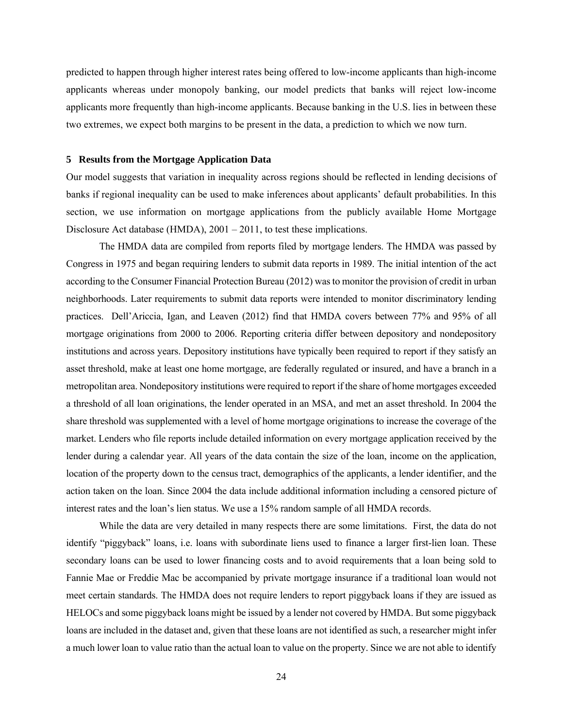predicted to happen through higher interest rates being offered to low-income applicants than high-income applicants whereas under monopoly banking, our model predicts that banks will reject low-income applicants more frequently than high-income applicants. Because banking in the U.S. lies in between these two extremes, we expect both margins to be present in the data, a prediction to which we now turn.

#### **5 Results from the Mortgage Application Data**

Our model suggests that variation in inequality across regions should be reflected in lending decisions of banks if regional inequality can be used to make inferences about applicants' default probabilities. In this section, we use information on mortgage applications from the publicly available Home Mortgage Disclosure Act database (HMDA), 2001 – 2011, to test these implications.

The HMDA data are compiled from reports filed by mortgage lenders. The HMDA was passed by Congress in 1975 and began requiring lenders to submit data reports in 1989. The initial intention of the act according to the Consumer Financial Protection Bureau (2012) was to monitor the provision of credit in urban neighborhoods. Later requirements to submit data reports were intended to monitor discriminatory lending practices. Dell'Ariccia, Igan, and Leaven (2012) find that HMDA covers between 77% and 95% of all mortgage originations from 2000 to 2006. Reporting criteria differ between depository and nondepository institutions and across years. Depository institutions have typically been required to report if they satisfy an asset threshold, make at least one home mortgage, are federally regulated or insured, and have a branch in a metropolitan area. Nondepository institutions were required to report if the share of home mortgages exceeded a threshold of all loan originations, the lender operated in an MSA, and met an asset threshold. In 2004 the share threshold was supplemented with a level of home mortgage originations to increase the coverage of the market. Lenders who file reports include detailed information on every mortgage application received by the lender during a calendar year. All years of the data contain the size of the loan, income on the application, location of the property down to the census tract, demographics of the applicants, a lender identifier, and the action taken on the loan. Since 2004 the data include additional information including a censored picture of interest rates and the loan's lien status. We use a 15% random sample of all HMDA records.

While the data are very detailed in many respects there are some limitations. First, the data do not identify "piggyback" loans, i.e. loans with subordinate liens used to finance a larger first-lien loan. These secondary loans can be used to lower financing costs and to avoid requirements that a loan being sold to Fannie Mae or Freddie Mac be accompanied by private mortgage insurance if a traditional loan would not meet certain standards. The HMDA does not require lenders to report piggyback loans if they are issued as HELOCs and some piggyback loans might be issued by a lender not covered by HMDA. But some piggyback loans are included in the dataset and, given that these loans are not identified as such, a researcher might infer a much lower loan to value ratio than the actual loan to value on the property. Since we are not able to identify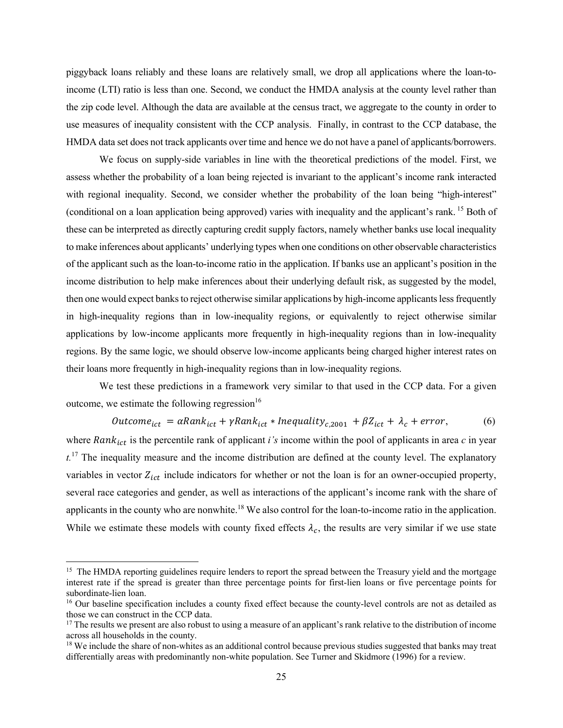piggyback loans reliably and these loans are relatively small, we drop all applications where the loan-toincome (LTI) ratio is less than one. Second, we conduct the HMDA analysis at the county level rather than the zip code level. Although the data are available at the census tract, we aggregate to the county in order to use measures of inequality consistent with the CCP analysis. Finally, in contrast to the CCP database, the HMDA data set does not track applicants over time and hence we do not have a panel of applicants/borrowers.

We focus on supply-side variables in line with the theoretical predictions of the model. First, we assess whether the probability of a loan being rejected is invariant to the applicant's income rank interacted with regional inequality. Second, we consider whether the probability of the loan being "high-interest" (conditional on a loan application being approved) varies with inequality and the applicant's rank. 15 Both of these can be interpreted as directly capturing credit supply factors, namely whether banks use local inequality to make inferences about applicants' underlying types when one conditions on other observable characteristics of the applicant such as the loan-to-income ratio in the application. If banks use an applicant's position in the income distribution to help make inferences about their underlying default risk, as suggested by the model, then one would expect banks to reject otherwise similar applications by high-income applicants less frequently in high-inequality regions than in low-inequality regions, or equivalently to reject otherwise similar applications by low-income applicants more frequently in high-inequality regions than in low-inequality regions. By the same logic, we should observe low-income applicants being charged higher interest rates on their loans more frequently in high-inequality regions than in low-inequality regions.

We test these predictions in a framework very similar to that used in the CCP data. For a given outcome, we estimate the following regression $16$ 

$$
Outcome_{ict} = \alpha Rank_{ict} + \gamma Rank_{ict} * Inequality_{c,2001} + \beta Z_{ict} + \lambda_c + error,
$$
 (6)

where  $Rank_{ict}$  is the percentile rank of applicant *i's* income within the pool of applicants in area  $c$  in year  $t^{17}$ . The inequality measure and the income distribution are defined at the county level. The explanatory variables in vector  $Z_{ict}$  include indicators for whether or not the loan is for an owner-occupied property, several race categories and gender, as well as interactions of the applicant's income rank with the share of applicants in the county who are nonwhite.<sup>18</sup> We also control for the loan-to-income ratio in the application. While we estimate these models with county fixed effects  $\lambda_c$ , the results are very similar if we use state

<sup>&</sup>lt;sup>15</sup> The HMDA reporting guidelines require lenders to report the spread between the Treasury yield and the mortgage interest rate if the spread is greater than three percentage points for first-lien loans or five percentage points for subordinate-lien loan.

<sup>&</sup>lt;sup>16</sup> Our baseline specification includes a county fixed effect because the county-level controls are not as detailed as those we can construct in the CCP data.

 $17$  The results we present are also robust to using a measure of an applicant's rank relative to the distribution of income across all households in the county.

<sup>&</sup>lt;sup>18</sup> We include the share of non-whites as an additional control because previous studies suggested that banks may treat differentially areas with predominantly non-white population. See Turner and Skidmore (1996) for a review.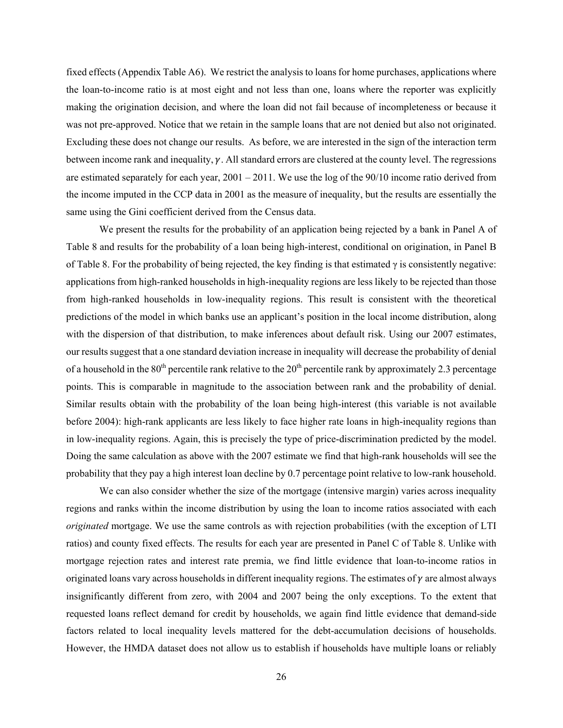fixed effects (Appendix Table A6). We restrict the analysis to loans for home purchases, applications where the loan-to-income ratio is at most eight and not less than one, loans where the reporter was explicitly making the origination decision, and where the loan did not fail because of incompleteness or because it was not pre-approved. Notice that we retain in the sample loans that are not denied but also not originated. Excluding these does not change our results. As before, we are interested in the sign of the interaction term between income rank and inequality,  $\gamma$ . All standard errors are clustered at the county level. The regressions are estimated separately for each year, 2001 – 2011. We use the log of the 90/10 income ratio derived from the income imputed in the CCP data in 2001 as the measure of inequality, but the results are essentially the same using the Gini coefficient derived from the Census data.

We present the results for the probability of an application being rejected by a bank in Panel A of Table 8 and results for the probability of a loan being high-interest, conditional on origination, in Panel B of Table 8. For the probability of being rejected, the key finding is that estimated  $\gamma$  is consistently negative: applications from high-ranked households in high-inequality regions are less likely to be rejected than those from high-ranked households in low-inequality regions. This result is consistent with the theoretical predictions of the model in which banks use an applicant's position in the local income distribution, along with the dispersion of that distribution, to make inferences about default risk. Using our 2007 estimates, our results suggest that a one standard deviation increase in inequality will decrease the probability of denial of a household in the  $80<sup>th</sup>$  percentile rank relative to the  $20<sup>th</sup>$  percentile rank by approximately 2.3 percentage points. This is comparable in magnitude to the association between rank and the probability of denial. Similar results obtain with the probability of the loan being high-interest (this variable is not available before 2004): high-rank applicants are less likely to face higher rate loans in high-inequality regions than in low-inequality regions. Again, this is precisely the type of price-discrimination predicted by the model. Doing the same calculation as above with the 2007 estimate we find that high-rank households will see the probability that they pay a high interest loan decline by 0.7 percentage point relative to low-rank household.

We can also consider whether the size of the mortgage (intensive margin) varies across inequality regions and ranks within the income distribution by using the loan to income ratios associated with each *originated* mortgage. We use the same controls as with rejection probabilities (with the exception of LTI ratios) and county fixed effects. The results for each year are presented in Panel C of Table 8. Unlike with mortgage rejection rates and interest rate premia, we find little evidence that loan-to-income ratios in originated loans vary across households in different inequality regions. The estimates of  $\gamma$  are almost always insignificantly different from zero, with 2004 and 2007 being the only exceptions. To the extent that requested loans reflect demand for credit by households, we again find little evidence that demand-side factors related to local inequality levels mattered for the debt-accumulation decisions of households. However, the HMDA dataset does not allow us to establish if households have multiple loans or reliably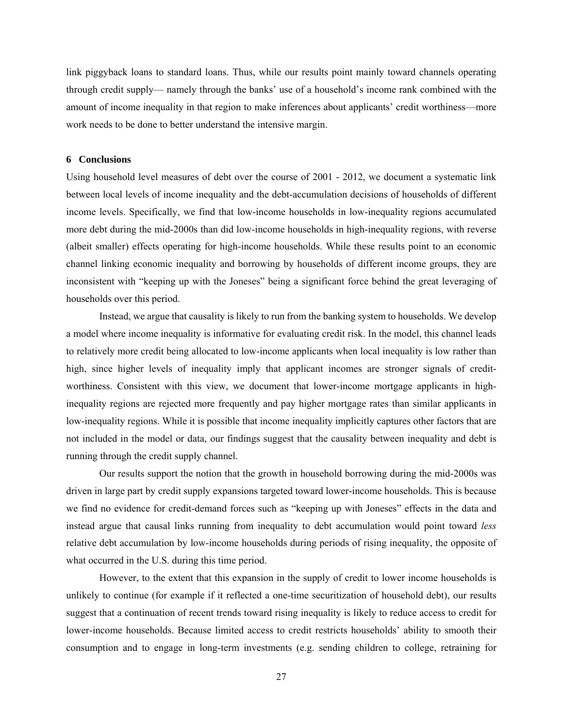link piggyback loans to standard loans. Thus, while our results point mainly toward channels operating through credit supply— namely through the banks' use of a household's income rank combined with the amount of income inequality in that region to make inferences about applicants' credit worthiness—more work needs to be done to better understand the intensive margin.

#### **6 Conclusions**

Using household level measures of debt over the course of 2001 - 2012, we document a systematic link between local levels of income inequality and the debt-accumulation decisions of households of different income levels. Specifically, we find that low-income households in low-inequality regions accumulated more debt during the mid-2000s than did low-income households in high-inequality regions, with reverse (albeit smaller) effects operating for high-income households. While these results point to an economic channel linking economic inequality and borrowing by households of different income groups, they are inconsistent with "keeping up with the Joneses" being a significant force behind the great leveraging of households over this period.

Instead, we argue that causality is likely to run from the banking system to households. We develop a model where income inequality is informative for evaluating credit risk. In the model, this channel leads to relatively more credit being allocated to low-income applicants when local inequality is low rather than high, since higher levels of inequality imply that applicant incomes are stronger signals of creditworthiness. Consistent with this view, we document that lower-income mortgage applicants in highinequality regions are rejected more frequently and pay higher mortgage rates than similar applicants in low-inequality regions. While it is possible that income inequality implicitly captures other factors that are not included in the model or data, our findings suggest that the causality between inequality and debt is running through the credit supply channel.

Our results support the notion that the growth in household borrowing during the mid-2000s was driven in large part by credit supply expansions targeted toward lower-income households. This is because we find no evidence for credit-demand forces such as "keeping up with Joneses" effects in the data and instead argue that causal links running from inequality to debt accumulation would point toward *less* relative debt accumulation by low-income households during periods of rising inequality, the opposite of what occurred in the U.S. during this time period.

However, to the extent that this expansion in the supply of credit to lower income households is unlikely to continue (for example if it reflected a one-time securitization of household debt), our results suggest that a continuation of recent trends toward rising inequality is likely to reduce access to credit for lower-income households. Because limited access to credit restricts households' ability to smooth their consumption and to engage in long-term investments (e.g. sending children to college, retraining for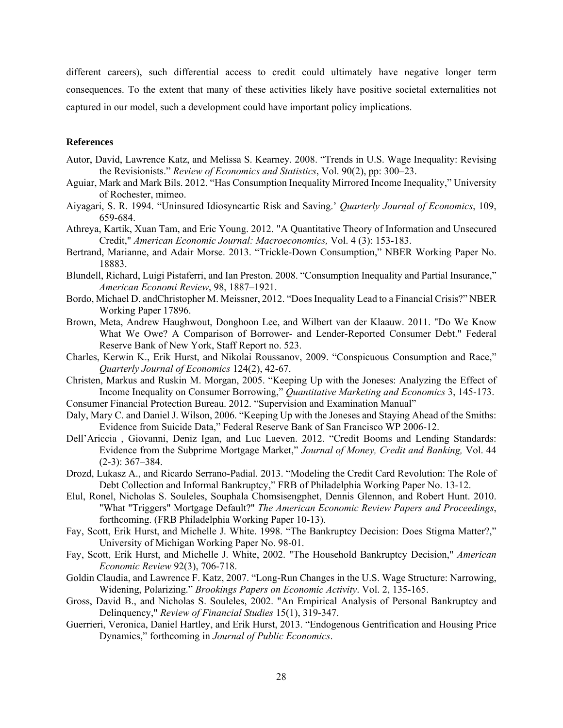different careers), such differential access to credit could ultimately have negative longer term consequences. To the extent that many of these activities likely have positive societal externalities not captured in our model, such a development could have important policy implications.

#### **References**

- Autor, David, Lawrence Katz, and Melissa S. Kearney. 2008. "Trends in U.S. Wage Inequality: Revising the Revisionists." *Review of Economics and Statistics*, Vol. 90(2), pp: 300–23.
- Aguiar, Mark and Mark Bils. 2012. "Has Consumption Inequality Mirrored Income Inequality," University of Rochester, mimeo.
- Aiyagari, S. R. 1994. "Uninsured Idiosyncartic Risk and Saving.' *Quarterly Journal of Economics*, 109, 659-684.
- Athreya, Kartik, Xuan Tam, and Eric Young. 2012. "A Quantitative Theory of Information and Unsecured Credit," *American Economic Journal: Macroeconomics,* Vol. 4 (3): 153-183.
- Bertrand, Marianne, and Adair Morse. 2013. "Trickle-Down Consumption," NBER Working Paper No. 18883.
- Blundell, Richard, Luigi Pistaferri, and Ian Preston. 2008. "Consumption Inequality and Partial Insurance," *American Economi Review*, 98, 1887–1921.
- Bordo, Michael D. andChristopher M. Meissner, 2012. "Does Inequality Lead to a Financial Crisis?" NBER Working Paper 17896.
- Brown, Meta, Andrew Haughwout, Donghoon Lee, and Wilbert van der Klaauw. 2011. "Do We Know What We Owe? A Comparison of Borrower- and Lender-Reported Consumer Debt." Federal Reserve Bank of New York, Staff Report no. 523.
- Charles, Kerwin K., Erik Hurst, and Nikolai Roussanov, 2009. "Conspicuous Consumption and Race," *Quarterly Journal of Economics* 124(2), 42-67.
- Christen, Markus and Ruskin M. Morgan, 2005. "Keeping Up with the Joneses: Analyzing the Effect of Income Inequality on Consumer Borrowing," *Quantitative Marketing and Economics* 3, 145-173.
- Consumer Financial Protection Bureau. 2012. "Supervision and Examination Manual"
- Daly, Mary C. and Daniel J. Wilson, 2006. "Keeping Up with the Joneses and Staying Ahead of the Smiths: Evidence from Suicide Data," Federal Reserve Bank of San Francisco WP 2006-12.
- Dell'Ariccia , Giovanni, Deniz Igan, and Luc Laeven. 2012. "Credit Booms and Lending Standards: Evidence from the Subprime Mortgage Market," *Journal of Money, Credit and Banking,* Vol. 44 (2-3): 367–384.
- Drozd, Lukasz A., and Ricardo Serrano-Padial. 2013. "Modeling the Credit Card Revolution: The Role of Debt Collection and Informal Bankruptcy," FRB of Philadelphia Working Paper No. 13-12.
- Elul, Ronel, Nicholas S. Souleles, Souphala Chomsisengphet, Dennis Glennon, and Robert Hunt. 2010. "What "Triggers" Mortgage Default?" *The American Economic Review Papers and Proceedings*, forthcoming. (FRB Philadelphia Working Paper 10-13).
- Fay, Scott, Erik Hurst, and Michelle J. White. 1998. "The Bankruptcy Decision: Does Stigma Matter?," University of Michigan Working Paper No. 98-01.
- Fay, Scott, Erik Hurst, and Michelle J. White, 2002. "The Household Bankruptcy Decision," *American Economic Review* 92(3), 706-718.
- Goldin Claudia, and Lawrence F. Katz, 2007. "Long-Run Changes in the U.S. Wage Structure: Narrowing, Widening, Polarizing." *Brookings Papers on Economic Activity*. Vol. 2, 135-165.
- Gross, David B., and Nicholas S. Souleles, 2002. "An Empirical Analysis of Personal Bankruptcy and Delinquency," *Review of Financial Studies* 15(1), 319-347.
- Guerrieri, Veronica, Daniel Hartley, and Erik Hurst, 2013. "Endogenous Gentrification and Housing Price Dynamics," forthcoming in *Journal of Public Economics*.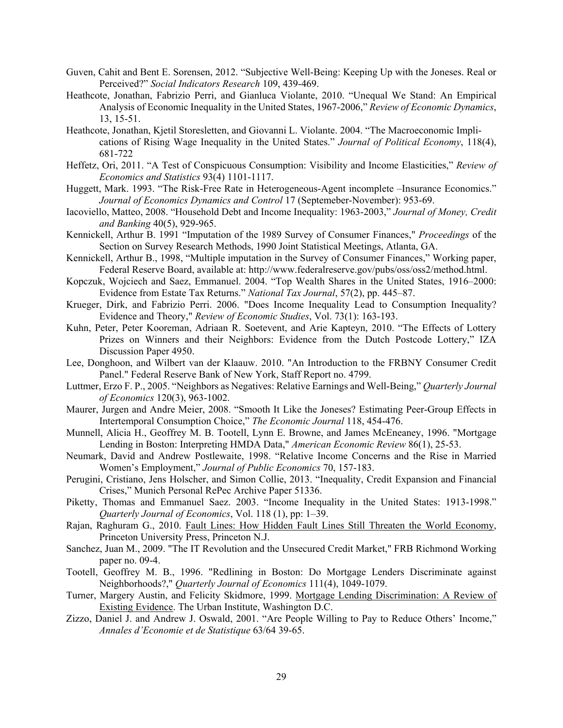- Guven, Cahit and Bent E. Sorensen, 2012. "Subjective Well-Being: Keeping Up with the Joneses. Real or Perceived?" *Social Indicators Research* 109, 439-469.
- Heathcote, Jonathan, Fabrizio Perri, and Gianluca Violante, 2010. "Unequal We Stand: An Empirical Analysis of Economic Inequality in the United States, 1967-2006," *Review of Economic Dynamics*, 13, 15-51.
- Heathcote, Jonathan, Kjetil Storesletten, and Giovanni L. Violante. 2004. "The Macroeconomic Implications of Rising Wage Inequality in the United States." *Journal of Political Economy*, 118(4), 681-722
- Heffetz, Ori, 2011. "A Test of Conspicuous Consumption: Visibility and Income Elasticities," *Review of Economics and Statistics* 93(4) 1101-1117.
- Huggett, Mark. 1993. "The Risk-Free Rate in Heterogeneous-Agent incomplete –Insurance Economics." *Journal of Economics Dynamics and Control* 17 (Septemeber-November): 953-69.
- Iacoviello, Matteo, 2008. "Household Debt and Income Inequality: 1963-2003," *Journal of Money, Credit and Banking* 40(5), 929-965.
- Kennickell, Arthur B. 1991 "Imputation of the 1989 Survey of Consumer Finances," *Proceedings* of the Section on Survey Research Methods, 1990 Joint Statistical Meetings, Atlanta, GA.
- Kennickell, Arthur B., 1998, "Multiple imputation in the Survey of Consumer Finances," Working paper, Federal Reserve Board, available at: http://www.federalreserve.gov/pubs/oss/oss2/method.html.
- Kopczuk, Wojciech and Saez, Emmanuel. 2004. "Top Wealth Shares in the United States, 1916–2000: Evidence from Estate Tax Returns." *National Tax Journal*, 57(2), pp. 445–87.
- Krueger, Dirk, and Fabrizio Perri. 2006. "Does Income Inequality Lead to Consumption Inequality? Evidence and Theory," *Review of Economic Studies*, Vol. 73(1): 163-193.
- Kuhn, Peter, Peter Kooreman, Adriaan R. Soetevent, and Arie Kapteyn, 2010. "The Effects of Lottery Prizes on Winners and their Neighbors: Evidence from the Dutch Postcode Lottery," IZA Discussion Paper 4950.
- Lee, Donghoon, and Wilbert van der Klaauw. 2010. "An Introduction to the FRBNY Consumer Credit Panel." Federal Reserve Bank of New York, Staff Report no. 4799.
- Luttmer, Erzo F. P., 2005. "Neighbors as Negatives: Relative Earnings and Well-Being," *Quarterly Journal of Economics* 120(3), 963-1002.
- Maurer, Jurgen and Andre Meier, 2008. "Smooth It Like the Joneses? Estimating Peer-Group Effects in Intertemporal Consumption Choice," *The Economic Journal* 118, 454-476.
- Munnell, Alicia H., Geoffrey M. B. Tootell, Lynn E. Browne, and James McEneaney, 1996. "Mortgage Lending in Boston: Interpreting HMDA Data," *American Economic Review* 86(1), 25-53.
- Neumark, David and Andrew Postlewaite, 1998. "Relative Income Concerns and the Rise in Married Women's Employment," *Journal of Public Economics* 70, 157-183.
- Perugini, Cristiano, Jens Holscher, and Simon Collie, 2013. "Inequality, Credit Expansion and Financial Crises," Munich Personal RePec Archive Paper 51336.
- Piketty, Thomas and Emmanuel Saez. 2003. "Income Inequality in the United States: 1913-1998." *Quarterly Journal of Economics*, Vol. 118 (1), pp: 1–39.
- Rajan, Raghuram G., 2010. Fault Lines: How Hidden Fault Lines Still Threaten the World Economy, Princeton University Press, Princeton N.J.
- Sanchez, Juan M., 2009. "The IT Revolution and the Unsecured Credit Market," FRB Richmond Working paper no. 09-4.
- Tootell, Geoffrey M. B., 1996. "Redlining in Boston: Do Mortgage Lenders Discriminate against Neighborhoods?," *Quarterly Journal of Economics* 111(4), 1049-1079.
- Turner, Margery Austin, and Felicity Skidmore, 1999. Mortgage Lending Discrimination: A Review of Existing Evidence. The Urban Institute, Washington D.C.
- Zizzo, Daniel J. and Andrew J. Oswald, 2001. "Are People Willing to Pay to Reduce Others' Income," *Annales d'Economie et de Statistique* 63/64 39-65.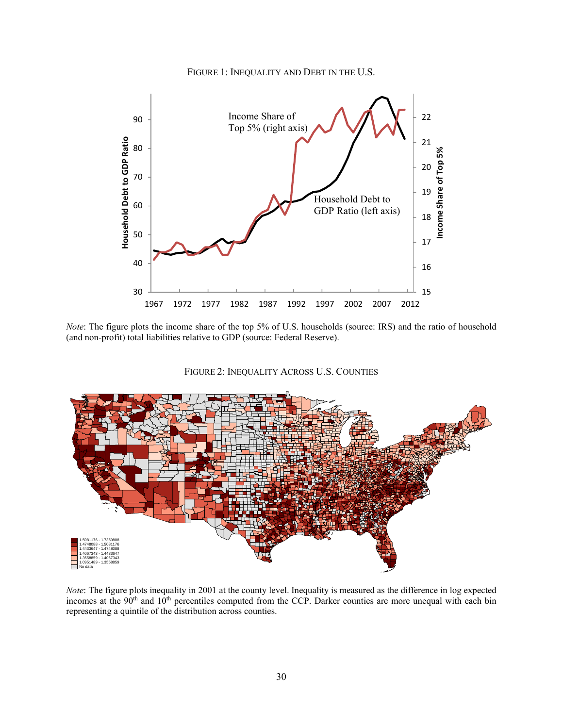



*Note*: The figure plots the income share of the top 5% of U.S. households (source: IRS) and the ratio of household (and non-profit) total liabilities relative to GDP (source: Federal Reserve).

FIGURE 2: INEQUALITY ACROSS U.S. COUNTIES



*Note*: The figure plots inequality in 2001 at the county level. Inequality is measured as the difference in log expected incomes at the 90<sup>th</sup> and 10<sup>th</sup> percentiles computed from the CCP. Darker counties are more unequal with each bin representing a quintile of the distribution across counties.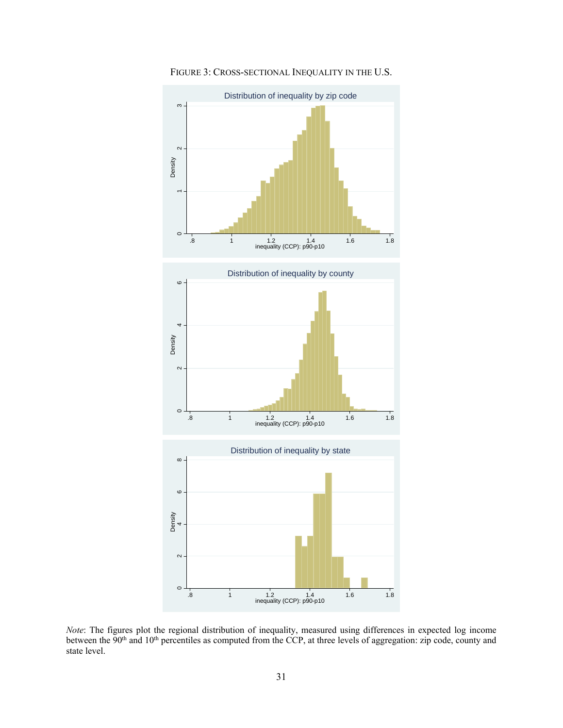

FIGURE 3: CROSS-SECTIONAL INEQUALITY IN THE U.S.

*Note*: The figures plot the regional distribution of inequality, measured using differences in expected log income between the 90<sup>th</sup> and 10<sup>th</sup> percentiles as computed from the CCP, at three levels of aggregation: zip code, county and state level.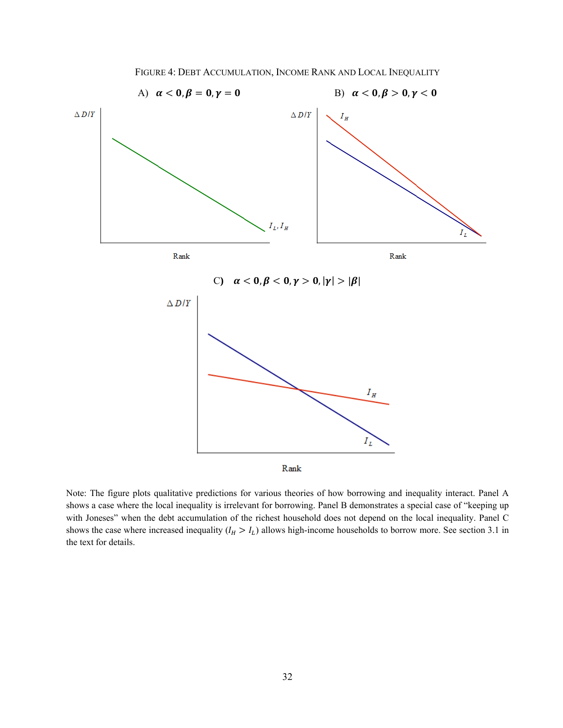

FIGURE 4: DEBT ACCUMULATION, INCOME RANK AND LOCAL INEQUALITY

Note: The figure plots qualitative predictions for various theories of how borrowing and inequality interact. Panel A shows a case where the local inequality is irrelevant for borrowing. Panel B demonstrates a special case of "keeping up with Joneses" when the debt accumulation of the richest household does not depend on the local inequality. Panel C shows the case where increased inequality  $(I_H > I_L)$  allows high-income households to borrow more. See section 3.1 in the text for details.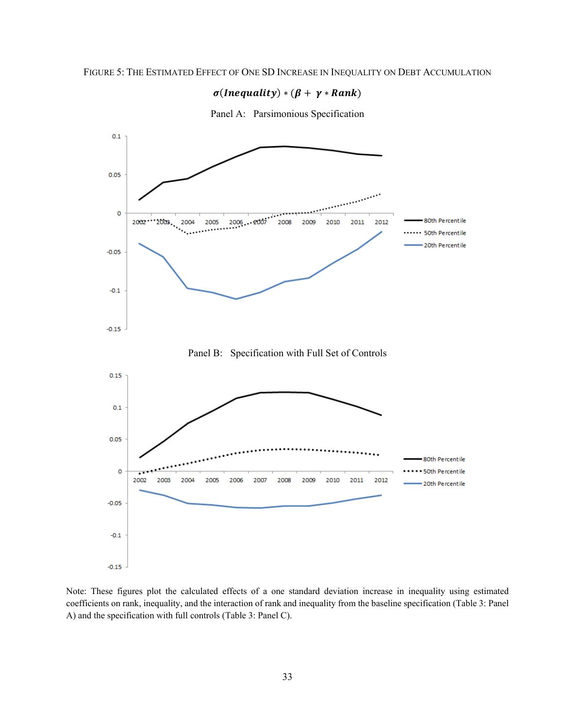### $\sigma(Inequality) * (\beta + \gamma * Rank)$





Note: These figures plot the calculated effects of a one standard deviation increase in inequality using estimated coefficients on rank, inequality, and the interaction of rank and inequality from the baseline specification (Table 3: Panel A) and the specification with full controls (Table 3: Panel C).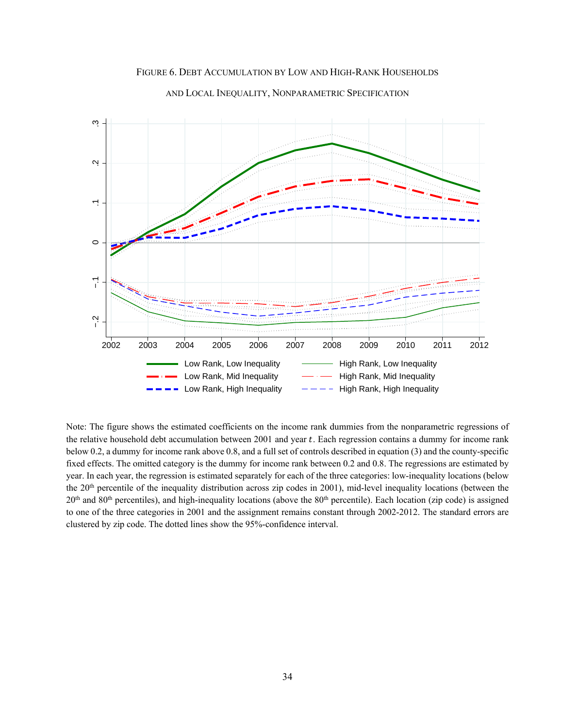

FIGURE 6. DEBT ACCUMULATION BY LOW AND HIGH-RANK HOUSEHOLDS

AND LOCAL INEQUALITY, NONPARAMETRIC SPECIFICATION

Note: The figure shows the estimated coefficients on the income rank dummies from the nonparametric regressions of the relative household debt accumulation between 2001 and year t. Each regression contains a dummy for income rank below 0.2, a dummy for income rank above 0.8, and a full set of controls described in equation (3) and the county-specific fixed effects. The omitted category is the dummy for income rank between 0.2 and 0.8. The regressions are estimated by year. In each year, the regression is estimated separately for each of the three categories: low-inequality locations (below the 20<sup>th</sup> percentile of the inequality distribution across zip codes in 2001), mid-level inequality locations (between the  $20<sup>th</sup>$  and  $80<sup>th</sup>$  percentiles), and high-inequality locations (above the  $80<sup>th</sup>$  percentile). Each location (zip code) is assigned to one of the three categories in 2001 and the assignment remains constant through 2002-2012. The standard errors are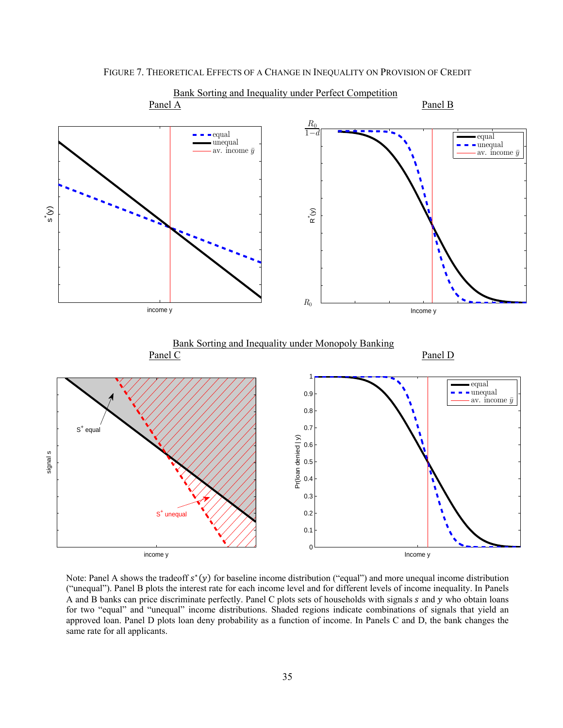

 $\tilde{R}^{*}(y)$ 

 $R_0$ 

FIGURE 7. THEORETICAL EFFECTS OF A CHANGE IN INEQUALITY ON PROVISION OF CREDIT

Bank Sorting and Inequality under Monopoly Banking Panel C Panel D 1 equal 0.9 unequal av. income  $\bar{y}$ 0.8 0.7 S<sup>+</sup> equal Pr(loan denied | y) Pr(loan denied | y) 0.6 signal s 0.5 0.4 0.3 0.2 S<sup>+</sup> unequal 0.1  $\Omega$ Income y

Income y

income y

income y

s\*(y)

Note: Panel A shows the tradeoff  $s<sup>*</sup>(y)$  for baseline income distribution ("equal") and more unequal income distribution ("unequal"). Panel B plots the interest rate for each income level and for different levels of income inequality. In Panels A and B banks can price discriminate perfectly. Panel C plots sets of households with signals  $s$  and  $y$  who obtain loans for two "equal" and "unequal" income distributions. Shaded regions indicate combinations of signals that yield an approved loan. Panel D plots loan deny probability as a function of income. In Panels C and D, the bank changes the same rate for all applicants.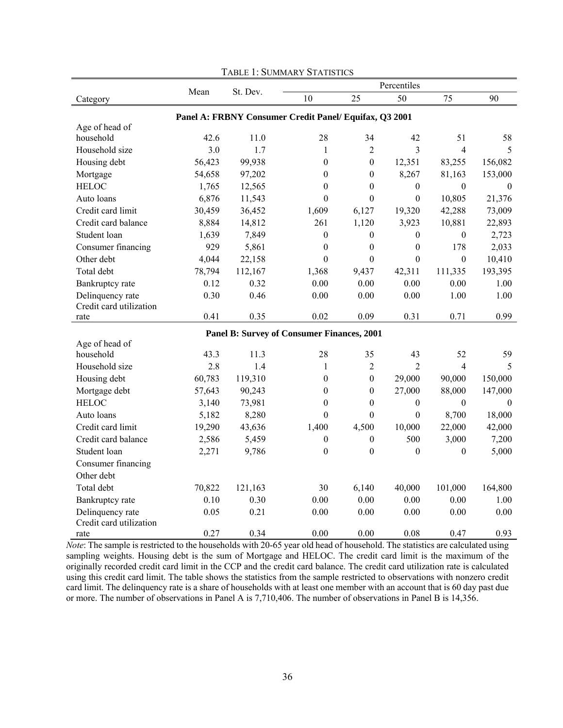|                                 |        |          |                                                        |                  | Percentiles      |                  |                |
|---------------------------------|--------|----------|--------------------------------------------------------|------------------|------------------|------------------|----------------|
| Category                        | Mean   | St. Dev. | 10                                                     | 25               | 50               | 75               | 90             |
|                                 |        |          | Panel A: FRBNY Consumer Credit Panel/ Equifax, Q3 2001 |                  |                  |                  |                |
| Age of head of                  |        |          |                                                        |                  |                  |                  |                |
| household                       | 42.6   | 11.0     | 28                                                     | 34               | 42               | 51               | 58             |
| Household size                  | 3.0    | 1.7      | $\mathbf{1}$                                           | $\overline{2}$   | 3                | $\overline{4}$   | 5              |
| Housing debt                    | 56,423 | 99,938   | $\boldsymbol{0}$                                       | $\boldsymbol{0}$ | 12,351           | 83,255           | 156,082        |
| Mortgage                        | 54,658 | 97,202   | $\boldsymbol{0}$                                       | $\mathbf{0}$     | 8,267            | 81,163           | 153,000        |
| <b>HELOC</b>                    | 1,765  | 12,565   | $\boldsymbol{0}$                                       | $\mathbf{0}$     | $\boldsymbol{0}$ | $\boldsymbol{0}$ | $\overline{0}$ |
| Auto loans                      | 6,876  | 11,543   | $\boldsymbol{0}$                                       | $\mathbf{0}$     | $\mathbf{0}$     | 10,805           | 21,376         |
| Credit card limit               | 30,459 | 36,452   | 1,609                                                  | 6,127            | 19,320           | 42,288           | 73,009         |
| Credit card balance             | 8,884  | 14,812   | 261                                                    | 1,120            | 3,923            | 10,881           | 22,893         |
| Student loan                    | 1,639  | 7,849    | $\mathbf{0}$                                           | $\boldsymbol{0}$ | $\theta$         | $\overline{0}$   | 2,723          |
| Consumer financing              | 929    | 5,861    | $\boldsymbol{0}$                                       | $\boldsymbol{0}$ | $\boldsymbol{0}$ | 178              | 2,033          |
| Other debt                      | 4,044  | 22,158   | $\boldsymbol{0}$                                       | $\boldsymbol{0}$ | $\boldsymbol{0}$ | $\boldsymbol{0}$ | 10,410         |
| Total debt                      | 78,794 | 112,167  | 1,368                                                  | 9,437            | 42,311           | 111,335          | 193,395        |
| Bankruptcy rate                 | 0.12   | 0.32     | 0.00                                                   | 0.00             | $0.00\,$         | 0.00             | 1.00           |
| Delinquency rate                | 0.30   | 0.46     | 0.00                                                   | 0.00             | 0.00             | 1.00             | 1.00           |
| Credit card utilization         |        |          |                                                        |                  |                  |                  |                |
| rate                            | 0.41   | 0.35     | 0.02                                                   | 0.09             | 0.31             | 0.71             | 0.99           |
|                                 |        |          | Panel B: Survey of Consumer Finances, 2001             |                  |                  |                  |                |
| Age of head of                  |        |          |                                                        |                  |                  |                  |                |
| household                       | 43.3   | 11.3     | 28                                                     | 35               | 43               | 52               | 59             |
| Household size                  | 2.8    | 1.4      | $\mathbf{1}$                                           | $\overline{2}$   | $\overline{2}$   | $\overline{4}$   | 5              |
| Housing debt                    | 60,783 | 119,310  | $\boldsymbol{0}$                                       | $\boldsymbol{0}$ | 29,000           | 90,000           | 150,000        |
| Mortgage debt                   | 57,643 | 90,243   | $\mathbf{0}$                                           | $\boldsymbol{0}$ | 27,000           | 88,000           | 147,000        |
| <b>HELOC</b>                    | 3,140  | 73,981   | $\boldsymbol{0}$                                       | $\boldsymbol{0}$ | $\boldsymbol{0}$ | $\mathbf{0}$     | $\theta$       |
| Auto loans                      | 5,182  | 8,280    | $\theta$                                               | $\mathbf{0}$     | $\boldsymbol{0}$ | 8,700            | 18,000         |
| Credit card limit               | 19,290 | 43,636   | 1,400                                                  | 4,500            | 10,000           | 22,000           | 42,000         |
| Credit card balance             | 2,586  | 5,459    | $\boldsymbol{0}$                                       | $\boldsymbol{0}$ | 500              | 3,000            | 7,200          |
| Student loan                    | 2,271  | 9,786    | $\mathbf{0}$                                           | $\mathbf{0}$     | $\boldsymbol{0}$ | $\boldsymbol{0}$ | 5,000          |
| Consumer financing              |        |          |                                                        |                  |                  |                  |                |
| Other debt                      |        |          |                                                        |                  |                  |                  |                |
| Total debt                      | 70,822 | 121,163  | 30                                                     | 6,140            | 40,000           | 101,000          | 164,800        |
| Bankruptcy rate                 | 0.10   | 0.30     | 0.00                                                   | 0.00             | 0.00             | 0.00             | 1.00           |
| Delinquency rate                | 0.05   | 0.21     | 0.00                                                   | 0.00             | 0.00             | 0.00             | 0.00           |
| Credit card utilization<br>rate | 0.27   | 0.34     | 0.00                                                   | 0.00             | 0.08             | 0.47             | 0.93           |

TABLE 1: SUMMARY STATISTICS

*Note*: The sample is restricted to the households with 20-65 year old head of household. The statistics are calculated using sampling weights. Housing debt is the sum of Mortgage and HELOC. The credit card limit is the maximum of the originally recorded credit card limit in the CCP and the credit card balance. The credit card utilization rate is calculated using this credit card limit. The table shows the statistics from the sample restricted to observations with nonzero credit card limit. The delinquency rate is a share of households with at least one member with an account that is 60 day past due or more. The number of observations in Panel A is 7,710,406. The number of observations in Panel B is 14,356.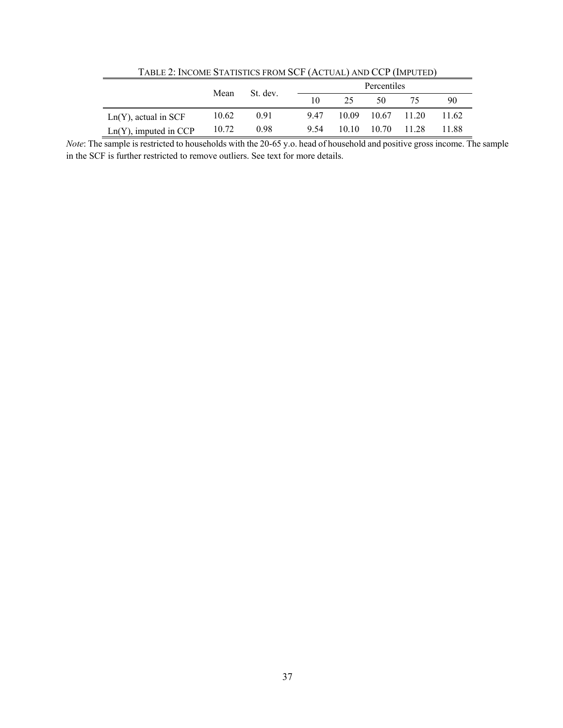| TABLE 2: INCOME STATISTICS FROM SCF (ACTUAL) AND CCP (IMPUTED) |       |          |      |       |                   |       |       |
|----------------------------------------------------------------|-------|----------|------|-------|-------------------|-------|-------|
|                                                                |       | St. dev. |      |       | Percentiles       |       |       |
|                                                                | Mean  |          | 10   | 25    | 50                |       | 90    |
| $Ln(Y)$ , actual in SCF                                        | 10.62 | 0.91     | 947  |       | 10.09 10.67 11.20 |       | 11.62 |
| $Ln(Y)$ , imputed in CCP                                       | 10.72 | 0.98     | 9.54 | 10 10 | 10.70             | 11 28 | 11.88 |

*Note*: The sample is restricted to households with the 20-65 y.o. head of household and positive gross income. The sample in the SCF is further restricted to remove outliers. See text for more details.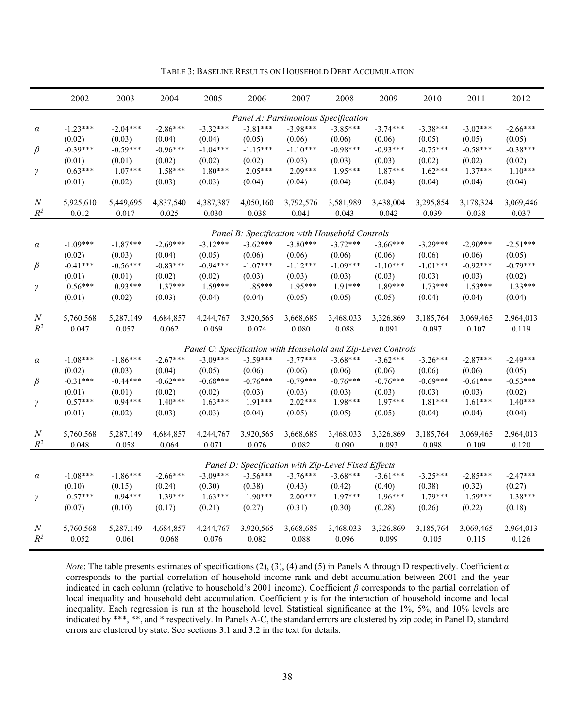|                  | 2002       | 2003       | 2004       | 2005       | 2006                                                         | 2007       | 2008       | 2009       | 2010       | 2011       | 2012       |
|------------------|------------|------------|------------|------------|--------------------------------------------------------------|------------|------------|------------|------------|------------|------------|
|                  |            |            |            |            | Panel A: Parsimonious Specification                          |            |            |            |            |            |            |
| $\alpha$         | $-1.23***$ | $-2.04***$ | $-2.86***$ | $-3.32***$ | $-3.81***$                                                   | $-3.98***$ | $-3.85***$ | $-3.74***$ | $-3.38***$ | $-3.02***$ | $-2.66***$ |
|                  | (0.02)     | (0.03)     | (0.04)     | (0.04)     | (0.05)                                                       | (0.06)     | (0.06)     | (0.06)     | (0.05)     | (0.05)     | (0.05)     |
| β                | $-0.39***$ | $-0.59***$ | $-0.96***$ | $-1.04***$ | $-1.15***$                                                   | $-1.10***$ | $-0.98***$ | $-0.93***$ | $-0.75***$ | $-0.58***$ | $-0.38***$ |
|                  | (0.01)     | (0.01)     | (0.02)     | (0.02)     | (0.02)                                                       | (0.03)     | (0.03)     | (0.03)     | (0.02)     | (0.02)     | (0.02)     |
| $\gamma$         | $0.63***$  | $1.07***$  | 1.58***    | $1.80***$  | $2.05***$                                                    | $2.09***$  | $1.95***$  | $1.87***$  | $1.62***$  | $1.37***$  | $1.10***$  |
|                  | (0.01)     | (0.02)     | (0.03)     | (0.03)     | (0.04)                                                       | (0.04)     | (0.04)     | (0.04)     | (0.04)     | (0.04)     | (0.04)     |
| $\cal N$         | 5,925,610  | 5,449,695  | 4,837,540  | 4,387,387  | 4,050,160                                                    | 3,792,576  | 3,581,989  | 3,438,004  | 3,295,854  | 3,178,324  | 3,069,446  |
| $R^2$            | 0.012      | 0.017      | 0.025      | 0.030      | 0.038                                                        | 0.041      | 0.043      | 0.042      | 0.039      | 0.038      | 0.037      |
|                  |            |            |            |            |                                                              |            |            |            |            |            |            |
|                  |            |            |            |            | Panel B: Specification with Household Controls               |            |            |            |            |            |            |
| $\alpha$         | $-1.09***$ | $-1.87***$ | $-2.69***$ | $-3.12***$ | $-3.62***$                                                   | $-3.80***$ | $-3.72***$ | $-3.66***$ | $-3.29***$ | $-2.90***$ | $-2.51***$ |
|                  | (0.02)     | (0.03)     | (0.04)     | (0.05)     | (0.06)                                                       | (0.06)     | (0.06)     | (0.06)     | (0.06)     | (0.06)     | (0.05)     |
| $\beta$          | $-0.41***$ | $-0.56***$ | $-0.83***$ | $-0.94***$ | $-1.07***$                                                   | $-1.12***$ | $-1.09***$ | $-1.10***$ | $-1.01***$ | $-0.92***$ | $-0.79***$ |
|                  | (0.01)     | (0.01)     | (0.02)     | (0.02)     | (0.03)                                                       | (0.03)     | (0.03)     | (0.03)     | (0.03)     | (0.03)     | (0.02)     |
| γ                | $0.56***$  | $0.93***$  | $1.37***$  | $1.59***$  | 1.85***                                                      | $1.95***$  | $1.91***$  | 1.89***    | $1.73***$  | $1.53***$  | $1.33***$  |
|                  | (0.01)     | (0.02)     | (0.03)     | (0.04)     | (0.04)                                                       | (0.05)     | (0.05)     | (0.05)     | (0.04)     | (0.04)     | (0.04)     |
| $\boldsymbol{N}$ | 5,760,568  | 5,287,149  | 4,684,857  | 4,244,767  | 3,920,565                                                    | 3,668,685  | 3,468,033  | 3,326,869  | 3,185,764  | 3,069,465  | 2,964,013  |
| $R^2$            | 0.047      | 0.057      | 0.062      | 0.069      | 0.074                                                        | 0.080      | 0.088      | 0.091      | 0.097      | 0.107      | 0.119      |
|                  |            |            |            |            |                                                              |            |            |            |            |            |            |
|                  |            |            |            |            | Panel C: Specification with Household and Zip-Level Controls |            |            |            |            |            |            |
| $\alpha$         | $-1.08***$ | $-1.86***$ | $-2.67***$ | $-3.09***$ | $-3.59***$                                                   | $-3.77***$ | $-3.68***$ | $-3.62***$ | $-3.26***$ | $-2.87***$ | $-2.49***$ |
|                  | (0.02)     | (0.03)     | (0.04)     | (0.05)     | (0.06)                                                       | (0.06)     | (0.06)     | (0.06)     | (0.06)     | (0.06)     | (0.05)     |
| $\beta$          | $-0.31***$ | $-0.44***$ | $-0.62***$ | $-0.68***$ | $-0.76***$                                                   | $-0.79***$ | $-0.76***$ | $-0.76***$ | $-0.69***$ | $-0.61***$ | $-0.53***$ |
|                  | (0.01)     | (0.01)     | (0.02)     | (0.02)     | (0.03)                                                       | (0.03)     | (0.03)     | (0.03)     | (0.03)     | (0.03)     | (0.02)     |
| $\gamma$         | $0.57***$  | $0.94***$  | $1.40***$  | $1.63***$  | $1.91***$                                                    | $2.02***$  | 1.98***    | $1.97***$  | $1.81***$  | $1.61***$  | $1.40***$  |
|                  | (0.01)     | (0.02)     | (0.03)     | (0.03)     | (0.04)                                                       | (0.05)     | (0.05)     | (0.05)     | (0.04)     | (0.04)     | (0.04)     |
| $\boldsymbol{N}$ | 5,760,568  | 5,287,149  | 4,684,857  | 4,244,767  | 3,920,565                                                    | 3,668,685  | 3,468,033  | 3,326,869  | 3,185,764  | 3,069,465  | 2,964,013  |
| $R^2$            | 0.048      | 0.058      | 0.064      | 0.071      | 0.076                                                        | 0.082      | 0.090      | 0.093      | 0.098      | 0.109      | 0.120      |
|                  |            |            |            |            |                                                              |            |            |            |            |            |            |
|                  |            |            |            |            | Panel D: Specification with Zip-Level Fixed Effects          |            |            |            |            |            |            |
| α                | $-1.08***$ | $-1.86***$ | $-2.66***$ | $-3.09***$ | $-3.56***$                                                   | $-3.76***$ | $-3.68***$ | $-3.61***$ | $-3.25***$ | $-2.85***$ | $-2.47***$ |
|                  | (0.10)     | (0.15)     | (0.24)     | (0.30)     | (0.38)                                                       | (0.43)     | (0.42)     | (0.40)     | (0.38)     | (0.32)     | (0.27)     |
| $\gamma$         | $0.57***$  | $0.94***$  | $1.39***$  | $1.63***$  | $1.90***$                                                    | $2.00***$  | $1.97***$  | $1.96***$  | $1.79***$  | $1.59***$  | $1.38***$  |
|                  | (0.07)     | (0.10)     | (0.17)     | (0.21)     | (0.27)                                                       | (0.31)     | (0.30)     | (0.28)     | (0.26)     | (0.22)     | (0.18)     |
| $\boldsymbol{N}$ | 5,760,568  | 5,287,149  | 4,684,857  | 4,244,767  | 3,920,565                                                    | 3,668,685  | 3,468,033  | 3,326,869  | 3,185,764  | 3,069,465  | 2,964,013  |
| $R^2$            | 0.052      | 0.061      | 0.068      | 0.076      | 0.082                                                        | 0.088      | 0.096      | 0.099      | 0.105      | 0.115      | 0.126      |
|                  |            |            |            |            |                                                              |            |            |            |            |            |            |

TABLE 3: BASELINE RESULTS ON HOUSEHOLD DEBT ACCUMULATION

*Note*: The table presents estimates of specifications (2), (3), (4) and (5) in Panels A through D respectively. Coefficient *α* corresponds to the partial correlation of household income rank and debt accumulation between 2001 and the year indicated in each column (relative to household's 2001 income). Coefficient *β* corresponds to the partial correlation of local inequality and household debt accumulation. Coefficient *γ* is for the interaction of household income and local inequality. Each regression is run at the household level. Statistical significance at the 1%, 5%, and 10% levels are indicated by \*\*\*, \*\*, and \* respectively. In Panels A-C, the standard errors are clustered by zip code; in Panel D, standard errors are clustered by state. See sections 3.1 and 3.2 in the text for details.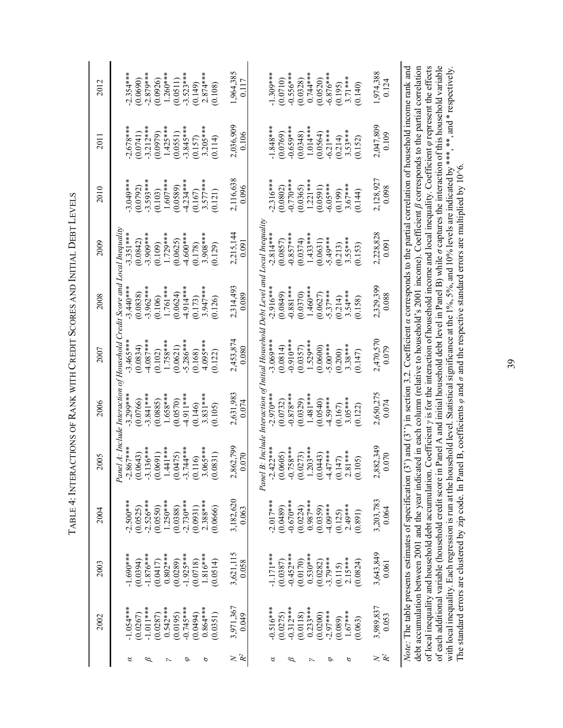| i<br> <br>          |  |
|---------------------|--|
|                     |  |
|                     |  |
| ׇ֬֘֒<br>I           |  |
| ֠                   |  |
|                     |  |
| ֕                   |  |
|                     |  |
|                     |  |
|                     |  |
|                     |  |
|                     |  |
| l                   |  |
| l                   |  |
|                     |  |
| I                   |  |
|                     |  |
|                     |  |
|                     |  |
|                     |  |
|                     |  |
|                     |  |
|                     |  |
|                     |  |
|                     |  |
|                     |  |
| i                   |  |
|                     |  |
|                     |  |
|                     |  |
|                     |  |
|                     |  |
| İ                   |  |
|                     |  |
|                     |  |
| ֘֝֕                 |  |
| $\overline{1}$<br>֠ |  |
| ֠<br>l              |  |
|                     |  |
|                     |  |
|                     |  |
|                     |  |
|                     |  |
|                     |  |
|                     |  |
| l                   |  |
|                     |  |
|                     |  |
|                     |  |
|                     |  |
|                     |  |
|                     |  |
|                     |  |
| ׇ֚                  |  |
|                     |  |
|                     |  |
|                     |  |
|                     |  |
|                     |  |
|                     |  |
| I                   |  |
|                     |  |
|                     |  |
|                     |  |
|                     |  |
|                     |  |
| ֚֕֕֡                |  |
|                     |  |
| $\frac{1}{2}$<br>֚  |  |

|                              | 2002         | 2003                                                      | 2004        | 2005                                                                                                                                                                     | 2006        | 2007                                                                                                                          | 2008        | 2009        | 2010        | 2011        | 2012        |
|------------------------------|--------------|-----------------------------------------------------------|-------------|--------------------------------------------------------------------------------------------------------------------------------------------------------------------------|-------------|-------------------------------------------------------------------------------------------------------------------------------|-------------|-------------|-------------|-------------|-------------|
|                              |              |                                                           |             |                                                                                                                                                                          |             |                                                                                                                               |             |             |             |             |             |
| 8                            | $-1.054***$  | $-1.690***$                                               | $-2.500***$ | $-2.867***$                                                                                                                                                              | $3.299***$  | Panel A: Include Interaction of Household Credit Score and Local Inequality<br>$-3.465***$                                    | $3.440***$  | $-3.351***$ | $3.049***$  | $2.678***$  | $2.354***$  |
|                              | (0.0267)     | (0.0394)                                                  | (0.0525)    | $(0.0643)$<br>$-3.136***$<br>$(0.0691)$<br>$(0.0691)$<br>$(1.441***$<br>$(1.0475)$<br>$(0.116)$<br>$-3.744***$<br>$(0.116)$                                              | (0.0766)    | (0.0834)                                                                                                                      | (0.0838)    | (0.0842)    | (0.0792)    | (0.0741)    | (0.0690)    |
| $^{\scriptscriptstyle\beta}$ | $-1.011$ *** | $-1.876***$                                               | $-2.526***$ |                                                                                                                                                                          | $-3.841***$ | $-4.087***$                                                                                                                   | $3.962***$  | $3.909***$  | $3.593***$  | $-3.212***$ | $-2.879***$ |
|                              | (0.0287)     | (0.0417)                                                  | (0.0550)    |                                                                                                                                                                          | (0.0885)    | (0.102)                                                                                                                       | (0.106)     | (0.109)     | (0.103)     | (0.0979)    | (0.0926)    |
| $\overline{\phantom{1}}$     | $0.542***$   | $0.802***$                                                | $1.250***$  |                                                                                                                                                                          | $1.658***$  | $1.758***$                                                                                                                    | 1.761 ***   | $1.729***$  | $1.607***$  | $1.425***$  | $1.260***$  |
|                              | (0.0195)     | (0.0289)                                                  | (0.0388)    |                                                                                                                                                                          | (0.0570)    | (0.0621)                                                                                                                      | (0.0624)    | (0.0625)    | (0.0589)    | (0.0551)    | (0.0511)    |
| P                            | $-0.745***$  | $-1.925***$                                               | $-2.730***$ |                                                                                                                                                                          | $-4.911***$ | $5.286***$                                                                                                                    | $-4.914***$ | $-4.600**$  | $-4.234***$ | $3.845***$  | $-3.523***$ |
|                              | (0.0494)     | (0.0718)                                                  | (0.0931)    |                                                                                                                                                                          | (0.146)     | (0.168)                                                                                                                       | (0.173)     | (0.178)     | (0.167)     | (0.157)     | (0.149)     |
| ь                            | $0.864***$   | $1.816***$                                                | $2.388***$  |                                                                                                                                                                          | $3.831***$  | 4.095***                                                                                                                      | $3.947***$  | $3.908***$  | $3.577***$  | $3.205***$  | $2.874***$  |
|                              | (0.0351)     | (0.0514)                                                  | 0.0666      | (158)<br>$\tilde{e}$                                                                                                                                                     | (5010)      | (0.122)                                                                                                                       | 0.126       | (0.129)     | (121)       | (114)       | (0.108)     |
| $\geq$                       | 3,971,367    | 3,621,115                                                 | 3,182,620   | 2,862,799                                                                                                                                                                | 2,631,983   | 2,453,874                                                                                                                     | 2,314,493   | 2,215,144   | 2,116,638   | 2,036,909   | 1,964,385   |
| $\mathcal{R}^2$              | 0.049        | 0.058                                                     | 0.063       | 0.070                                                                                                                                                                    | 0.074       | 0.080                                                                                                                         | 0.089       | 0.091       | 0.096       | 0.106       | 0.117       |
|                              |              |                                                           |             |                                                                                                                                                                          |             |                                                                                                                               |             |             |             |             |             |
| 8                            | $-0.516***$  | $-1.171***$                                               | $-2.017***$ | Panel B: Include Interaction of Initial Household Debt Level and Local Inequality<br>$-2.422**$<br>$(0.0605)$<br>$0.758***$<br>$-0.758***$<br>$(0.0273)$<br>$1.203***$   | $-2.970***$ | $-3.069***$                                                                                                                   | $-2.916**$  | $-2.814***$ | $2.316***$  | $-1.848***$ | $-1.309***$ |
|                              |              |                                                           | (0.0489)    |                                                                                                                                                                          |             |                                                                                                                               |             |             |             |             |             |
|                              | (0.0275)     | (0.0387)                                                  |             |                                                                                                                                                                          | (0.0732)    | (0.0814)                                                                                                                      | (6180, 0)   | (0.0857)    | (0.0802)    | (0.0769)    | (0.0710)    |
| $^{\varnothing}$             | $-0.312***$  | $-0.452***$                                               | $-0.670***$ |                                                                                                                                                                          | $-0.878***$ | $-0.910***$                                                                                                                   | $-0.881***$ | $-0.857***$ | $-0.770***$ | $-0.659***$ | $-0.556***$ |
|                              | (0.0118)     | (0.0170)                                                  | (0.0224)    |                                                                                                                                                                          | (0.0329)    | (0.0357)                                                                                                                      | (0.0370)    | (0.0374)    | (0.0365)    | (0.0348)    | (0.0328)    |
| $\overline{\phantom{1}}$     | $0.233***$   | $0.530***$                                                | $0.987***$  |                                                                                                                                                                          | $1.481***$  | 1.529***                                                                                                                      | $1.460***$  | $1.433***$  | $1.221***$  | $1.014***$  | $0.744***$  |
|                              | (0.0200)     | (0.0282)                                                  | (0.0359)    | (0.0443)                                                                                                                                                                 | (0.0540)    | (0.0600)                                                                                                                      | (0.0627)    | (0.0631)    | (0.0591)    | (0.0564)    | (0.0520)    |
| э                            | $-2.97***$   | $-3.79***$                                                | $-4.09***$  | $-4.47***$                                                                                                                                                               | $-4.59***$  | $-5.00***$                                                                                                                    | $-5.37***$  | $-5.49***$  | $-6.05***$  | $-6.21***$  | $-6.876***$ |
|                              | (0.089)      | (0.115)                                                   | (0.125)     |                                                                                                                                                                          | (0.167)     | (0.200)                                                                                                                       | (0.214)     | (0.213)     | (0.199)     | (0.214)     | (0.195)     |
| ь                            | $1.67***$    | $2.15***$                                                 | $2.49***$   |                                                                                                                                                                          | $3.05***$   | $3.38***$                                                                                                                     | $3.54***$   | $3.55***$   | $3.67***$   | $3.53***$   | $3.71***$   |
|                              | (0.063)      | (0.0824)                                                  | (0.891)     | $(0.147)$<br>$2.81***$<br>$(0.105)$                                                                                                                                      | (0.122)     | (0.147)                                                                                                                       | (0.158)     | (0.153)     | (0.144)     | (0.152)     | (0.140)     |
| $\geq$                       | 3,989,837    | 3,643,849                                                 | 3,203,783   | 2,882,349                                                                                                                                                                | 2,650,275   | 2,470,570                                                                                                                     | 2,329,399   | 2,228,828   | 2,128,927   | 2,047,809   | 1,974,388   |
| $\mathcal{R}^2$              | 0.053        | 0.061                                                     | 0.064       | 0.070                                                                                                                                                                    | 0.074       | 0.079                                                                                                                         | 0.088       | 0.091       | 0.098       | 0.109       | 0.124       |
|                              |              |                                                           |             |                                                                                                                                                                          |             |                                                                                                                               |             |             |             |             |             |
|                              |              |                                                           |             | Note: The table presents estimates of specification $(3')$ and $(3'')$ in section 3.2. Coefficient a corresponds to the partial correlation of household income rank and |             |                                                                                                                               |             |             |             |             |             |
|                              |              |                                                           |             | debt accumulation between 2001 and the year indicated in each column (relative to household's 2001 income). Coefficient $\beta$ corresponds to the partial correlation   |             |                                                                                                                               |             |             |             |             |             |
|                              |              | of local inequality and household debt accumulation.      |             |                                                                                                                                                                          |             | Coefficient $\nu$ is for the interaction of household income and local inequality. Coefficient $\omega$ represent the effects |             |             |             |             |             |
|                              |              | of each additional variable (household credit score in    |             |                                                                                                                                                                          |             | Panel A and initial household debt level in Panel B) while $\sigma$ captures the interaction of this household variable       |             |             |             |             |             |
|                              |              | with local inequality. Each regression is run at the hour |             |                                                                                                                                                                          |             | isehold level. Statistical significance at the 1%, 5%, and 10% levels are indicated by ***, **, and * respectively            |             |             |             |             |             |
|                              |              |                                                           |             | The standard errors are clustered by zip code. In Panel B, coefficients $\varphi$ and $\sigma$ and the respective standard errors are multiplied by 10%6                 |             |                                                                                                                               |             |             |             |             |             |

39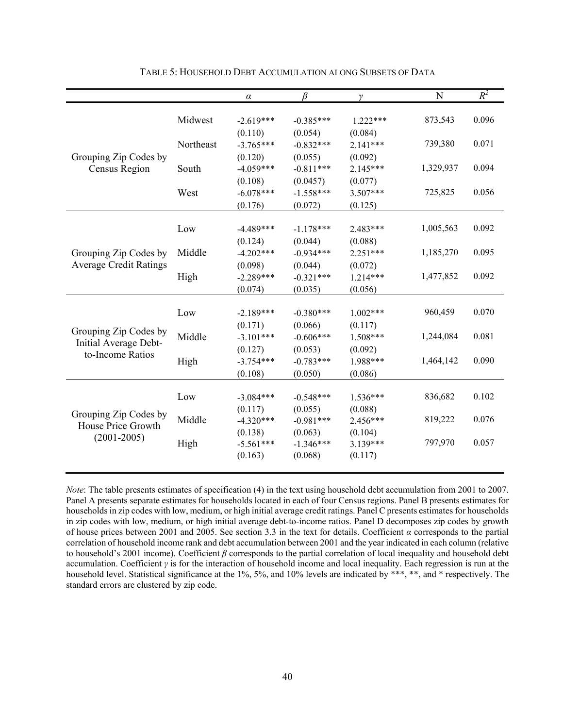|                                                                    |           | $\alpha$    | β           | γ          | N         | $R^2$ |
|--------------------------------------------------------------------|-----------|-------------|-------------|------------|-----------|-------|
|                                                                    |           |             |             |            |           |       |
|                                                                    | Midwest   | $-2.619***$ | $-0.385***$ | $1.222***$ | 873,543   | 0.096 |
|                                                                    |           | (0.110)     | (0.054)     | (0.084)    |           |       |
|                                                                    | Northeast | $-3.765***$ | $-0.832***$ | $2.141***$ | 739,380   | 0.071 |
| Grouping Zip Codes by                                              |           | (0.120)     | (0.055)     | (0.092)    |           |       |
| Census Region                                                      | South     | $-4.059***$ | $-0.811***$ | $2.145***$ | 1,329,937 | 0.094 |
|                                                                    |           | (0.108)     | (0.0457)    | (0.077)    |           |       |
|                                                                    | West      | $-6.078***$ | $-1.558***$ | $3.507***$ | 725,825   | 0.056 |
|                                                                    |           | (0.176)     | (0.072)     | (0.125)    |           |       |
|                                                                    |           |             |             |            |           |       |
|                                                                    | Low       | $-4.489***$ | $-1.178***$ | 2.483***   | 1,005,563 | 0.092 |
|                                                                    |           | (0.124)     | (0.044)     | (0.088)    |           |       |
| Grouping Zip Codes by<br><b>Average Credit Ratings</b>             | Middle    | $-4.202***$ | $-0.934***$ | $2.251***$ | 1,185,270 | 0.095 |
|                                                                    |           | (0.098)     | (0.044)     | (0.072)    |           |       |
|                                                                    | High      | $-2.289***$ | $-0.321***$ | $1.214***$ | 1,477,852 | 0.092 |
|                                                                    |           | (0.074)     | (0.035)     | (0.056)    |           |       |
|                                                                    |           |             |             |            |           |       |
|                                                                    | Low       | $-2.189***$ | $-0.380***$ | $1.002***$ | 960,459   | 0.070 |
|                                                                    |           | (0.171)     | (0.066)     | (0.117)    |           |       |
| Grouping Zip Codes by<br>Initial Average Debt-<br>to-Income Ratios | Middle    | $-3.101***$ | $-0.606***$ | 1.508***   | 1,244,084 | 0.081 |
|                                                                    |           | (0.127)     | (0.053)     | (0.092)    |           |       |
|                                                                    | High      | $-3.754***$ | $-0.783***$ | 1.988***   | 1,464,142 | 0.090 |
|                                                                    |           | (0.108)     | (0.050)     | (0.086)    |           |       |
|                                                                    |           |             |             |            |           |       |
|                                                                    | Low       | $-3.084***$ | $-0.548***$ | $1.536***$ | 836,682   | 0.102 |
| Grouping Zip Codes by                                              |           | (0.117)     | (0.055)     | (0.088)    |           |       |
| House Price Growth                                                 | Middle    | $-4.320***$ | $-0.981***$ | 2.456***   | 819,222   | 0.076 |
| $(2001 - 2005)$                                                    |           | (0.138)     | (0.063)     | (0.104)    |           |       |
|                                                                    | High      | $-5.561***$ | $-1.346***$ | 3.139***   | 797,970   | 0.057 |
|                                                                    |           | (0.163)     | (0.068)     | (0.117)    |           |       |

TABLE 5: HOUSEHOLD DEBT ACCUMULATION ALONG SUBSETS OF DATA

*Note*: The table presents estimates of specification (4) in the text using household debt accumulation from 2001 to 2007. Panel A presents separate estimates for households located in each of four Census regions. Panel B presents estimates for households in zip codes with low, medium, or high initial average credit ratings. Panel C presents estimates for households in zip codes with low, medium, or high initial average debt-to-income ratios. Panel D decomposes zip codes by growth of house prices between 2001 and 2005. See section 3.3 in the text for details. Coefficient *α* corresponds to the partial correlation of household income rank and debt accumulation between 2001 and the year indicated in each column (relative to household's 2001 income). Coefficient *β* corresponds to the partial correlation of local inequality and household debt accumulation. Coefficient *γ* is for the interaction of household income and local inequality. Each regression is run at the household level. Statistical significance at the 1%, 5%, and 10% levels are indicated by \*\*\*, \*\*, and \* respectively. The standard errors are clustered by zip code.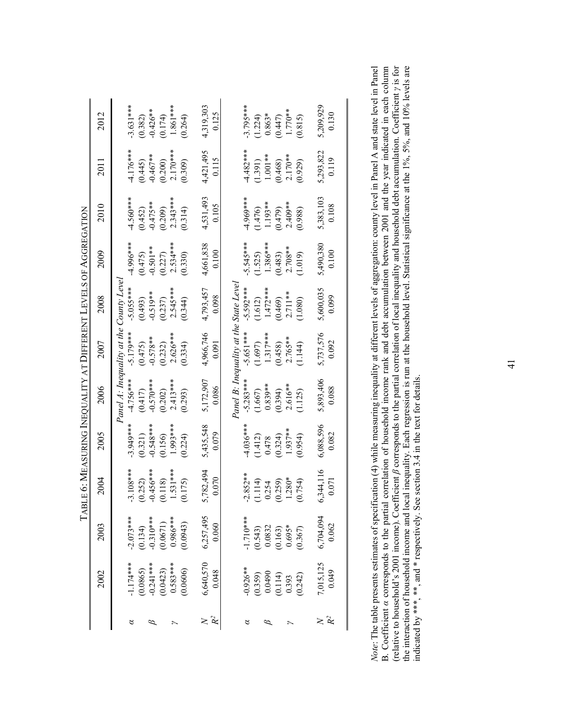|                |                                               |                                                                     | Table 6: Measuring Inequality at Different Levels of Aggregation |            |                          |                                        |              |                       |            |                         |                         |
|----------------|-----------------------------------------------|---------------------------------------------------------------------|------------------------------------------------------------------|------------|--------------------------|----------------------------------------|--------------|-----------------------|------------|-------------------------|-------------------------|
|                | 2002                                          | 2003                                                                | 2004                                                             | 2005       | 2006                     | 2007                                   | 2008         | 2009                  | 2010       | 2011                    | 2012                    |
|                |                                               |                                                                     |                                                                  |            |                          | Panel A: Inequality at the             | County Leve. |                       |            |                         |                         |
| 8              | $-1.174***$                                   | $-2.073***$<br>$(0.134)$<br>$-0.310***$<br>$(0.0671)$<br>$(0.0671)$ | $-3.108***$                                                      | $3.949***$ | $-4.756***$              | $-5.179***$                            | $-5.055***$  | $4.996***$            | $4.560***$ | 4.176***                | $3.631***$              |
|                | $(0.0865)$<br>-0.241***                       |                                                                     | (0.252)                                                          | (0.321)    | $(0.417)$<br>$-0.570***$ | (0.475)                                | (0.493)      | (0.475)               | (0.452)    |                         |                         |
|                |                                               |                                                                     | $-0.456***$                                                      | $0.548***$ |                          | $-0.578**$                             | $-0.519**$   | $-0.501**$            | $-0.475**$ | $(0.445)$<br>$-0.467**$ | $(0.382)$<br>$-0.426**$ |
|                | (0.0423)                                      |                                                                     | (0.118)                                                          | (0.156)    | (0.202)                  | (0.232)                                | (0.237)      | $(0.227)$<br>2.534*** | (0.209)    | $(0.200)$<br>2.170***   | (0.174)                 |
|                | $0.583***$                                    |                                                                     | $1.531***$                                                       | 1.993***   | $2.413***$               | $2.626**$                              | $2.545***$   |                       | $2.343***$ |                         | $1.861***$              |
|                | (0.0606)                                      | (0.0943)                                                            | (0.175)                                                          | (0.224)    | (0.293)                  | (0.334)                                | (0.344)      | (0.330)               | (0.314)    | (0.309)                 | (0.264)                 |
|                | 6,640,570                                     | 6,257,495                                                           | 5,782,494                                                        | 5,435,548  | 5,172,907                | 4,966,746                              | 4,793,457    | 4,661,838             | 4,531,493  | 4,421,495               | 4,319,303               |
| Ř              | 0.048                                         | 0.060                                                               | 0.070                                                            | 0.079      | 0.086                    | 0.091                                  | 0.098        | 0.100                 | 0.105      | 0.115                   | 0.125                   |
|                |                                               |                                                                     |                                                                  |            |                          | Panel B: Inequality at the State Level |              |                       |            |                         |                         |
|                |                                               |                                                                     |                                                                  |            |                          |                                        |              |                       |            |                         |                         |
| ಠ              | $0.926**$                                     |                                                                     | $-2.852**$                                                       | $4.036***$ | $-5.283***$              | 5.651***                               | $-5.592***$  | $-5.545***$           | 4.969***   | $4.482***$              | $3.795***$              |
|                |                                               |                                                                     | (1.114)                                                          | (1.412)    | (1.667)                  | (1.697)                                | (1.612)      | (1.525)               | (1.476)    | (1.391)                 | 1.224                   |
|                |                                               |                                                                     | 0.254                                                            | 0.478      | $0.839**$                | $1.317***$                             | $1.472***$   | $1.386***$            | 1.193**    | $1.001**$               | $0.863*$                |
|                | $(0.359)$<br>$0.0490$<br>$(0.114)$<br>$0.393$ | $-1.710***$<br>(0.543)<br>0.0832<br>0.163)<br>0.695*                | (0.259)                                                          | (0.324)    | (0.394)                  | (0.458)                                | (0.469)      | (0.483)               | (0.479)    |                         | $(0.447)$<br>1.770**    |
|                |                                               |                                                                     | $1.280*$                                                         | 1.937**    | $2.616**$                | $2.765**$                              | $2.711**$    | $2.708**$             | $2.409**$  | $(0.468)$<br>2.170**    |                         |
|                | (0.242)                                       | (0.367)                                                             | (0.754)                                                          | (0.954)    | 1.125                    | 1.144                                  | (1.080)      | (1.019)               | (0.988)    | (0.929)                 | (0.815)                 |
|                |                                               |                                                                     |                                                                  |            |                          |                                        |              |                       |            |                         |                         |
|                | 7,015,125<br>0.049                            | $6,704,094$<br>0.062                                                | 6,344,116                                                        | 6,088,596  | 5,893,406                | 5,737,576                              | 5,600,035    | 5,490,380             | 5,383,103  | 5,293,822               | 5,209,929               |
| R <sup>2</sup> |                                               |                                                                     | 0.071                                                            | 0.082      | 0.088                    | 0.092                                  | 0.099        | 0.100                 | 0.108      | 0.119                   | 0.130                   |
|                |                                               |                                                                     |                                                                  |            |                          |                                        |              |                       |            |                         |                         |

| $\beta$ corresponds to the partial correlation of local inequality and household debt accumulation. Coefficient $\gamma$ is for<br>(relative to household's $2001$ income). Coefficient $\mu$ |
|-----------------------------------------------------------------------------------------------------------------------------------------------------------------------------------------------|
|-----------------------------------------------------------------------------------------------------------------------------------------------------------------------------------------------|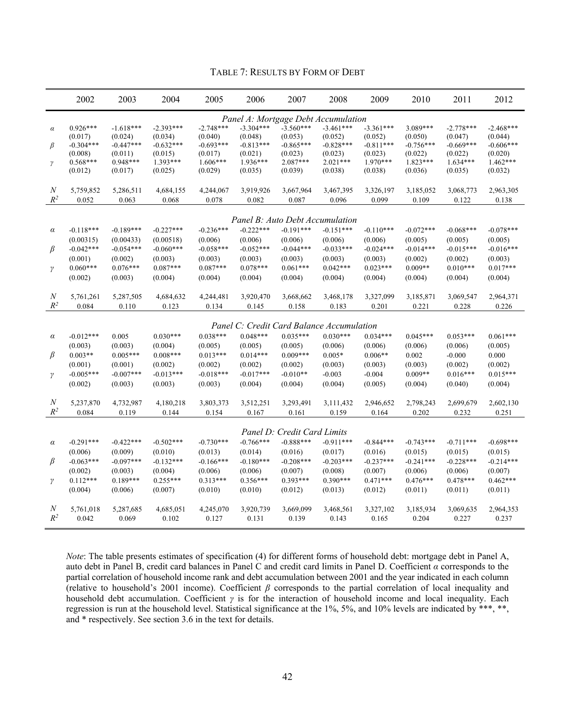### TABLE 7: RESULTS BY FORM OF DEBT

|                                 | 2002                                                                        | 2003                                                                        | 2004                                                                        | 2005                                                                      | 2006                                                                      | 2007                                                                                                     | 2008                                                                                                             | 2009                                                                      | 2010                                                                      | 2011                                                                      | 2012                                                                      |
|---------------------------------|-----------------------------------------------------------------------------|-----------------------------------------------------------------------------|-----------------------------------------------------------------------------|---------------------------------------------------------------------------|---------------------------------------------------------------------------|----------------------------------------------------------------------------------------------------------|------------------------------------------------------------------------------------------------------------------|---------------------------------------------------------------------------|---------------------------------------------------------------------------|---------------------------------------------------------------------------|---------------------------------------------------------------------------|
| $\alpha$<br>β<br>$\gamma$       | $0.926***$<br>(0.017)<br>$-0.304***$<br>(0.008)<br>$0.568***$<br>(0.012)    | $-1.618***$<br>(0.024)<br>$-0.447***$<br>(0.011)<br>$0.948***$<br>(0.017)   | $-2.393***$<br>(0.034)<br>$-0.632***$<br>(0.015)<br>1.393***<br>(0.025)     | $-2.748***$<br>(0.040)<br>$-0.693***$<br>(0.017)<br>$1.606***$<br>(0.029) | $-3.304***$<br>(0.048)<br>$-0.813***$<br>(0.021)<br>$1.936***$<br>(0.035) | $-3.560***$<br>(0.053)<br>$-0.865***$<br>(0.023)<br>2.087***<br>(0.039)                                  | Panel A: Mortgage Debt Accumulation<br>$-3.461***$<br>(0.052)<br>$-0.828***$<br>(0.023)<br>$2.021***$<br>(0.038) | $-3.361***$<br>(0.052)<br>$-0.811***$<br>(0.023)<br>$1.970***$<br>(0.038) | 3.089***<br>(0.050)<br>$-0.756***$<br>(0.022)<br>$1.823***$<br>(0.036)    | $-2.778***$<br>(0.047)<br>$-0.669***$<br>(0.022)<br>1.634***<br>(0.035)   | $-2.468***$<br>(0.044)<br>$-0.606***$<br>(0.020)<br>$1.462***$<br>(0.032) |
| $\cal N$<br>$R^2$               | 5,759,852<br>0.052                                                          | 5,286,511<br>0.063                                                          | 4,684,155<br>0.068                                                          | 4,244,067<br>0.078                                                        | 3,919,926<br>0.082                                                        | 3,667,964<br>0.087                                                                                       | 3,467,395<br>0.096                                                                                               | 3,326,197<br>0.099                                                        | 3,185,052<br>0.109                                                        | 3,068,773<br>0.122                                                        | 2,963,305<br>0.138                                                        |
|                                 |                                                                             |                                                                             |                                                                             |                                                                           |                                                                           | Panel B: Auto Debt Accumulation                                                                          |                                                                                                                  |                                                                           |                                                                           |                                                                           |                                                                           |
| $\alpha$<br>$\beta$<br>$\gamma$ | $-0.118***$<br>(0.00315)<br>$-0.042***$<br>(0.001)<br>$0.060***$<br>(0.002) | $-0.189***$<br>(0.00433)<br>$-0.054***$<br>(0.002)<br>$0.076***$<br>(0.003) | $-0.227***$<br>(0.00518)<br>$-0.060***$<br>(0.003)<br>$0.087***$<br>(0.004) | $-0.236***$<br>(0.006)<br>$-0.058***$<br>(0.003)<br>$0.087***$<br>(0.004) | $-0.222***$<br>(0.006)<br>$-0.052***$<br>(0.003)<br>$0.078***$<br>(0.004) | $-0.191***$<br>(0.006)<br>$-0.044***$<br>(0.003)<br>$0.061***$<br>(0.004)                                | $-0.151***$<br>(0.006)<br>$-0.033***$<br>(0.003)<br>$0.042***$<br>(0.004)                                        | $-0.110***$<br>(0.006)<br>$-0.024***$<br>(0.003)<br>$0.023***$<br>(0.004) | $-0.072***$<br>(0.005)<br>$-0.014***$<br>(0.002)<br>$0.009**$<br>(0.004)  | $-0.068***$<br>(0.005)<br>$-0.015***$<br>(0.002)<br>$0.010***$<br>(0.004) | $-0.078***$<br>(0.005)<br>$-0.016***$<br>(0.003)<br>$0.017***$<br>(0.004) |
| N<br>$R^2$                      | 5,761,261<br>0.084                                                          | 5,287,505<br>0.110                                                          | 4,684,632<br>0.123                                                          | 4,244,481<br>0.134                                                        | 3,920,470<br>0.145                                                        | 3,668,662<br>0.158                                                                                       | 3,468,178<br>0.183                                                                                               | 3,327,099<br>0.201                                                        | 3,185,871<br>0.221                                                        | 3,069,547<br>0.228                                                        | 2,964,371<br>0.226                                                        |
|                                 |                                                                             |                                                                             |                                                                             |                                                                           |                                                                           |                                                                                                          | Panel C: Credit Card Balance Accumulation                                                                        |                                                                           |                                                                           |                                                                           |                                                                           |
| $\alpha$<br>$\beta$<br>γ        | $-0.012***$<br>(0.003)<br>$0.003**$<br>(0.001)<br>$-0.005***$<br>(0.002)    | 0.005<br>(0.003)<br>$0.005***$<br>(0.001)<br>$-0.007***$<br>(0.003)         | $0.030***$<br>(0.004)<br>$0.008***$<br>(0.002)<br>$-0.013***$<br>(0.003)    | $0.038***$<br>(0.005)<br>$0.013***$<br>(0.002)<br>$-0.018***$<br>(0.003)  | $0.048***$<br>(0.005)<br>$0.014***$<br>(0.002)<br>$-0.017***$<br>(0.004)  | $0.035***$<br>(0.005)<br>$0.009***$<br>(0.002)<br>$-0.010**$<br>(0.004)                                  | $0.030***$<br>(0.006)<br>$0.005*$<br>(0.003)<br>$-0.003$<br>(0.004)                                              | $0.034***$<br>(0.006)<br>$0.006**$<br>(0.003)<br>$-0.004$<br>(0.005)      | $0.045***$<br>(0.006)<br>0.002<br>(0.003)<br>$0.009**$<br>(0.004)         | $0.053***$<br>(0.006)<br>$-0.000$<br>(0.002)<br>$0.016***$<br>(0.040)     | $0.061***$<br>(0.005)<br>0.000<br>(0.002)<br>$0.015***$<br>(0.004)        |
| N<br>$R^2$                      | 5,237,870<br>0.084                                                          | 4,732,987<br>0.119                                                          | 4,180,218<br>0.144                                                          | 3,803,373<br>0.154                                                        | 3,512,251<br>0.167                                                        | 3,293,491<br>0.161                                                                                       | 3,111,432<br>0.159                                                                                               | 2,946,652<br>0.164                                                        | 2,798,243<br>0.202                                                        | 2,699,679<br>0.232                                                        | 2,602,130<br>0.251                                                        |
| $\alpha$<br>$\beta$<br>$\gamma$ | $-0.291***$<br>(0.006)<br>$-0.063***$<br>(0.002)<br>$0.112***$<br>(0.004)   | $-0.422***$<br>(0.009)<br>$-0.097***$<br>(0.003)<br>$0.189***$<br>(0.006)   | $-0.502***$<br>(0.010)<br>$-0.132***$<br>(0.004)<br>$0.255***$<br>(0.007)   | $-0.730***$<br>(0.013)<br>$-0.166***$<br>(0.006)<br>$0.313***$<br>(0.010) | $-0.766***$<br>(0.014)<br>$-0.180***$<br>(0.006)<br>$0.356***$<br>(0.010) | Panel D: Credit Card Limits<br>$-0.888***$<br>(0.016)<br>$-0.208***$<br>(0.007)<br>$0.393***$<br>(0.012) | $-0.911***$<br>(0.017)<br>$-0.203***$<br>(0.008)<br>$0.390***$<br>(0.013)                                        | $-0.844***$<br>(0.016)<br>$-0.237***$<br>(0.007)<br>$0.471***$<br>(0.012) | $-0.743***$<br>(0.015)<br>$-0.241***$<br>(0.006)<br>$0.476***$<br>(0.011) | $-0.711***$<br>(0.015)<br>$-0.228***$<br>(0.006)<br>$0.478***$<br>(0.011) | $-0.698***$<br>(0.015)<br>$-0.214***$<br>(0.007)<br>$0.462***$<br>(0.011) |
| $\boldsymbol{N}$<br>$R^2$       | 5,761,018<br>0.042                                                          | 5,287,685<br>0.069                                                          | 4,685,051<br>0.102                                                          | 4,245,070<br>0.127                                                        | 3,920,739<br>0.131                                                        | 3,669,099<br>0.139                                                                                       | 3,468,561<br>0.143                                                                                               | 3,327,102<br>0.165                                                        | 3,185,934<br>0.204                                                        | 3,069,635<br>0.227                                                        | 2,964,353<br>0.237                                                        |

*Note*: The table presents estimates of specification (4) for different forms of household debt: mortgage debt in Panel A, auto debt in Panel B, credit card balances in Panel C and credit card limits in Panel D. Coefficient *α* corresponds to the partial correlation of household income rank and debt accumulation between 2001 and the year indicated in each column (relative to household's 2001 income). Coefficient *β* corresponds to the partial correlation of local inequality and household debt accumulation. Coefficient *γ* is for the interaction of household income and local inequality. Each regression is run at the household level. Statistical significance at the 1%, 5%, and 10% levels are indicated by \*\*\*, \*\*, and \* respectively. See section 3.6 in the text for details.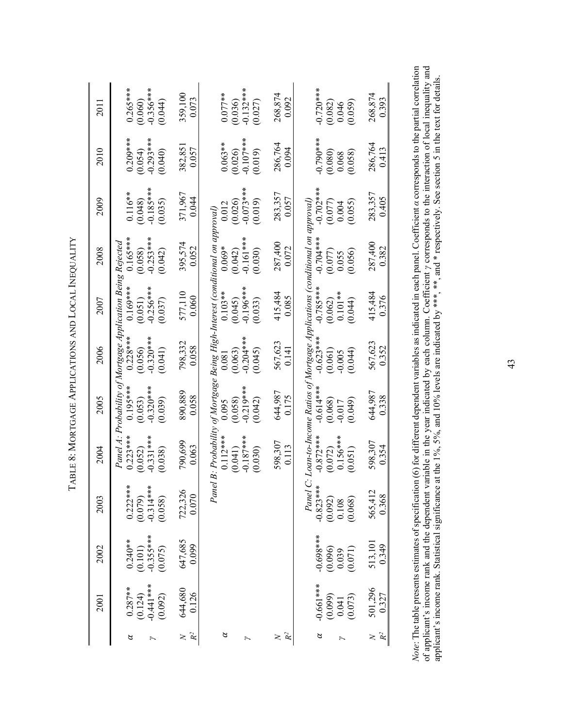| 2011 | $0.265***$<br>(0.060)<br>-0.356***<br>(0.044)                                                                                                                           | 359,100<br>0.073            | $(0.036)$<br>$-0.132***$<br>$0.077***$<br>(0.027)                                                                             | 268,874<br>0.092     | $-0.720***$<br>$(0.082)$<br>0.046<br>0.059)                                                                                     | 268,874<br>0.393     |
|------|-------------------------------------------------------------------------------------------------------------------------------------------------------------------------|-----------------------------|-------------------------------------------------------------------------------------------------------------------------------|----------------------|---------------------------------------------------------------------------------------------------------------------------------|----------------------|
| 2010 | $0.209***$<br>$(0.054)$<br>-0.293 ***<br>$(0.040)$                                                                                                                      | 382,851<br>0.057            | $(0.026)$<br>-0.107***<br>$0.063***$<br>(0.019)                                                                               | 286,764<br>0.094     | $-0.790***$<br>$\begin{array}{c} (0.080) \\ 0.068 \\ 0.058) \end{array}$                                                        | 286,764<br>0.413     |
| 2009 | $(0.048)$<br>$-0.185***$<br>$(0.035)$<br>$0.116**$                                                                                                                      | 371,967<br>0.044            | $(0.026)$<br>$-0.073***$<br>(0.019)<br>0.012                                                                                  | 283,357<br>0.057     | $-0.702***$<br>(0.077)<br>0.004<br>(0.055)                                                                                      | 283,357<br>0.405     |
| 2008 | $0.165***$<br>$(0.058)$<br>$-0.253***$<br>(0.042)                                                                                                                       | 395,574<br>0.052            | Panel B: Probability of Mortgage Being High-Interest (conditional on approval)<br>$0.069*$<br>(0.042)<br>-0.161***<br>(0.030) | 287,400<br>0.072     | C: Loan-to-Income Ratios of Mortgage Applications (conditional on approval)<br>$-0.704***$<br>$(0.077)$<br>$0.055$<br>$(0.056)$ | 287,400<br>0.382     |
| 2007 | $(0.051)$<br>-0.256***<br>(0.037)                                                                                                                                       | 577,110<br>0.060            | $(0.045)$<br>$-0.196***$<br>$0.103**$<br>(0.033)                                                                              | 415,484<br>0.085     | $-0.785***$<br>$(0.062)$<br>0.101**<br>0.044)                                                                                   | 415,484<br>0.376     |
| 2006 | $(0.056)$<br>$-0.320***$<br>(0.041)                                                                                                                                     | 798,332<br>0.058            | $(0.063)$<br>$-0.204***$<br>(0.045)<br>0.081                                                                                  | 567,623<br>0.141     | $-0.623***$<br>$(0.061)$<br>$-0.005$<br>$(0.044)$                                                                               | 567,623<br>0.352     |
| 2005 | Panel A: Probability of Mortgage Application Being Rejected<br>0.123***      0.195***      0.228***      0.169***      0.165**<br>$(0.053)$<br>$-0.320***$<br>$(0.039)$ | 890,889<br>0.058            | $(0.058)$<br>$-0.219***$<br>(0.042)<br>0.095                                                                                  | 644,987<br>0.175     | $-0.614***$<br>$(0.068)$<br>$-0.017$<br>$(0.049)$                                                                               | 644,987<br>0.338     |
| 2004 | $-0.331***$<br>$0.223***$<br>(0.052)<br>(0.038)                                                                                                                         | 790,699<br>0.063            | $0.112***$<br>$(0.041)$<br>-0.187***<br>(0.030)                                                                               | 598,307<br>0.113     | $-0.872***$<br>$0.156***$<br>(0.072)<br>(0.051)                                                                                 | 598,307<br>0.354     |
| 2003 | $0.222***$<br>(0.079)<br>-0.314 ***<br>-0.058)                                                                                                                          | 722,326<br>0.070            |                                                                                                                               |                      | Panel<br>$-0.823$ ***<br>$(0.092)$<br>$0.108$<br>$(0.068)$                                                                      | 565,412<br>0.368     |
| 2002 | $0.240**$<br>(0.101)<br>-0.355***<br>(0.075)                                                                                                                            | 647,685<br>0.099            |                                                                                                                               |                      | $-0.698***$<br>$(0.096)$<br>$0.039$<br>$(0.071)$                                                                                | 513,101<br>0.349     |
| 2001 | $0.287**$<br>(0.124)<br>-0.441 ***<br>(0.092)                                                                                                                           | 644,680<br>0.126            |                                                                                                                               |                      | $-0.661***$<br>$(0.099)$<br>0.041<br>0.073)                                                                                     | 501,296<br>0.327     |
|      | 8                                                                                                                                                                       | R <sup>2</sup><br>$\approx$ | $\alpha$                                                                                                                      | $\mathcal{R}^2$<br>ξ | 8                                                                                                                               | $\mathcal{R}^2$<br>≳ |

TABLE 8: MORTGAGE APPLICATIONS AND LOCAL INEQUALITY TABLE 8: MORTGAGE APPLICATIONS AND LOCAL INEQUALITY

*Note*: The table presents estimates of specification (6) for different dependent variables as indicated in each panel. Coefficient *a* corresponds to the partial correlation of applicant's income rank and the dependent v *Note*: The table presents estimates of specification (6) for different dependent variables as indicated in each panel. Coefficient *α* corresponds to the partial correlation of applicant's income rank and the dependent variable in the year indicated by each column. Coefficient *γ* corresponds to the interaction of local inequality and applicant's income rank. Statistical significance at the 1%, 5%, and 10% levels are indicated by \*\*\*, \*\*, and \* respectively. See section 5 in the text for details.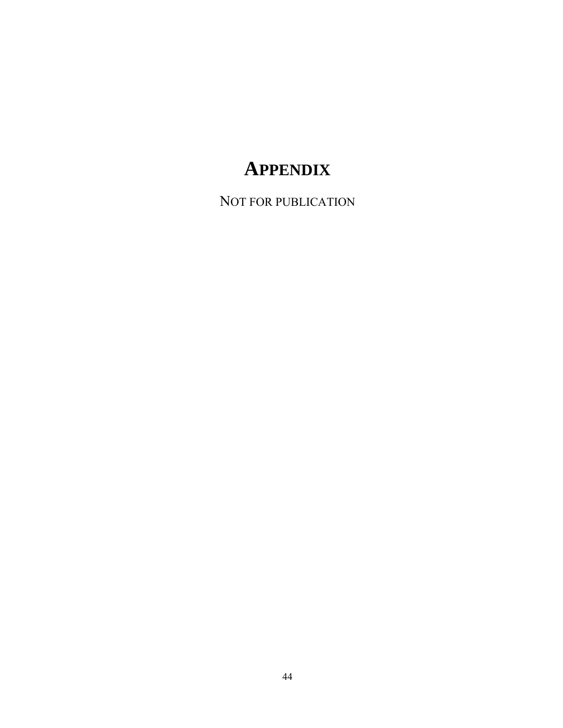# **APPENDIX**

NOT FOR PUBLICATION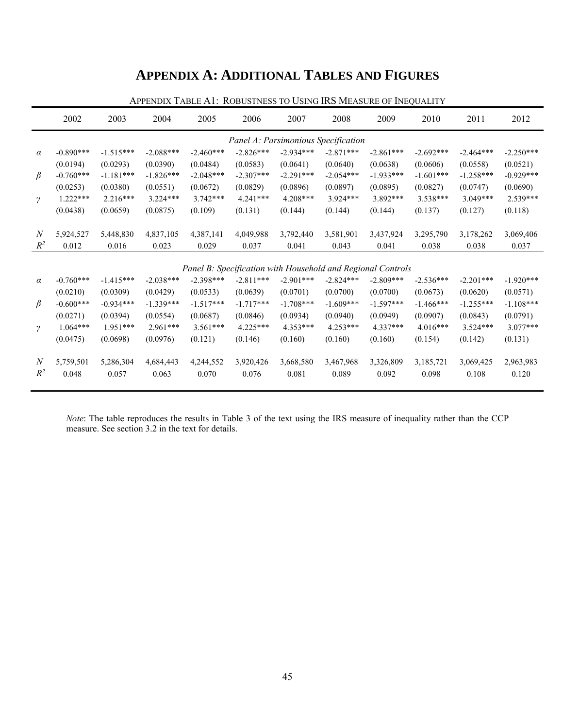# **APPENDIX A: ADDITIONAL TABLES AND FIGURES**

| Panel A: Parsimonious Specification<br>$-0.890***$<br>$-2.088***$<br>$-2.826***$<br>$-2.934***$<br>$-2.871***$<br>$-1.515***$<br>$-2.460***$<br>$-2.861***$<br>$-2.692***$<br>$-2.464***$<br>$\alpha$<br>(0.0293)<br>(0.0194)<br>(0.0390)<br>(0.0484)<br>(0.0583)<br>(0.0641)<br>(0.0640)<br>(0.0638)<br>(0.0606)<br>(0.0558)<br>$\beta$<br>$-0.760***$<br>$-1.181***$<br>$-1.826***$<br>$-2.048***$<br>$-2.307***$<br>$-2.291***$<br>$-2.054***$<br>$-1.933***$<br>$-1.601***$<br>$-1.258***$<br>(0.0380)<br>(0.0672)<br>(0.0829)<br>(0.0896)<br>(0.0895)<br>(0.0827)<br>(0.0747)<br>(0.0253)<br>(0.0551)<br>(0.0897)<br>$1.222***$<br>$2.216***$<br>$4.241***$<br>$4.208***$<br>$3.924***$<br>3.892 ***<br>$3.538***$<br>$3.049***$<br>$3.224***$<br>$3.742***$<br>$\gamma$<br>(0.0438)<br>(0.0659)<br>(0.0875)<br>(0.109)<br>(0.131)<br>(0.144)<br>(0.144)<br>(0.144)<br>(0.137)<br>(0.127) | 2012        |
|------------------------------------------------------------------------------------------------------------------------------------------------------------------------------------------------------------------------------------------------------------------------------------------------------------------------------------------------------------------------------------------------------------------------------------------------------------------------------------------------------------------------------------------------------------------------------------------------------------------------------------------------------------------------------------------------------------------------------------------------------------------------------------------------------------------------------------------------------------------------------------------------|-------------|
|                                                                                                                                                                                                                                                                                                                                                                                                                                                                                                                                                                                                                                                                                                                                                                                                                                                                                                |             |
|                                                                                                                                                                                                                                                                                                                                                                                                                                                                                                                                                                                                                                                                                                                                                                                                                                                                                                | $-2.250***$ |
|                                                                                                                                                                                                                                                                                                                                                                                                                                                                                                                                                                                                                                                                                                                                                                                                                                                                                                | (0.0521)    |
|                                                                                                                                                                                                                                                                                                                                                                                                                                                                                                                                                                                                                                                                                                                                                                                                                                                                                                | $-0.929***$ |
|                                                                                                                                                                                                                                                                                                                                                                                                                                                                                                                                                                                                                                                                                                                                                                                                                                                                                                | (0.0690)    |
|                                                                                                                                                                                                                                                                                                                                                                                                                                                                                                                                                                                                                                                                                                                                                                                                                                                                                                | 2.539***    |
|                                                                                                                                                                                                                                                                                                                                                                                                                                                                                                                                                                                                                                                                                                                                                                                                                                                                                                | (0.118)     |
|                                                                                                                                                                                                                                                                                                                                                                                                                                                                                                                                                                                                                                                                                                                                                                                                                                                                                                |             |
| $\boldsymbol{N}$<br>5,924,527<br>5,448,830<br>4,837,105<br>4,387,141<br>4,049,988<br>3,792,440<br>3,581,901<br>3,437,924<br>3,295,790<br>3,178,262                                                                                                                                                                                                                                                                                                                                                                                                                                                                                                                                                                                                                                                                                                                                             | 3,069,406   |
| $R^2$<br>0.012<br>0.016<br>0.023<br>0.029<br>0.037<br>0.041<br>0.043<br>0.038<br>0.038<br>0.041                                                                                                                                                                                                                                                                                                                                                                                                                                                                                                                                                                                                                                                                                                                                                                                                | 0.037       |
|                                                                                                                                                                                                                                                                                                                                                                                                                                                                                                                                                                                                                                                                                                                                                                                                                                                                                                |             |
| Panel B: Specification with Household and Regional Controls                                                                                                                                                                                                                                                                                                                                                                                                                                                                                                                                                                                                                                                                                                                                                                                                                                    |             |
| $-0.760***$<br>$-1.415***$<br>$-2.038***$<br>$-2.398***$<br>$-2.811***$<br>$-2.901***$<br>$-2.824***$<br>$-2.809***$<br>$-2.536***$<br>$-2.201***$<br>$\alpha$                                                                                                                                                                                                                                                                                                                                                                                                                                                                                                                                                                                                                                                                                                                                 | $-1.920***$ |
| (0.0701)<br>(0.0309)<br>(0.0429)<br>(0.0533)<br>(0.0639)<br>(0.0700)<br>(0.0700)<br>(0.0673)<br>(0.0620)<br>(0.0210)                                                                                                                                                                                                                                                                                                                                                                                                                                                                                                                                                                                                                                                                                                                                                                           | (0.0571)    |
| $\beta$<br>$-0.600***$<br>$-0.934***$<br>$-1.339***$<br>$-1.517***$<br>$-1.717***$<br>$-1.708***$<br>$-1.609***$<br>$-1.597***$<br>$-1.466***$<br>$-1.255***$                                                                                                                                                                                                                                                                                                                                                                                                                                                                                                                                                                                                                                                                                                                                  | $-1.108***$ |
| (0.0271)<br>(0.0394)<br>(0.0554)<br>(0.0687)<br>(0.0846)<br>(0.0934)<br>(0.0940)<br>(0.0949)<br>(0.0907)<br>(0.0843)                                                                                                                                                                                                                                                                                                                                                                                                                                                                                                                                                                                                                                                                                                                                                                           | (0.0791)    |
| $1.064***$<br>$1.951***$<br>$2.961***$<br>$4.225***$<br>$4.353***$<br>$4.337***$<br>$4.016***$<br>$3.561***$<br>$4.253***$<br>$3.524***$<br>$\gamma$                                                                                                                                                                                                                                                                                                                                                                                                                                                                                                                                                                                                                                                                                                                                           | $3.077***$  |
| (0.0698)<br>(0.0976)<br>(0.121)<br>(0.146)<br>(0.160)<br>(0.160)<br>(0.160)<br>(0.154)<br>(0.142)<br>(0.0475)                                                                                                                                                                                                                                                                                                                                                                                                                                                                                                                                                                                                                                                                                                                                                                                  | (0.131)     |
| $\boldsymbol{N}$<br>5,759,501<br>5,286,304<br>4,684,443<br>4,244,552<br>3,920,426<br>3,668,580<br>3,467,968<br>3,326,809<br>3,185,721<br>3,069,425                                                                                                                                                                                                                                                                                                                                                                                                                                                                                                                                                                                                                                                                                                                                             | 2,963,983   |
| $R^2$<br>0.048<br>0.057<br>0.063<br>0.070<br>0.076<br>0.089<br>0.092<br>0.098<br>0.108<br>0.081                                                                                                                                                                                                                                                                                                                                                                                                                                                                                                                                                                                                                                                                                                                                                                                                | 0.120       |

APPENDIX TABLE A1: ROBUSTNESS TO USING IRS MEASURE OF INEQUALITY

*Note*: The table reproduces the results in Table 3 of the text using the IRS measure of inequality rather than the CCP measure. See section 3.2 in the text for details.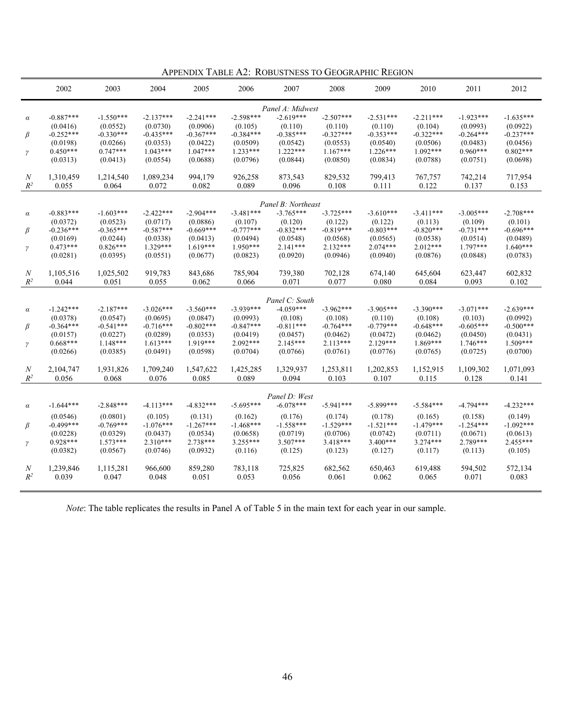|  | APPENDIX TABLE A2: ROBUSTNESS TO GEOGRAPHIC REGION |
|--|----------------------------------------------------|
|--|----------------------------------------------------|

|                  | 2002                    | 2003                    | 2004                    | 2005                    | 2006                    | 2007                    | 2008                    | 2009                    | 2010                    | 2011                    | 2012                    |
|------------------|-------------------------|-------------------------|-------------------------|-------------------------|-------------------------|-------------------------|-------------------------|-------------------------|-------------------------|-------------------------|-------------------------|
|                  |                         |                         |                         |                         |                         | Panel A: Midwest        |                         |                         |                         |                         |                         |
| $\alpha$         | $-0.887***$             | $-1.550***$             | $-2.137***$             | $-2.241***$             | $-2.598***$             | $-2.619***$             | $-2.507***$             | $-2.531***$             | $-2.211***$             | $-1.923***$             | $-1.635***$             |
|                  | (0.0416)<br>$-0.252***$ | (0.0552)<br>$-0.330***$ | (0.0730)<br>$-0.435***$ | (0.0906)<br>$-0.367***$ | (0.105)<br>$-0.384***$  | (0.110)<br>$-0.385***$  | (0.110)<br>$-0.327***$  | (0.110)<br>$-0.353***$  | (0.104)<br>$-0.322***$  | (0.0993)<br>$-0.264***$ | (0.0922)<br>$-0.237***$ |
| β                | (0.0198)                | (0.0266)                | (0.0353)                | (0.0422)                | (0.0509)                | (0.0542)                | (0.0553)                | (0.0540)                | (0.0506)                | (0.0483)                | (0.0456)                |
| $\gamma$         | $0.450***$              | $0.747***$              | $1.043***$              | $1.047***$              | $1.233***$              | $1.222***$              | $1.167***$              | $1.226***$              | $1.092***$              | $0.960***$              | $0.802***$              |
|                  | (0.0313)                | (0.0413)                | (0.0554)                | (0.0688)                | (0.0796)                | (0.0844)                | (0.0850)                | (0.0834)                | (0.0788)                | (0.0751)                | (0.0698)                |
| N                | 1,310,459               | 1,214,540               | 1,089,234               | 994,179                 | 926,258                 | 873,543                 | 829,532                 | 799,413                 | 767,757                 | 742,214                 | 717,954                 |
| $\mathbb{R}^2$   | 0.055                   | 0.064                   | 0.072                   | 0.082                   | 0.089                   | 0.096                   | 0.108                   | 0.111                   | 0.122                   | 0.137                   | 0.153                   |
|                  |                         |                         |                         |                         |                         | Panel B: Northeast      |                         |                         |                         |                         |                         |
| $\alpha$         | $-0.883***$             | $-1.603***$             | $-2.422***$             | $-2.904***$             | $-3.481***$             | $-3.765***$             | $-3.725***$             | $-3.610***$             | $-3.411***$             | $-3.005***$             | $-2.708***$             |
|                  | (0.0372)                | (0.0523)                | (0.0717)                | (0.0886)                | (0.107)                 | (0.120)                 | (0.122)                 | (0.122)                 | (0.113)                 | (0.109)                 | (0.101)                 |
| β                | $-0.236***$             | $-0.365***$             | $-0.587***$             | $-0.669***$             | $-0.777***$             | $-0.832***$             | $-0.819***$             | $-0.803***$             | $-0.820***$             | $-0.731***$             | $-0.696***$             |
|                  | (0.0169)                | (0.0244)                | (0.0338)                | (0.0413)                | (0.0494)                | (0.0548)                | (0.0568)                | (0.0565)                | (0.0538)                | (0.0514)                | (0.0489)                |
| $\gamma$         | $0.473***$<br>(0.0281)  | $0.826***$<br>(0.0395)  | 1.329***<br>(0.0551)    | $1.619***$<br>(0.0677)  | $1.950***$<br>(0.0823)  | $2.141***$<br>(0.0920)  | $2.132***$<br>(0.0946)  | $2.074***$<br>(0.0940)  | $2.012***$<br>(0.0876)  | $1.797***$<br>(0.0848)  | $1.640***$<br>(0.0783)  |
|                  |                         |                         |                         |                         |                         |                         |                         |                         |                         |                         |                         |
| N                | 1,105,516               | 1,025,502               | 919,783                 | 843,686                 | 785,904                 | 739,380                 | 702,128                 | 674,140                 | 645,604                 | 623,447                 | 602,832                 |
| $R^2$            | 0.044                   | 0.051                   | 0.055                   | 0.062                   | 0.066                   | 0.071                   | 0.077                   | 0.080                   | 0.084                   | 0.093                   | 0.102                   |
|                  |                         |                         |                         |                         |                         |                         |                         |                         |                         |                         |                         |
|                  |                         |                         |                         |                         |                         | Panel C: South          |                         |                         |                         |                         |                         |
| $\alpha$         | $-1.242***$<br>(0.0378) | $-2.187***$<br>(0.0547) | $-3.026***$<br>(0.0695) | $-3.560***$<br>(0.0847) | $-3.939***$<br>(0.0993) | $-4.059***$<br>(0.108)  | $-3.962***$<br>(0.108)  | $-3.905***$<br>(0.110)  | $-3.390***$<br>(0.108)  | $-3.071***$<br>(0.103)  | $-2.639***$<br>(0.0992) |
| β                | $-0.364***$             | $-0.541***$             | $-0.716***$             | $-0.802***$             | $-0.847***$             | $-0.811***$             | $-0.764***$             | $-0.779***$             | $-0.648***$             | $-0.605***$             | $-0.500***$             |
|                  | (0.0157)                | (0.0227)                | (0.0289)                | (0.0353)                | (0.0419)                | (0.0457)                | (0.0462)                | (0.0472)                | (0.0462)                | (0.0450)                | (0.0431)                |
| γ                | $0.668***$              | $1.148***$              | $1.613***$              | 1.919***                | 2.092***                | 2.145***                | $2.113***$              | $2.129***$              | 1.869***                | $1.746***$              | $1.509***$              |
|                  | (0.0266)                | (0.0385)                | (0.0491)                | (0.0598)                | (0.0704)                | (0.0766)                | (0.0761)                | (0.0776)                | (0.0765)                | (0.0725)                | (0.0700)                |
| $\boldsymbol{N}$ | 2,104,747               | 1,931,826               | 1,709,240               | 1,547,622               | 1,425,285               | 1,329,937               | 1,253,811               | 1,202,853               | 1,152,915               | 1,109,302               | 1,071,093               |
| $R^2$            | 0.056                   | 0.068                   | 0.076                   | 0.085                   | 0.089                   | 0.094                   | 0.103                   | 0.107                   | 0.115                   | 0.128                   | 0.141                   |
|                  |                         |                         |                         |                         |                         |                         |                         |                         |                         |                         |                         |
|                  |                         |                         |                         |                         |                         | Panel D: West           |                         |                         |                         |                         |                         |
| $\alpha$         | $-1.644***$             | $-2.848***$             | $-4.113***$             | $-4.832***$             | $-5.695***$             | $-6.078***$             | $-5.941***$             | $-5.899***$             | $-5.584***$             | $-4.794***$             | $-4.232***$             |
|                  | (0.0546)                | (0.0801)                | (0.105)                 | (0.131)                 | (0.162)                 | (0.176)                 | (0.174)                 | (0.178)                 | (0.165)                 | (0.158)                 | (0.149)                 |
| β                | $-0.499***$<br>(0.0228) | $-0.769***$<br>(0.0329) | $-1.076***$<br>(0.0437) | $-1.267***$<br>(0.0534) | $-1.468***$<br>(0.0658) | $-1.558***$<br>(0.0719) | $-1.529***$<br>(0.0706) | $-1.521***$<br>(0.0742) | $-1.479***$<br>(0.0711) | $-1.254***$<br>(0.0671) | $-1.092***$<br>(0.0613) |
|                  | $0.928***$              | $1.573***$              | $2.310***$              | 2.738***                | 3.255***                | $3.507***$              | 3.418***                | $3.400***$              | $3.274***$              | 2.789***                | 2.455***                |
| γ                | (0.0382)                | (0.0567)                | (0.0746)                | (0.0932)                | (0.116)                 | (0.125)                 | (0.123)                 | (0.127)                 | (0.117)                 | (0.113)                 | (0.105)                 |
|                  |                         |                         |                         |                         |                         |                         |                         |                         |                         |                         |                         |
| N                | 1,239,846               | 1,115,281               | 966,600                 | 859,280                 | 783,118                 | 725,825                 | 682,562                 | 650,463                 | 619,488                 | 594,502                 | 572,134                 |
| $R^2$            | 0.039                   | 0.047                   | 0.048                   | 0.051                   | 0.053                   | 0.056                   | 0.061                   | 0.062                   | 0.065                   | 0.071                   | 0.083                   |
|                  |                         |                         |                         |                         |                         |                         |                         |                         |                         |                         |                         |

*Note*: The table replicates the results in Panel A of Table 5 in the main text for each year in our sample.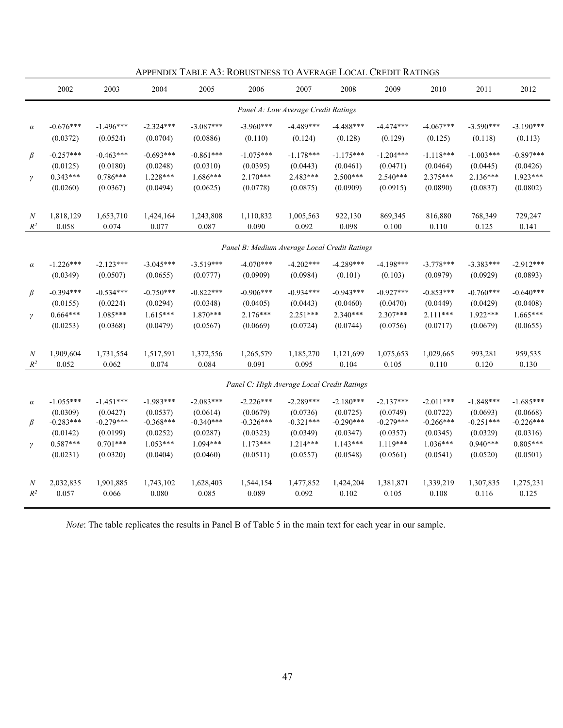|                     | 2002                                              | 2003                                              | 2004                                              | 2005                                              | 2006                                              | 2007                                            | 2008                                            | 2009                                            | 2010                                              | 2011                                              | 2012                                            |
|---------------------|---------------------------------------------------|---------------------------------------------------|---------------------------------------------------|---------------------------------------------------|---------------------------------------------------|-------------------------------------------------|-------------------------------------------------|-------------------------------------------------|---------------------------------------------------|---------------------------------------------------|-------------------------------------------------|
|                     |                                                   |                                                   |                                                   |                                                   |                                                   | Panel A: Low Average Credit Ratings             |                                                 |                                                 |                                                   |                                                   |                                                 |
| $\alpha$            | $-0.676***$                                       | $-1.496***$                                       | $-2.324***$                                       | $-3.087***$                                       | $-3.960***$                                       | $-4.489***$                                     | $-4.488***$                                     | $-4.474***$                                     | $-4.067***$                                       | $-3.590***$                                       | $-3.190***$                                     |
|                     | (0.0372)                                          | (0.0524)                                          | (0.0704)                                          | (0.0886)                                          | (0.110)                                           | (0.124)                                         | (0.128)                                         | (0.129)                                         | (0.125)                                           | (0.118)                                           | (0.113)                                         |
| $\beta$<br>$\gamma$ | $-0.257***$<br>(0.0125)<br>$0.343***$<br>(0.0260) | $-0.463***$<br>(0.0180)<br>$0.786***$<br>(0.0367) | $-0.693***$<br>(0.0248)<br>$1.228***$<br>(0.0494) | $-0.861***$<br>(0.0310)<br>$1.686***$<br>(0.0625) | $-1.075***$<br>(0.0395)<br>$2.170***$<br>(0.0778) | $-1.178***$<br>(0.0443)<br>2.483***<br>(0.0875) | $-1.175***$<br>(0.0461)<br>2.500***<br>(0.0909) | $-1.204***$<br>(0.0471)<br>2.540***<br>(0.0915) | $-1.118***$<br>(0.0464)<br>$2.375***$<br>(0.0890) | $-1.003***$<br>(0.0445)<br>$2.136***$<br>(0.0837) | $-0.897***$<br>(0.0426)<br>1.923***<br>(0.0802) |
| $\boldsymbol{N}$    | 1,818,129                                         | 1,653,710                                         | 1,424,164                                         | 1,243,808                                         | 1,110,832                                         | 1,005,563                                       | 922,130                                         | 869,345                                         | 816,880                                           | 768,349                                           | 729,247                                         |
| $\mathbb{R}^2$      | 0.058                                             | 0.074                                             | 0.077                                             | 0.087                                             | 0.090                                             | 0.092                                           | 0.098                                           | 0.100                                           | 0.110                                             | 0.125                                             | 0.141                                           |
|                     |                                                   |                                                   |                                                   |                                                   | Panel B: Medium Average Local Credit Ratings      |                                                 |                                                 |                                                 |                                                   |                                                   |                                                 |
| $\alpha$            | $-1.226***$                                       | $-2.123***$                                       | $-3.045***$                                       | $-3.519***$                                       | $-4.070***$                                       | $-4.202***$                                     | $-4.289***$                                     | $-4.198***$                                     | $-3.778***$                                       | $-3.383***$                                       | $-2.912***$                                     |
|                     | (0.0349)                                          | (0.0507)                                          | (0.0655)                                          | (0.0777)                                          | (0.0909)                                          | (0.0984)                                        | (0.101)                                         | (0.103)                                         | (0.0979)                                          | (0.0929)                                          | (0.0893)                                        |
| $\beta$             | $-0.394***$                                       | $-0.534***$                                       | $-0.750***$                                       | $-0.822***$                                       | $-0.906***$                                       | $-0.934***$                                     | $-0.943***$                                     | $-0.927***$                                     | $-0.853***$                                       | $-0.760***$                                       | $-0.640***$                                     |
| $\gamma$            | (0.0155)                                          | (0.0224)                                          | (0.0294)                                          | (0.0348)                                          | (0.0405)                                          | (0.0443)                                        | (0.0460)                                        | (0.0470)                                        | (0.0449)                                          | (0.0429)                                          | (0.0408)                                        |
|                     | $0.664***$                                        | $1.085***$                                        | $1.615***$                                        | $1.870***$                                        | $2.176***$                                        | $2.251***$                                      | 2.340***                                        | 2.307***                                        | $2.111***$                                        | 1.922***                                          | 1.665***                                        |
|                     | (0.0253)                                          | (0.0368)                                          | (0.0479)                                          | (0.0567)                                          | (0.0669)                                          | (0.0724)                                        | (0.0744)                                        | (0.0756)                                        | (0.0717)                                          | (0.0679)                                          | (0.0655)                                        |
| $\boldsymbol{N}$    | 1,909,604                                         | 1,731,554                                         | 1,517,591                                         | 1,372,556                                         | 1,265,579                                         | 1,185,270                                       | 1,121,699                                       | 1,075,653                                       | 1,029,665                                         | 993,281                                           | 959,535                                         |
| $\mathbb{R}^2$      | 0.052                                             | 0.062                                             | 0.074                                             | 0.084                                             | 0.091                                             | 0.095                                           | 0.104                                           | 0.105                                           | 0.110                                             | 0.120                                             | 0.130                                           |
|                     |                                                   |                                                   |                                                   |                                                   | Panel C: High Average Local Credit Ratings        |                                                 |                                                 |                                                 |                                                   |                                                   |                                                 |
| $\alpha$            | $-1.055***$                                       | $-1.451***$                                       | $-1.983***$                                       | $-2.083***$                                       | $-2.226***$                                       | $-2.289***$                                     | $-2.180***$                                     | $-2.137***$                                     | $-2.011***$                                       | $-1.848***$                                       | $-1.685***$                                     |
| $\beta$             | (0.0309)                                          | (0.0427)                                          | (0.0537)                                          | (0.0614)                                          | (0.0679)                                          | (0.0736)                                        | (0.0725)                                        | (0.0749)                                        | (0.0722)                                          | (0.0693)                                          | (0.0668)                                        |
|                     | $-0.283***$                                       | $-0.279***$                                       | $-0.368***$                                       | $-0.340***$                                       | $-0.326***$                                       | $-0.321***$                                     | $-0.290***$                                     | $-0.279***$                                     | $-0.266***$                                       | $-0.251***$                                       | $-0.226***$                                     |
| $\gamma$            | (0.0142)                                          | (0.0199)                                          | (0.0252)                                          | (0.0287)                                          | (0.0323)                                          | (0.0349)                                        | (0.0347)                                        | (0.0357)                                        | (0.0345)                                          | (0.0329)                                          | (0.0316)                                        |
|                     | $0.587***$                                        | $0.701***$                                        | $1.053***$                                        | $1.094***$                                        | $1.173***$                                        | $1.214***$                                      | $1.143***$                                      | $1.119***$                                      | $1.036***$                                        | $0.940***$                                        | $0.805***$                                      |
|                     | (0.0231)                                          | (0.0320)                                          | (0.0404)                                          | (0.0460)                                          | (0.0511)                                          | (0.0557)                                        | (0.0548)                                        | (0.0561)                                        | (0.0541)                                          | (0.0520)                                          | (0.0501)                                        |
| $\cal N$            | 2,032,835                                         | 1,901,885                                         | 1,743,102                                         | 1,628,403                                         | 1,544,154                                         | 1,477,852                                       | 1,424,204                                       | 1,381,871                                       | 1,339,219                                         | 1,307,835                                         | 1,275,231                                       |
| $\mathbb{R}^2$      | 0.057                                             | 0.066                                             | 0.080                                             | 0.085                                             | 0.089                                             | 0.092                                           | 0.102                                           | 0.105                                           | 0.108                                             | 0.116                                             | 0.125                                           |

APPENDIX TABLE A3: ROBUSTNESS TO AVERAGE LOCAL CREDIT RATINGS

*Note*: The table replicates the results in Panel B of Table 5 in the main text for each year in our sample.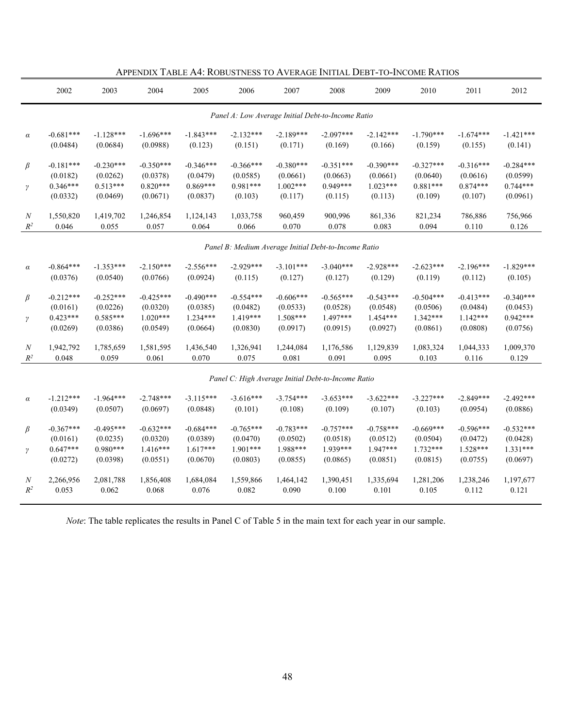|                  | 2002        | 2003        | 2004        | 2005        | 2006        | 2007                                                 | 2008        | 2009        | 2010        | 2011        | 2012        |
|------------------|-------------|-------------|-------------|-------------|-------------|------------------------------------------------------|-------------|-------------|-------------|-------------|-------------|
|                  |             |             |             |             |             | Panel A: Low Average Initial Debt-to-Income Ratio    |             |             |             |             |             |
| $\alpha$         | $-0.681***$ | $-1.128***$ | $-1.696***$ | $-1.843***$ | $-2.132***$ | $-2.189***$                                          | $-2.097***$ | $-2.142***$ | $-1.790***$ | $-1.674***$ | $-1.421***$ |
|                  | (0.0484)    | (0.0684)    | (0.0988)    | (0.123)     | (0.151)     | (0.171)                                              | (0.169)     | (0.166)     | (0.159)     | (0.155)     | (0.141)     |
| $\beta$          | $-0.181***$ | $-0.230***$ | $-0.350***$ | $-0.346***$ | $-0.366***$ | $-0.380***$                                          | $-0.351***$ | $-0.390***$ | $-0.327***$ | $-0.316***$ | $-0.284***$ |
|                  | (0.0182)    | (0.0262)    | (0.0378)    | (0.0479)    | (0.0585)    | (0.0661)                                             | (0.0663)    | (0.0661)    | (0.0640)    | (0.0616)    | (0.0599)    |
| $\gamma$         | $0.346***$  | $0.513***$  | $0.820***$  | $0.869***$  | $0.981***$  | $1.002***$                                           | $0.949***$  | $1.023***$  | $0.881***$  | $0.874***$  | $0.744***$  |
|                  | (0.0332)    | (0.0469)    | (0.0671)    | (0.0837)    | (0.103)     | (0.117)                                              | (0.115)     | (0.113)     | (0.109)     | (0.107)     | (0.0961)    |
| $\boldsymbol{N}$ | 1,550,820   | 1,419,702   | 1,246,854   | 1,124,143   | 1,033,758   | 960,459                                              | 900,996     | 861,336     | 821,234     | 786,886     | 756,966     |
| $R^2$            | 0.046       | 0.055       | 0.057       | 0.064       | 0.066       | 0.070                                                | 0.078       | 0.083       | 0.094       | 0.110       | 0.126       |
|                  |             |             |             |             |             | Panel B: Medium Average Initial Debt-to-Income Ratio |             |             |             |             |             |
| $\alpha$         | $-0.864***$ | $-1.353***$ | $-2.150***$ | $-2.556***$ | $-2.929***$ | $-3.101***$                                          | $-3.040***$ | $-2.928***$ | $-2.623***$ | $-2.196***$ | $-1.829***$ |
|                  | (0.0376)    | (0.0540)    | (0.0766)    | (0.0924)    | (0.115)     | (0.127)                                              | (0.127)     | (0.129)     | (0.119)     | (0.112)     | (0.105)     |
| $\beta$          | $-0.212***$ | $-0.252***$ | $-0.425***$ | $-0.490***$ | $-0.554***$ | $-0.606***$                                          | $-0.565***$ | $-0.543***$ | $-0.504***$ | $-0.413***$ | $-0.340***$ |
|                  | (0.0161)    | (0.0226)    | (0.0320)    | (0.0385)    | (0.0482)    | (0.0533)                                             | (0.0528)    | (0.0548)    | (0.0506)    | (0.0484)    | (0.0453)    |
| $\gamma$         | $0.423***$  | $0.585***$  | $1.020***$  | $1.234***$  | $1.419***$  | $1.508***$                                           | $1.497***$  | $1.454***$  | $1.342***$  | $1.142***$  | $0.942***$  |
|                  | (0.0269)    | (0.0386)    | (0.0549)    | (0.0664)    | (0.0830)    | (0.0917)                                             | (0.0915)    | (0.0927)    | (0.0861)    | (0.0808)    | (0.0756)    |
| $\boldsymbol{N}$ | 1,942,792   | 1,785,659   | 1,581,595   | 1,436,540   | 1,326,941   | 1,244,084                                            | 1,176,586   | 1,129,839   | 1,083,324   | 1,044,333   | 1,009,370   |
| $R^2$            | 0.048       | 0.059       | 0.061       | 0.070       | 0.075       | 0.081                                                | 0.091       | 0.095       | 0.103       | 0.116       | 0.129       |
|                  |             |             |             |             |             | Panel C: High Average Initial Debt-to-Income Ratio   |             |             |             |             |             |
| $\alpha$         | $-1.212***$ | $-1.964***$ | $-2.748***$ | $-3.115***$ | $-3.616***$ | $-3.754***$                                          | $-3.653***$ | $-3.622***$ | $-3.227***$ | $-2.849***$ | $-2.492***$ |
|                  | (0.0349)    | (0.0507)    | (0.0697)    | (0.0848)    | (0.101)     | (0.108)                                              | (0.109)     | (0.107)     | (0.103)     | (0.0954)    | (0.0886)    |
| $\beta$          | $-0.367***$ | $-0.495***$ | $-0.632***$ | $-0.684***$ | $-0.765***$ | $-0.783***$                                          | $-0.757***$ | $-0.758***$ | $-0.669***$ | $-0.596***$ | $-0.532***$ |
|                  | (0.0161)    | (0.0235)    | (0.0320)    | (0.0389)    | (0.0470)    | (0.0502)                                             | (0.0518)    | (0.0512)    | (0.0504)    | (0.0472)    | (0.0428)    |
| $\gamma$         | $0.647***$  | $0.980***$  | 1.416***    | $1.617***$  | 1.901***    | 1.988***                                             | 1.939***    | 1.947***    | $1.732***$  | $1.528***$  | $1.331***$  |
|                  | (0.0272)    | (0.0398)    | (0.0551)    | (0.0670)    | (0.0803)    | (0.0855)                                             | (0.0865)    | (0.0851)    | (0.0815)    | (0.0755)    | (0.0697)    |
| N                | 2,266,956   | 2,081,788   | 1,856,408   | 1,684,084   | 1,559,866   | 1,464,142                                            | 1,390,451   | 1,335,694   | 1,281,206   | 1,238,246   | 1,197,677   |
| $R^2$            | 0.053       | 0.062       | 0.068       | 0.076       | 0.082       | 0.090                                                | 0.100       | 0.101       | 0.105       | 0.112       | 0.121       |

APPENDIX TABLE A4: ROBUSTNESS TO AVERAGE INITIAL DEBT-TO-INCOME RATIOS

*Note*: The table replicates the results in Panel C of Table 5 in the main text for each year in our sample.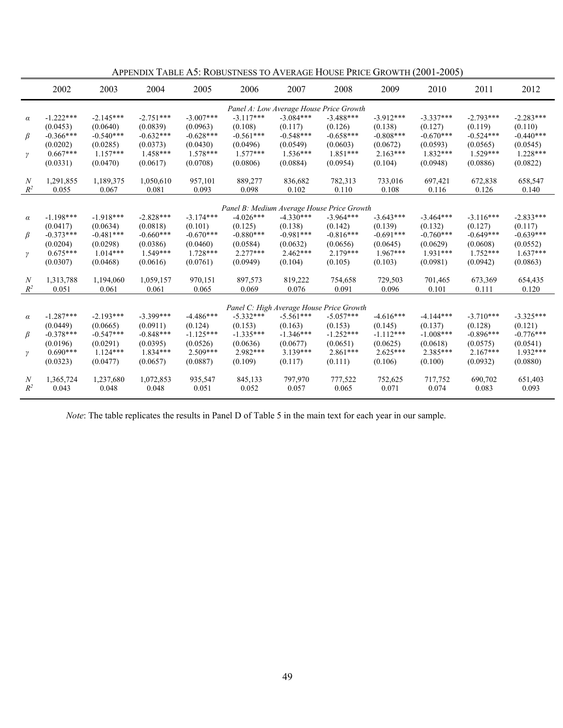|                           | 2002                    | 2003                    | 2004                    | 2005                   | 2006                                                      | 2007                                     | 2008                   | 2009                   | 2010                   | 2011                   | 2012                   |
|---------------------------|-------------------------|-------------------------|-------------------------|------------------------|-----------------------------------------------------------|------------------------------------------|------------------------|------------------------|------------------------|------------------------|------------------------|
|                           |                         |                         |                         |                        |                                                           | Panel A: Low Average House Price Growth  |                        |                        |                        |                        |                        |
| $\alpha$                  | $-1.222***$             | $-2.145***$             | $-2.751***$             | $-3.007***$            | $-3.117***$                                               | $-3.084***$                              | $-3.488***$            | $-3.912***$            | $-3.337***$            | $-2.793***$            | $-2.283***$            |
|                           | (0.0453)                | (0.0640)                | (0.0839)                | (0.0963)               | (0.108)                                                   | (0.117)                                  | (0.126)                | (0.138)                | (0.127)                | (0.119)                | (0.110)                |
| β                         | $-0.366***$             | $-0.540***$             | $-0.632***$             | $-0.628***$            | $-0.561***$                                               | $-0.548***$                              | $-0.658***$            | $-0.808***$            | $-0.670***$            | $-0.524***$            | $-0.440***$            |
|                           | (0.0202)<br>$0.667***$  | (0.0285)<br>$1.157***$  | (0.0373)<br>$1.458***$  | (0.0430)<br>$1.578***$ | (0.0496)<br>$1.577***$                                    | (0.0549)<br>$1.536***$                   | (0.0603)<br>$1.851***$ | (0.0672)<br>$2.163***$ | (0.0593)<br>$1.832***$ | (0.0565)<br>$1.529***$ | (0.0545)<br>$1.228***$ |
| $\gamma$                  | (0.0331)                | (0.0470)                | (0.0617)                | (0.0708)               | (0.0806)                                                  | (0.0884)                                 | (0.0954)               | (0.104)                | (0.0948)               | (0.0886)               | (0.0822)               |
|                           |                         |                         |                         |                        |                                                           |                                          |                        |                        |                        |                        |                        |
| $\boldsymbol{N}$          | 1,291,855               | 1,189,375               | 1,050,610               | 957,101                | 889,277                                                   | 836,682                                  | 782,313                | 733,016                | 697,421                | 672,838                | 658,547                |
| $R^2$                     | 0.055                   | 0.067                   | 0.081                   | 0.093                  | 0.098                                                     | 0.102                                    | 0.110                  | 0.108                  | 0.116                  | 0.126                  | 0.140                  |
|                           |                         |                         |                         |                        |                                                           |                                          |                        |                        |                        |                        |                        |
| $\alpha$                  | $-1.198***$             | $-1.918***$             | $-2.828***$             | $-3.174***$            | Panel B: Medium Average House Price Growth<br>$-4.026***$ | $-4.330***$                              | $-3.964***$            | $-3.643***$            | $-3.464***$            | $-3.116***$            | $-2.833***$            |
|                           | (0.0417)                | (0.0634)                | (0.0818)                | (0.101)                | (0.125)                                                   | (0.138)                                  | (0.142)                | (0.139)                | (0.132)                | (0.127)                | (0.117)                |
| β                         | $-0.373***$             | $-0.481***$             | $-0.660***$             | $-0.670***$            | $-0.880***$                                               | $-0.981***$                              | $-0.816***$            | $-0.691***$            | $-0.760***$            | $-0.649***$            | $-0.639***$            |
|                           | (0.0204)                | (0.0298)                | (0.0386)                | (0.0460)               | (0.0584)                                                  | (0.0632)                                 | (0.0656)               | (0.0645)               | (0.0629)               | (0.0608)               | (0.0552)               |
| $\gamma$                  | $0.675***$              | $1.014***$              | $1.549***$              | $1.728***$             | $2.277***$                                                | $2.462***$                               | $2.179***$             | $1.967***$             | $1.931***$             | $1.752***$             | $1.637***$             |
|                           | (0.0307)                | (0.0468)                | (0.0616)                | (0.0761)               | (0.0949)                                                  | (0.104)                                  | (0.105)                | (0.103)                | (0.0981)               | (0.0942)               | (0.0863)               |
| N                         | 1,313,788               | 1,194,060               | 1,059,157               | 970,151                | 897,573                                                   | 819,222                                  | 754,658                | 729,503                | 701,465                | 673,369                | 654,435                |
| $R^2$                     | 0.051                   | 0.061                   | 0.061                   | 0.065                  | 0.069                                                     | 0.076                                    | 0.091                  | 0.096                  | 0.101                  | 0.111                  | 0.120                  |
|                           |                         |                         |                         |                        |                                                           |                                          |                        |                        |                        |                        |                        |
|                           |                         |                         |                         |                        |                                                           | Panel C: High Average House Price Growth |                        |                        |                        |                        |                        |
| $\alpha$                  | $-1.287***$             | $-2.193***$             | $-3.399***$             | $-4.486***$            | $-5.332***$                                               | $-5.561***$                              | $-5.057***$            | $-4.616***$            | $-4.144***$            | $-3.710***$            | $-3.325***$            |
| β                         | (0.0449)<br>$-0.378***$ | (0.0665)<br>$-0.547***$ | (0.0911)<br>$-0.848***$ | (0.124)<br>$-1.125***$ | (0.153)<br>$-1.335***$                                    | (0.163)<br>$-1.346***$                   | (0.153)<br>$-1.252***$ | (0.145)<br>$-1.112***$ | (0.137)<br>$-1.008***$ | (0.128)<br>$-0.896***$ | (0.121)<br>$-0.776***$ |
|                           | (0.0196)                | (0.0291)                | (0.0395)                | (0.0526)               | (0.0636)                                                  | (0.0677)                                 | (0.0651)               | (0.0625)               | (0.0618)               | (0.0575)               | (0.0541)               |
| γ                         | $0.690***$              | $1.124***$              | $1.834***$              | $2.509***$             | $2.982***$                                                | $3.139***$                               | $2.861***$             | $2.625***$             | $2.385***$             | $2.167***$             | $1.932***$             |
|                           | (0.0323)                | (0.0477)                | (0.0657)                | (0.0887)               | (0.109)                                                   | (0.117)                                  | (0.111)                | (0.106)                | (0.100)                | (0.0932)               | (0.0880)               |
|                           |                         |                         |                         |                        |                                                           |                                          |                        |                        |                        |                        |                        |
| $\boldsymbol{N}$<br>$R^2$ | 1,365,724               | 1,237,680<br>0.048      | 1,072,853<br>0.048      | 935,547                | 845,133<br>0.052                                          | 797,970                                  | 777,522                | 752,625<br>0.071       | 717,752                | 690,702                | 651,403                |
|                           | 0.043                   |                         |                         | 0.051                  |                                                           | 0.057                                    | 0.065                  |                        | 0.074                  | 0.083                  | 0.093                  |

APPENDIX TABLE A5: ROBUSTNESS TO AVERAGE HOUSE PRICE GROWTH (2001-2005)

*Note*: The table replicates the results in Panel D of Table 5 in the main text for each year in our sample.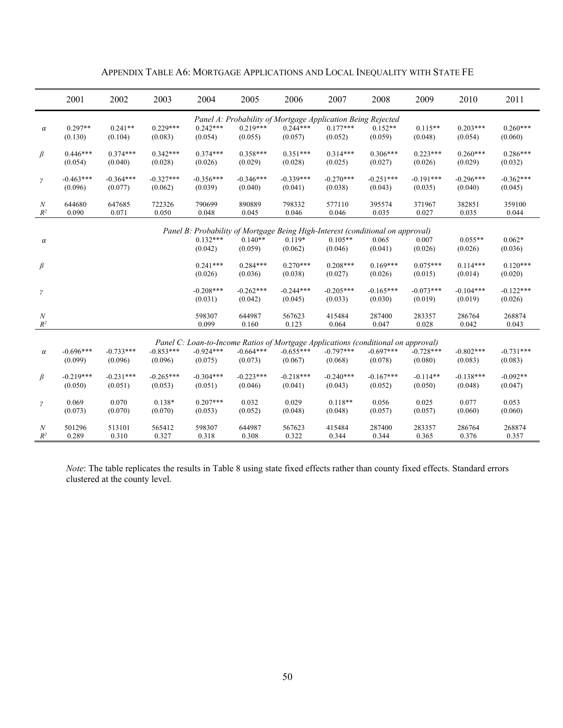|                            | 2001        | 2002        | 2003        | 2004            | 2005                                                                              | 2006            | 2007            | 2008            | 2009            | 2010            | 2011            |
|----------------------------|-------------|-------------|-------------|-----------------|-----------------------------------------------------------------------------------|-----------------|-----------------|-----------------|-----------------|-----------------|-----------------|
|                            |             |             |             |                 | Panel A: Probability of Mortgage Application Being Rejected                       |                 |                 |                 |                 |                 |                 |
| $\alpha$                   | $0.297**$   | $0.241**$   | $0.229***$  | $0.242***$      | $0.219***$                                                                        | $0.244***$      | $0.177***$      | $0.152**$       | $0.115**$       | $0.203***$      | $0.260***$      |
|                            | (0.130)     | (0.104)     | (0.083)     | (0.054)         | (0.055)                                                                           | (0.057)         | (0.052)         | (0.059)         | (0.048)         | (0.054)         | (0.060)         |
|                            |             |             |             |                 |                                                                                   |                 |                 |                 |                 |                 |                 |
| β                          | $0.446***$  | $0.374***$  | $0.342***$  | $0.374***$      | $0.358***$                                                                        | $0.351***$      | $0.314***$      | $0.306***$      | $0.223***$      | $0.260***$      | $0.286***$      |
|                            | (0.054)     | (0.040)     | (0.028)     | (0.026)         | (0.029)                                                                           | (0.028)         | (0.025)         | (0.027)         | (0.026)         | (0.029)         | (0.032)         |
|                            | $-0.463***$ | $-0.364***$ | $-0.327***$ | $-0.356***$     | $-0.346***$                                                                       | $-0.339***$     | $-0.270***$     | $-0.251***$     | $-0.191***$     | $-0.296***$     | $-0.362***$     |
| $\gamma$                   | (0.096)     | (0.077)     | (0.062)     | (0.039)         | (0.040)                                                                           | (0.041)         | (0.038)         | (0.043)         | (0.035)         | (0.040)         | (0.045)         |
|                            |             |             |             |                 |                                                                                   |                 |                 |                 |                 |                 |                 |
| $\cal N$                   | 644680      | 647685      | 722326      | 790699          | 890889                                                                            | 798332          | 577110          | 395574          | 371967          | 382851          | 359100          |
| $R^2$                      | 0.090       | 0.071       | 0.050       | 0.048           | 0.045                                                                             | 0.046           | 0.046           | 0.035           | 0.027           | 0.035           | 0.044           |
|                            |             |             |             |                 |                                                                                   |                 |                 |                 |                 |                 |                 |
|                            |             |             |             |                 | Panel B: Probability of Mortgage Being High-Interest (conditional on approval)    |                 |                 |                 |                 |                 |                 |
| $\alpha$                   |             |             |             | $0.132***$      | $0.140**$                                                                         | $0.119*$        | $0.105**$       | 0.065           | 0.007           | $0.055**$       | $0.062*$        |
|                            |             |             |             | (0.042)         | (0.059)                                                                           | (0.062)         | (0.046)         | (0.041)         | (0.026)         | (0.026)         | (0.036)         |
| $\beta$                    |             |             |             | $0.241***$      | $0.284***$                                                                        | $0.270***$      | $0.208***$      | $0.169***$      | $0.075***$      | $0.114***$      | $0.120***$      |
|                            |             |             |             | (0.026)         | (0.036)                                                                           | (0.038)         | (0.027)         | (0.026)         | (0.015)         | (0.014)         | (0.020)         |
|                            |             |             |             |                 |                                                                                   |                 |                 |                 |                 |                 |                 |
| $\gamma$                   |             |             |             | $-0.208***$     | $-0.262***$                                                                       | $-0.244***$     | $-0.205***$     | $-0.165***$     | $-0.073***$     | $-0.104***$     | $-0.122***$     |
|                            |             |             |             | (0.031)         | (0.042)                                                                           | (0.045)         | (0.033)         | (0.030)         | (0.019)         | (0.019)         | (0.026)         |
|                            |             |             |             |                 | 644987                                                                            |                 |                 |                 |                 |                 |                 |
| $\cal N$<br>$\mathbb{R}^2$ |             |             |             | 598307<br>0.099 | 0.160                                                                             | 567623<br>0.123 | 415484<br>0.064 | 287400<br>0.047 | 283357<br>0.028 | 286764<br>0.042 | 268874<br>0.043 |
|                            |             |             |             |                 |                                                                                   |                 |                 |                 |                 |                 |                 |
|                            |             |             |             |                 | Panel C: Loan-to-Income Ratios of Mortgage Applications (conditional on approval) |                 |                 |                 |                 |                 |                 |
| $\alpha$                   | $-0.696***$ | $-0.733***$ | $-0.853***$ | $-0.924***$     | $-0.664***$                                                                       | $-0.655***$     | $-0.797***$     | $-0.697***$     | $-0.728***$     | $-0.802***$     | $-0.731***$     |
|                            | (0.099)     | (0.096)     | (0.096)     | (0.075)         | (0.073)                                                                           | (0.067)         | (0.068)         | (0.078)         | (0.080)         | (0.083)         | (0.083)         |
|                            |             |             |             |                 |                                                                                   |                 |                 |                 |                 |                 |                 |
| $\beta$                    | $-0.219***$ | $-0.231***$ | $-0.265***$ | $-0.304***$     | $-0.223***$                                                                       | $-0.218***$     | $-0.240***$     | $-0.167***$     | $-0.114**$      | $-0.138***$     | $-0.092**$      |
|                            | (0.050)     | (0.051)     | (0.053)     | (0.051)         | (0.046)                                                                           | (0.041)         | (0.043)         | (0.052)         | (0.050)         | (0.048)         | (0.047)         |
|                            | 0.069       | 0.070       | $0.138*$    | $0.207***$      | 0.032                                                                             | 0.029           | $0.118**$       | 0.056           | 0.025           | 0.077           | 0.053           |
| γ                          | (0.073)     | (0.070)     | (0.070)     | (0.053)         | (0.052)                                                                           | (0.048)         | (0.048)         | (0.057)         | (0.057)         | (0.060)         | (0.060)         |
|                            |             |             |             |                 |                                                                                   |                 |                 |                 |                 |                 |                 |
| N                          | 501296      | 513101      | 565412      | 598307          | 644987                                                                            | 567623          | 415484          | 287400          | 283357          | 286764          | 268874          |
| $R^2$                      | 0.289       | 0.310       | 0.327       | 0.318           | 0.308                                                                             | 0.322           | 0.344           | 0.344           | 0.365           | 0.376           | 0.357           |

APPENDIX TABLE A6: MORTGAGE APPLICATIONS AND LOCAL INEQUALITY WITH STATE FE

*Note*: The table replicates the results in Table 8 using state fixed effects rather than county fixed effects. Standard errors clustered at the county level.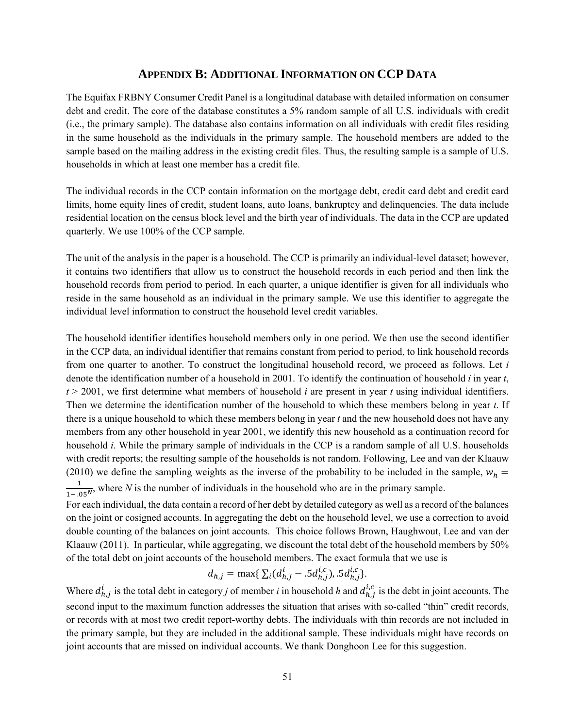### **APPENDIX B: ADDITIONAL INFORMATION ON CCP DATA**

The Equifax FRBNY Consumer Credit Panel is a longitudinal database with detailed information on consumer debt and credit. The core of the database constitutes a 5% random sample of all U.S. individuals with credit (i.e., the primary sample). The database also contains information on all individuals with credit files residing in the same household as the individuals in the primary sample. The household members are added to the sample based on the mailing address in the existing credit files. Thus, the resulting sample is a sample of U.S. households in which at least one member has a credit file.

The individual records in the CCP contain information on the mortgage debt, credit card debt and credit card limits, home equity lines of credit, student loans, auto loans, bankruptcy and delinquencies. The data include residential location on the census block level and the birth year of individuals. The data in the CCP are updated quarterly. We use 100% of the CCP sample.

The unit of the analysis in the paper is a household. The CCP is primarily an individual-level dataset; however, it contains two identifiers that allow us to construct the household records in each period and then link the household records from period to period. In each quarter, a unique identifier is given for all individuals who reside in the same household as an individual in the primary sample. We use this identifier to aggregate the individual level information to construct the household level credit variables.

The household identifier identifies household members only in one period. We then use the second identifier in the CCP data, an individual identifier that remains constant from period to period, to link household records from one quarter to another. To construct the longitudinal household record, we proceed as follows. Let *i* denote the identification number of a household in 2001. To identify the continuation of household *i* in year *t*, *t* > 2001, we first determine what members of household *i* are present in year *t* using individual identifiers. Then we determine the identification number of the household to which these members belong in year *t*. If there is a unique household to which these members belong in year *t* and the new household does not have any members from any other household in year 2001, we identify this new household as a continuation record for household *i*. While the primary sample of individuals in the CCP is a random sample of all U.S. households with credit reports; the resulting sample of the households is not random. Following, Lee and van der Klaauw (2010) we define the sampling weights as the inverse of the probability to be included in the sample,  $w_h$  =  $\frac{1}{1-.05^N}$ , where *N* is the number of individuals in the household who are in the primary sample.

For each individual, the data contain a record of her debt by detailed category as well as a record of the balances on the joint or cosigned accounts. In aggregating the debt on the household level, we use a correction to avoid double counting of the balances on joint accounts. This choice follows Brown, Haughwout, Lee and van der Klaauw (2011). In particular, while aggregating, we discount the total debt of the household members by 50% of the total debt on joint accounts of the household members. The exact formula that we use is

$$
d_{h,j} = \max\{\sum_i (d_{h,j}^i - .5d_{h,j}^{i,c}), .5d_{h,j}^{i,c}\}.
$$

Where  $d_{h,j}^i$  is the total debt in category *j* of member *i* in household *h* and  $d_{h,j}^{i,c}$  is the debt in joint accounts. The second input to the maximum function addresses the situation that arises with so-called "thin" credit records, or records with at most two credit report-worthy debts. The individuals with thin records are not included in the primary sample, but they are included in the additional sample. These individuals might have records on joint accounts that are missed on individual accounts. We thank Donghoon Lee for this suggestion.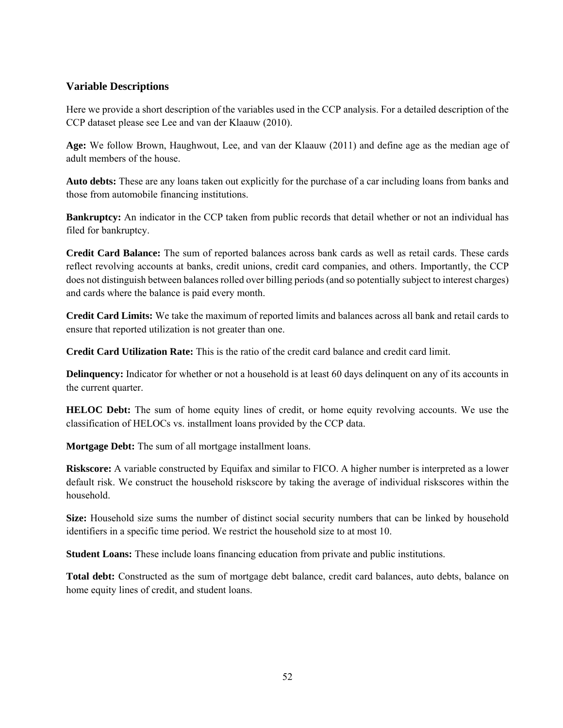### **Variable Descriptions**

Here we provide a short description of the variables used in the CCP analysis. For a detailed description of the CCP dataset please see Lee and van der Klaauw (2010).

**Age:** We follow Brown, Haughwout, Lee, and van der Klaauw (2011) and define age as the median age of adult members of the house.

**Auto debts:** These are any loans taken out explicitly for the purchase of a car including loans from banks and those from automobile financing institutions.

**Bankruptcy:** An indicator in the CCP taken from public records that detail whether or not an individual has filed for bankruptcy.

**Credit Card Balance:** The sum of reported balances across bank cards as well as retail cards. These cards reflect revolving accounts at banks, credit unions, credit card companies, and others. Importantly, the CCP does not distinguish between balances rolled over billing periods (and so potentially subject to interest charges) and cards where the balance is paid every month.

**Credit Card Limits:** We take the maximum of reported limits and balances across all bank and retail cards to ensure that reported utilization is not greater than one.

**Credit Card Utilization Rate:** This is the ratio of the credit card balance and credit card limit.

**Delinquency:** Indicator for whether or not a household is at least 60 days delinquent on any of its accounts in the current quarter.

**HELOC Debt:** The sum of home equity lines of credit, or home equity revolving accounts. We use the classification of HELOCs vs. installment loans provided by the CCP data.

**Mortgage Debt:** The sum of all mortgage installment loans.

**Riskscore:** A variable constructed by Equifax and similar to FICO. A higher number is interpreted as a lower default risk. We construct the household riskscore by taking the average of individual riskscores within the household.

**Size:** Household size sums the number of distinct social security numbers that can be linked by household identifiers in a specific time period. We restrict the household size to at most 10.

**Student Loans:** These include loans financing education from private and public institutions.

**Total debt:** Constructed as the sum of mortgage debt balance, credit card balances, auto debts, balance on home equity lines of credit, and student loans.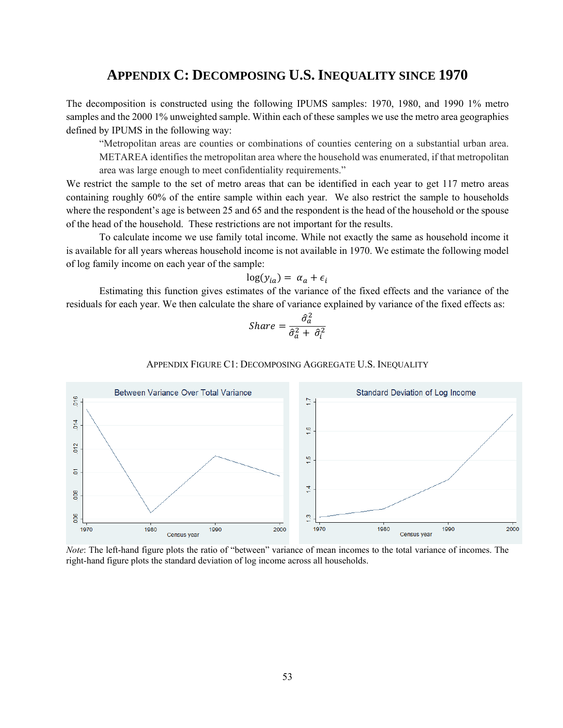### **APPENDIX C: DECOMPOSING U.S. INEQUALITY SINCE 1970**

The decomposition is constructed using the following IPUMS samples: 1970, 1980, and 1990 1% metro samples and the 2000 1% unweighted sample. Within each of these samples we use the metro area geographies defined by IPUMS in the following way:

"Metropolitan areas are counties or combinations of counties centering on a substantial urban area. METAREA identifies the metropolitan area where the household was enumerated, if that metropolitan area was large enough to meet confidentiality requirements."

We restrict the sample to the set of metro areas that can be identified in each year to get 117 metro areas containing roughly 60% of the entire sample within each year. We also restrict the sample to households where the respondent's age is between 25 and 65 and the respondent is the head of the household or the spouse of the head of the household. These restrictions are not important for the results.

To calculate income we use family total income. While not exactly the same as household income it is available for all years whereas household income is not available in 1970. We estimate the following model of log family income on each year of the sample:

$$
\log(y_{ia}) = \alpha_a + \epsilon_i
$$

Estimating this function gives estimates of the variance of the fixed effects and the variance of the residuals for each year. We then calculate the share of variance explained by variance of the fixed effects as:

$$
Share = \frac{\hat{\sigma}_a^2}{\hat{\sigma}_a^2 + \hat{\sigma}_i^2}
$$

#### APPENDIX FIGURE C1: DECOMPOSING AGGREGATE U.S. INEQUALITY



*Note*: The left-hand figure plots the ratio of "between" variance of mean incomes to the total variance of incomes. The right-hand figure plots the standard deviation of log income across all households.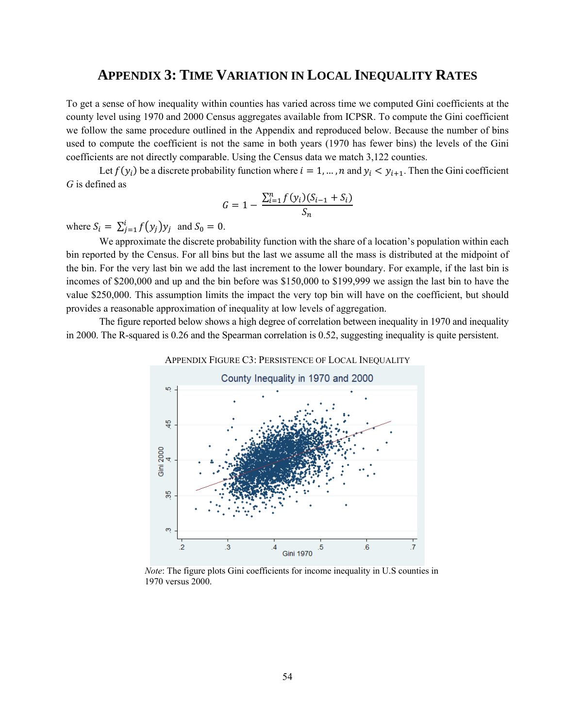# **APPENDIX 3: TIME VARIATION IN LOCAL INEQUALITY RATES**

To get a sense of how inequality within counties has varied across time we computed Gini coefficients at the county level using 1970 and 2000 Census aggregates available from ICPSR. To compute the Gini coefficient we follow the same procedure outlined in the Appendix and reproduced below. Because the number of bins used to compute the coefficient is not the same in both years (1970 has fewer bins) the levels of the Gini coefficients are not directly comparable. Using the Census data we match 3,122 counties.

Let  $f(y_i)$  be a discrete probability function where  $i = 1, ..., n$  and  $y_i < y_{i+1}$ . Then the Gini coefficient *G* is defined as

$$
G = 1 - \frac{\sum_{i=1}^{n} f(y_i)(S_{i-1} + S_i)}{S_n}
$$

where  $S_i = \sum_{j=1}^{i} f(y_j) y_j$  and  $S_0 = 0$ .

We approximate the discrete probability function with the share of a location's population within each bin reported by the Census. For all bins but the last we assume all the mass is distributed at the midpoint of the bin. For the very last bin we add the last increment to the lower boundary. For example, if the last bin is incomes of \$200,000 and up and the bin before was \$150,000 to \$199,999 we assign the last bin to have the value \$250,000. This assumption limits the impact the very top bin will have on the coefficient, but should provides a reasonable approximation of inequality at low levels of aggregation.

The figure reported below shows a high degree of correlation between inequality in 1970 and inequality in 2000. The R-squared is 0.26 and the Spearman correlation is 0.52, suggesting inequality is quite persistent.



*Note*: The figure plots Gini coefficients for income inequality in U.S counties in 1970 versus 2000.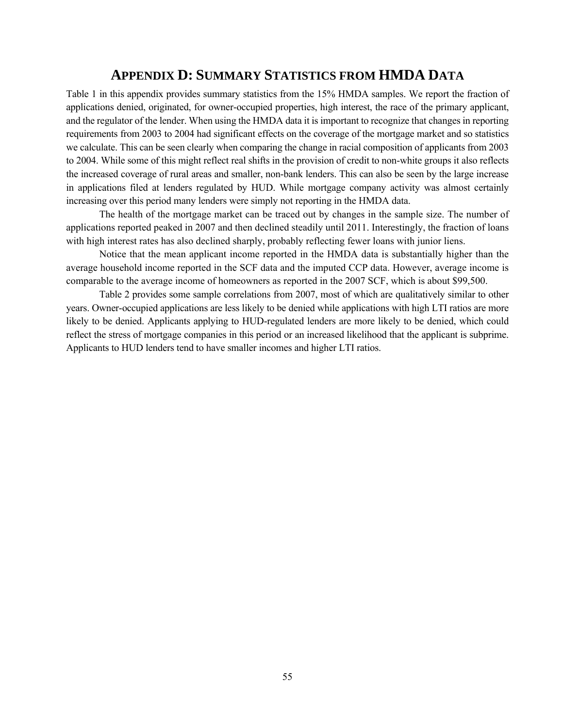## **APPENDIX D: SUMMARY STATISTICS FROM HMDA DATA**

Table 1 in this appendix provides summary statistics from the 15% HMDA samples. We report the fraction of applications denied, originated, for owner-occupied properties, high interest, the race of the primary applicant, and the regulator of the lender. When using the HMDA data it is important to recognize that changes in reporting requirements from 2003 to 2004 had significant effects on the coverage of the mortgage market and so statistics we calculate. This can be seen clearly when comparing the change in racial composition of applicants from 2003 to 2004. While some of this might reflect real shifts in the provision of credit to non-white groups it also reflects the increased coverage of rural areas and smaller, non-bank lenders. This can also be seen by the large increase in applications filed at lenders regulated by HUD. While mortgage company activity was almost certainly increasing over this period many lenders were simply not reporting in the HMDA data.

The health of the mortgage market can be traced out by changes in the sample size. The number of applications reported peaked in 2007 and then declined steadily until 2011. Interestingly, the fraction of loans with high interest rates has also declined sharply, probably reflecting fewer loans with junior liens.

Notice that the mean applicant income reported in the HMDA data is substantially higher than the average household income reported in the SCF data and the imputed CCP data. However, average income is comparable to the average income of homeowners as reported in the 2007 SCF, which is about \$99,500.

Table 2 provides some sample correlations from 2007, most of which are qualitatively similar to other years. Owner-occupied applications are less likely to be denied while applications with high LTI ratios are more likely to be denied. Applicants applying to HUD-regulated lenders are more likely to be denied, which could reflect the stress of mortgage companies in this period or an increased likelihood that the applicant is subprime. Applicants to HUD lenders tend to have smaller incomes and higher LTI ratios.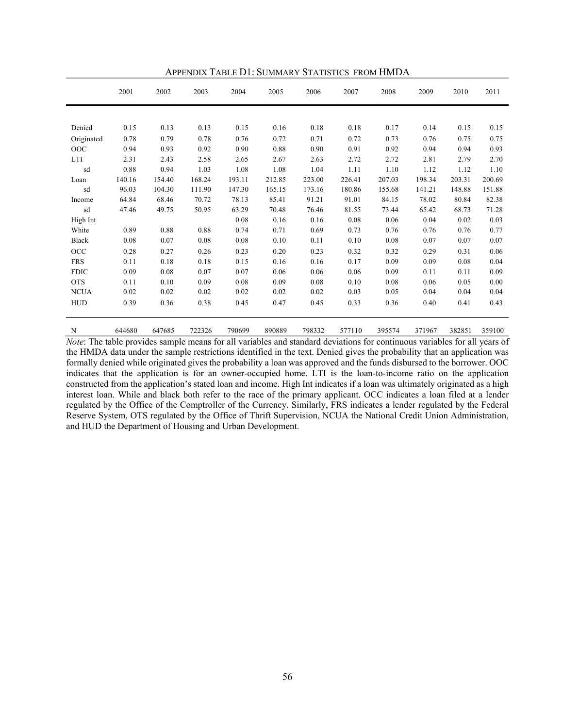|             | 2001   | 2002   | 2003   | 2004   | 2005   | 2006   | 2007   | 2008   | 2009   | 2010   | 2011   |
|-------------|--------|--------|--------|--------|--------|--------|--------|--------|--------|--------|--------|
|             |        |        |        |        |        |        |        |        |        |        |        |
| Denied      | 0.15   | 0.13   | 0.13   | 0.15   | 0.16   | 0.18   | 0.18   | 0.17   | 0.14   | 0.15   | 0.15   |
| Originated  | 0.78   | 0.79   | 0.78   | 0.76   | 0.72   | 0.71   | 0.72   | 0.73   | 0.76   | 0.75   | 0.75   |
| OOC         | 0.94   | 0.93   | 0.92   | 0.90   | 0.88   | 0.90   | 0.91   | 0.92   | 0.94   | 0.94   | 0.93   |
| LTI         | 2.31   | 2.43   | 2.58   | 2.65   | 2.67   | 2.63   | 2.72   | 2.72   | 2.81   | 2.79   | 2.70   |
| sd          | 0.88   | 0.94   | 1.03   | 1.08   | 1.08   | 1.04   | 1.11   | 1.10   | 1.12   | 1.12   | 1.10   |
| Loan        | 140.16 | 154.40 | 168.24 | 193.11 | 212.85 | 223.00 | 226.41 | 207.03 | 198.34 | 203.31 | 200.69 |
| sd          | 96.03  | 104.30 | 111.90 | 147.30 | 165.15 | 173.16 | 180.86 | 155.68 | 141.21 | 148.88 | 151.88 |
| Income      | 64.84  | 68.46  | 70.72  | 78.13  | 85.41  | 91.21  | 91.01  | 84.15  | 78.02  | 80.84  | 82.38  |
| sd          | 47.46  | 49.75  | 50.95  | 63.29  | 70.48  | 76.46  | 81.55  | 73.44  | 65.42  | 68.73  | 71.28  |
| High Int    |        |        |        | 0.08   | 0.16   | 0.16   | 0.08   | 0.06   | 0.04   | 0.02   | 0.03   |
| White       | 0.89   | 0.88   | 0.88   | 0.74   | 0.71   | 0.69   | 0.73   | 0.76   | 0.76   | 0.76   | 0.77   |
| Black       | 0.08   | 0.07   | 0.08   | 0.08   | 0.10   | 0.11   | 0.10   | 0.08   | 0.07   | 0.07   | 0.07   |
| OCC         | 0.28   | 0.27   | 0.26   | 0.23   | 0.20   | 0.23   | 0.32   | 0.32   | 0.29   | 0.31   | 0.06   |
| <b>FRS</b>  | 0.11   | 0.18   | 0.18   | 0.15   | 0.16   | 0.16   | 0.17   | 0.09   | 0.09   | 0.08   | 0.04   |
| <b>FDIC</b> | 0.09   | 0.08   | 0.07   | 0.07   | 0.06   | 0.06   | 0.06   | 0.09   | 0.11   | 0.11   | 0.09   |
| <b>OTS</b>  | 0.11   | 0.10   | 0.09   | 0.08   | 0.09   | 0.08   | 0.10   | 0.08   | 0.06   | 0.05   | 0.00   |
| <b>NCUA</b> | 0.02   | 0.02   | 0.02   | 0.02   | 0.02   | 0.02   | 0.03   | 0.05   | 0.04   | 0.04   | 0.04   |
| <b>HUD</b>  | 0.39   | 0.36   | 0.38   | 0.45   | 0.47   | 0.45   | 0.33   | 0.36   | 0.40   | 0.41   | 0.43   |
|             |        |        |        |        |        |        |        |        |        |        |        |

APPENDIX TABLE D1: SUMMARY STATISTICS FROM HMDA

*Note*: The table provides sample means for all variables and standard deviations for continuous variables for all years of the HMDA data under the sample restrictions identified in the text. Denied gives the probability that an application was formally denied while originated gives the probability a loan was approved and the funds disbursed to the borrower. OOC indicates that the application is for an owner-occupied home. LTI is the loan-to-income ratio on the application constructed from the application's stated loan and income. High Int indicates if a loan was ultimately originated as a high interest loan. While and black both refer to the race of the primary applicant. OCC indicates a loan filed at a lender regulated by the Office of the Comptroller of the Currency. Similarly, FRS indicates a lender regulated by the Federal Reserve System, OTS regulated by the Office of Thrift Supervision, NCUA the National Credit Union Administration, and HUD the Department of Housing and Urban Development.

N 644680 647685 722326 790699 890889 798332 577110 395574 371967 382851 359100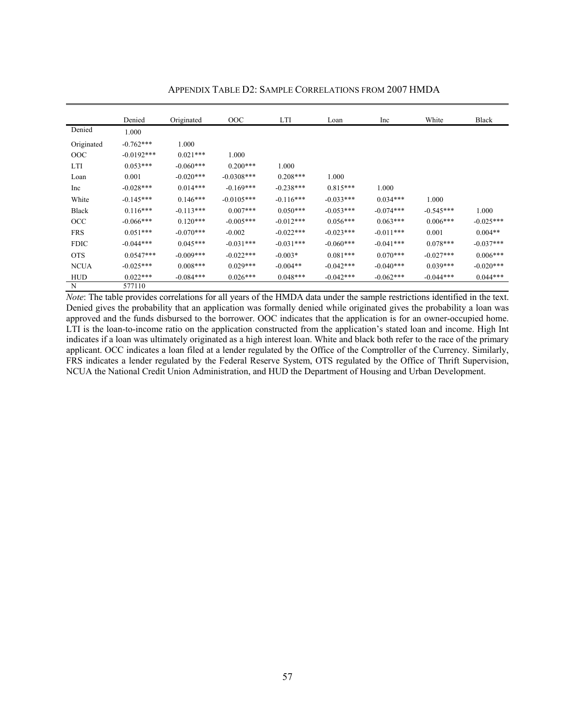|              | Denied       | Originated  | OOC          | <b>LTI</b>  | Loan        | Inc         | White        | <b>Black</b> |
|--------------|--------------|-------------|--------------|-------------|-------------|-------------|--------------|--------------|
| Denied       | 1.000        |             |              |             |             |             |              |              |
| Originated   | $-0.762***$  | 1.000       |              |             |             |             |              |              |
| OOC          | $-0.0192***$ | $0.021***$  | 1.000        |             |             |             |              |              |
| LTI          | $0.053***$   | $-0.060***$ | $0.200***$   | 1.000       |             |             |              |              |
| Loan         | 0.001        | $-0.020***$ | $-0.0308***$ | $0.208***$  | 1.000       |             |              |              |
| Inc          | $-0.028***$  | $0.014***$  | $-0.169***$  | $-0.238***$ | $0.815***$  | 1.000       |              |              |
| White        | $-0.145***$  | $0.146***$  | $-0.0105***$ | $-0.116***$ | $-0.033***$ | $0.034***$  | 1.000        |              |
| <b>Black</b> | $0.116***$   | $-0.113***$ | $0.007***$   | $0.050***$  | $-0.053***$ | $-0.074***$ | $-0.545***$  | 1.000        |
| OCC          | $-0.066***$  | $0.120***$  | $-0.005***$  | $-0.012***$ | $0.056***$  | $0.063***$  | $0.006***$   | $-0.025***$  |
| <b>FRS</b>   | $0.051***$   | $-0.070***$ | $-0.002$     | $-0.022***$ | $-0.023***$ | $-0.011***$ | 0.001        | $0.004**$    |
| <b>FDIC</b>  | $-0.044***$  | $0.045***$  | $-0.031***$  | $-0.031***$ | $-0.060***$ | $-0.041***$ | $0.078***$   | $-0.037***$  |
| <b>OTS</b>   | $0.0547***$  | $-0.009***$ | $-0.022$ *** | $-0.003*$   | $0.081***$  | $0.070***$  | $-0.027$ *** | $0.006***$   |
| <b>NCUA</b>  | $-0.025***$  | $0.008***$  | $0.029***$   | $-0.004**$  | $-0.042***$ | $-0.040***$ | $0.039***$   | $-0.020***$  |
| <b>HUD</b>   | $0.022***$   | $-0.084***$ | $0.026***$   | $0.048***$  | $-0.042***$ | $-0.062***$ | $-0.044***$  | $0.044***$   |
| N            | 577110       |             |              |             |             |             |              |              |

APPENDIX TABLE D2: SAMPLE CORRELATIONS FROM 2007 HMDA

*Note*: The table provides correlations for all years of the HMDA data under the sample restrictions identified in the text. Denied gives the probability that an application was formally denied while originated gives the probability a loan was approved and the funds disbursed to the borrower. OOC indicates that the application is for an owner-occupied home. LTI is the loan-to-income ratio on the application constructed from the application's stated loan and income. High Int indicates if a loan was ultimately originated as a high interest loan. White and black both refer to the race of the primary applicant. OCC indicates a loan filed at a lender regulated by the Office of the Comptroller of the Currency. Similarly, FRS indicates a lender regulated by the Federal Reserve System, OTS regulated by the Office of Thrift Supervision, NCUA the National Credit Union Administration, and HUD the Department of Housing and Urban Development.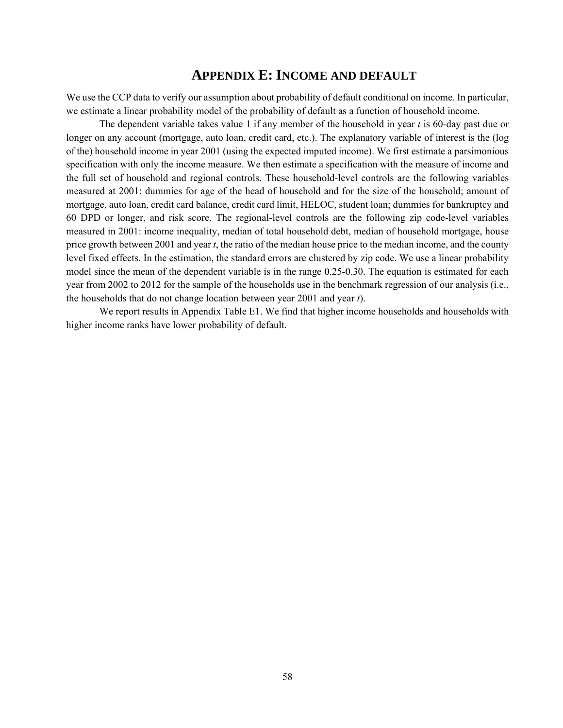### **APPENDIX E: INCOME AND DEFAULT**

We use the CCP data to verify our assumption about probability of default conditional on income. In particular, we estimate a linear probability model of the probability of default as a function of household income.

The dependent variable takes value 1 if any member of the household in year *t* is 60-day past due or longer on any account (mortgage, auto loan, credit card, etc.). The explanatory variable of interest is the (log of the) household income in year 2001 (using the expected imputed income). We first estimate a parsimonious specification with only the income measure. We then estimate a specification with the measure of income and the full set of household and regional controls. These household-level controls are the following variables measured at 2001: dummies for age of the head of household and for the size of the household; amount of mortgage, auto loan, credit card balance, credit card limit, HELOC, student loan; dummies for bankruptcy and 60 DPD or longer, and risk score. The regional-level controls are the following zip code-level variables measured in 2001: income inequality, median of total household debt, median of household mortgage, house price growth between 2001 and year *t*, the ratio of the median house price to the median income, and the county level fixed effects. In the estimation, the standard errors are clustered by zip code. We use a linear probability model since the mean of the dependent variable is in the range 0.25-0.30. The equation is estimated for each year from 2002 to 2012 for the sample of the households use in the benchmark regression of our analysis (i.e., the households that do not change location between year 2001 and year *t*).

We report results in Appendix Table E1. We find that higher income households and households with higher income ranks have lower probability of default.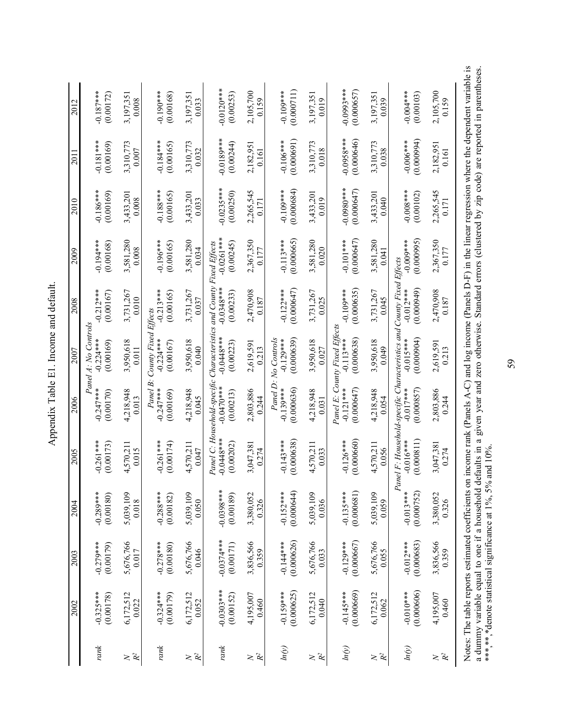|                                   | 2002                      | 2003                      | 2004                      | 2005                                                                          | 2006                                                    | 2007                                                       | 2008                                                  | 2009                               | 2010                      | 2011                       | 2012                       |
|-----------------------------------|---------------------------|---------------------------|---------------------------|-------------------------------------------------------------------------------|---------------------------------------------------------|------------------------------------------------------------|-------------------------------------------------------|------------------------------------|---------------------------|----------------------------|----------------------------|
| rank                              | $-0.325***$<br>(0.00178)  | $-0.279***$<br>(0.00179)  | $-0.289***$<br>(0.00180)  | $-0.261***$<br>(0.00173)                                                      | $-0.247***$<br>(0.00170)                                | Panel A: No Controls<br>$-0.224***$<br>(0.00169)           | $-0.212***$<br>(0.00167)                              | $-0.194***$<br>(0.00168)           | $-0.186***$<br>(0.00169)  | $-0.181***$<br>(0.00169)   | $-0.187***$<br>(0.00172)   |
| $\mathcal{R}^2$<br>$\geq$         | 6,172,512<br>0.022        | 5,676,766<br>0.017        | 5,039,109<br>0.018        | 4,570,21<br>0.015                                                             | 4,218,948<br>0.013                                      | 3,950,618<br>0.011                                         | 3,731,267<br>0.010                                    | 3,581,280<br>0.008                 | 3,433,201<br>0.008        | 3,310,773<br>0.007         | 3,197,351<br>0.008         |
| rank                              | $-0.324***$<br>(0.00179)  | $-0.278***$<br>(0.00180)  | $-0.288***$<br>(0.00182)  | $-0.261***$<br>(0.00174)                                                      | Panel B.<br>$-0.247***$<br>(0.00169)                    | County Fixed<br>$-0.224***$<br>(0.00167)                   | $-0.213***$<br>(0.00165)<br>Effects                   | $-0.196***$<br>(0.00165)           | $-0.188***$<br>(0.00165)  | $-0.184***$<br>(0.00165)   | $-0.190***$<br>(0.00168)   |
| $\gtrsim \mathbf{\hat{R}}^2$      | 6,172,512<br>0.052        | 5,676,766<br>0.046        | 5,039,109<br>0.050        | 4,570,211<br>0.047                                                            | 4,218,948<br>0.045                                      | 3,950,618<br>0.040                                         | 3,731,267<br>0.037                                    | 3,581,280<br>0.034                 | 3,433,201<br>0.033        | 3,310,773<br>0.032         | 3,197,351<br>0.033         |
| rank                              | $-0.0303***$<br>(0.00152) | $-0.0374***$<br>(0.00171) | $-0.0398***$<br>(0.00189) | $-0.0448***$<br>(0.00202)                                                     | Panel C: Household-specific<br>$-0.0470**$<br>(0.00213) | Characteristics<br>$-0.0448**$<br>(0.00223)                | and County Fixed Effects<br>$-0.0348***$<br>(0.00233) | $-0.0261***$<br>(0.00245)          | $-0.0235***$<br>(0.00250) | $-0.0189***$<br>(0.00244)  | $-0.0120***$<br>(0.00253)  |
| $\gtrsim \mathcal{R}^2$           | 4,195,007<br>0.460        | 3,836,566<br>0.359        | 3,380,052<br>0.326        | 3,047,381<br>0.274                                                            | 2,803,886<br>0.244                                      | 2,619,591<br>0.213                                         | 2,470,908<br>0.187                                    | 2,367,350<br>0.177                 | 2,265,545<br>0.171        | 2,182,951<br>0.161         | 2,105,700<br>0.159         |
| ln(y)                             | (0.000625)<br>$-0.159***$ | (0.000626)<br>$-0.144***$ | (0.000644)<br>$-0.152***$ | (0.000638)<br>$-0.143***$                                                     | Panel D.<br>(0.000636)<br>$-0.139***$                   | No Controls<br>(0.000639)<br>$-0.129***$                   | (0.000647)<br>$-0.122***$                             | (0.000665)<br>$-0.113***$          | (0.000684)<br>$-0.109***$ | (0.000691)<br>$-0.106***$  | $-0.109***$<br>(0.000711)  |
| $\mathcal{R}^2$<br>$\geq$         | 6,172,512<br>0.040        | 5,676,766<br>0.033        | 5,039,109<br>0.036        | 4.570.211<br>0.033                                                            | 4,218,948<br>0.031                                      | 3,950,618<br>0.027                                         | 3,731,267<br>0.025                                    | 3,581,280<br>0.020                 | 3,433,201<br>0.019        | 3,310,773<br>0.018         | 3,197,351<br>0.019         |
| ln(y)                             | (0.000669)<br>$-0.145***$ | (0.000667)<br>$-0.129***$ | (0.000681)<br>$-0.135***$ | (0.000660)<br>$-0.126***$                                                     | $-0.121***$<br>(0.000647)                               | Panel E: County Fixed Effects<br>(0.000638)<br>$-0.113***$ | (0.000635)<br>$-0.109***$                             | $-0.101***$<br>(0.000647)          | $-0.0980**$<br>(0.000647) | $-0.0958***$<br>(0.000646) | $-0.0993***$<br>(0.000657) |
| $\mathbb{R}^2$<br>$\geq$          | 6,172,512<br>0.062        | 5,676,766<br>0.055        | 5,039,109<br>0.059        | 4,570,211<br>0.056                                                            | 4,218,948<br>0.054                                      | 3,950,618<br>0.049                                         | 3,731,267<br>0.045                                    | 3,581,280<br>0.041                 | 3,433,201<br>0.040        | 3,310,773<br>0.038         | 3,197,351<br>0.039         |
| ln(y)                             | (0.000606)<br>$-0.010$    | $-0.012***$<br>(0.000683) | $-0.013***$<br>(0.000752) | Panel F: Household-specific Characteristics and<br>(0.000811)<br>$-0.016$ *** | (0.000857)<br>$-0.017***$                               | (0.000904)<br>$-0.015***$                                  | County Fixed<br>(0.00049)<br>$-0.012***$              | (0.000995)<br>$-0.000*$<br>Effects | $-0.008***$<br>(0.00102)  | (0.00094)<br>$-0.006***$   | $-0.004***$<br>(0.00103)   |
| $\gtrsim \overset{\sim}{R}{}^{2}$ | 4,195,007<br>0.460        | 3,836,566<br>0.359        | 3,380,052<br>0.326        | 3,047,381<br>0.274                                                            | 2,803,886<br>0.244                                      | 2,619,591<br>0.213                                         | 2,470,908<br>0.187                                    | 2,367,350<br>0.177                 | 2,265,545<br>0.171        | 2,182,95<br>0.161          | 2,105,700<br>0.159         |
|                                   |                           |                           |                           |                                                                               |                                                         |                                                            |                                                       |                                    |                           |                            |                            |

Appendix Table E1. Income and default. Appendix Table E1. Income and default.

Notes: The table reports estimated coefficients on income rank (Panels A-C) and log income (Panels D-F) in the linear regression where the dependent variable is a dummy variable equal to one if a household defaults in a gi Notes: The table reports estimated coefficients on income rank (Panels A-C) and log income (Panels D-F) in the linear regression where the dependent variable is a dummy variable equal to one if a household defaults in a given year and zero otherwise. Standard errors (clustered by zip code) are reported in parentheses. \*\*\*\*\*\*\*,\*denote statistical significance at  $1\%$ , 5% and  $10\%$ .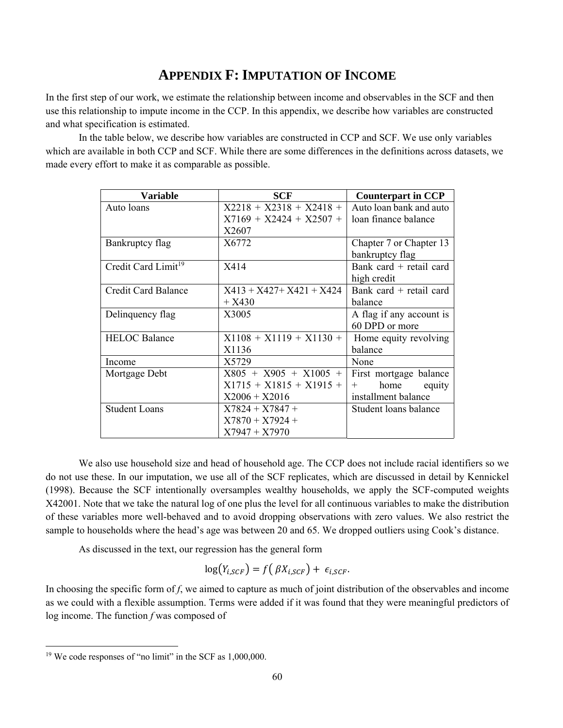# **APPENDIX F: IMPUTATION OF INCOME**

In the first step of our work, we estimate the relationship between income and observables in the SCF and then use this relationship to impute income in the CCP. In this appendix, we describe how variables are constructed and what specification is estimated.

In the table below, we describe how variables are constructed in CCP and SCF. We use only variables which are available in both CCP and SCF. While there are some differences in the definitions across datasets, we made every effort to make it as comparable as possible.

| Variable                        | <b>SCF</b>                  | <b>Counterpart in CCP</b> |
|---------------------------------|-----------------------------|---------------------------|
| Auto loans                      | $X2218 + X2318 + X2418 +$   | Auto loan bank and auto   |
|                                 | $X7169 + X2424 + X2507 +$   | loan finance balance      |
|                                 | X2607                       |                           |
| Bankruptcy flag                 | X6772                       | Chapter 7 or Chapter 13   |
|                                 |                             | bankruptcy flag           |
| Credit Card Limit <sup>19</sup> | X414                        | Bank card $+$ retail card |
|                                 |                             | high credit               |
| <b>Credit Card Balance</b>      | $X413 + X427 + X421 + X424$ | Bank card $+$ retail card |
|                                 | $+ X430$                    | balance                   |
| Delinquency flag                | X3005                       | A flag if any account is  |
|                                 |                             | 60 DPD or more            |
| <b>HELOC</b> Balance            | $X1108 + X1119 + X1130 +$   | Home equity revolving     |
|                                 | X1136                       | balance                   |
| Income                          | X5729                       | None                      |
| Mortgage Debt                   | $X805 + X905 + X1005 +$     | First mortgage balance    |
|                                 | $X1715 + X1815 + X1915 +$   | home<br>equity<br>$^{+}$  |
|                                 | $X2006 + X2016$             | installment balance       |
| <b>Student Loans</b>            | $X7824 + X7847 +$           | Student loans balance     |
|                                 | $X7870 + X7924 +$           |                           |
|                                 | $X7947 + X7970$             |                           |

 We also use household size and head of household age. The CCP does not include racial identifiers so we do not use these. In our imputation, we use all of the SCF replicates, which are discussed in detail by Kennickel (1998). Because the SCF intentionally oversamples wealthy households, we apply the SCF-computed weights X42001. Note that we take the natural log of one plus the level for all continuous variables to make the distribution of these variables more well-behaved and to avoid dropping observations with zero values. We also restrict the sample to households where the head's age was between 20 and 65. We dropped outliers using Cook's distance.

As discussed in the text, our regression has the general form

$$
\log(Y_{i,SCF}) = f(\beta X_{i,SCF}) + \epsilon_{i,SCF}.
$$

In choosing the specific form of *f*, we aimed to capture as much of joint distribution of the observables and income as we could with a flexible assumption. Terms were added if it was found that they were meaningful predictors of log income. The function *f* was composed of

<sup>&</sup>lt;sup>19</sup> We code responses of "no limit" in the SCF as 1,000,000.